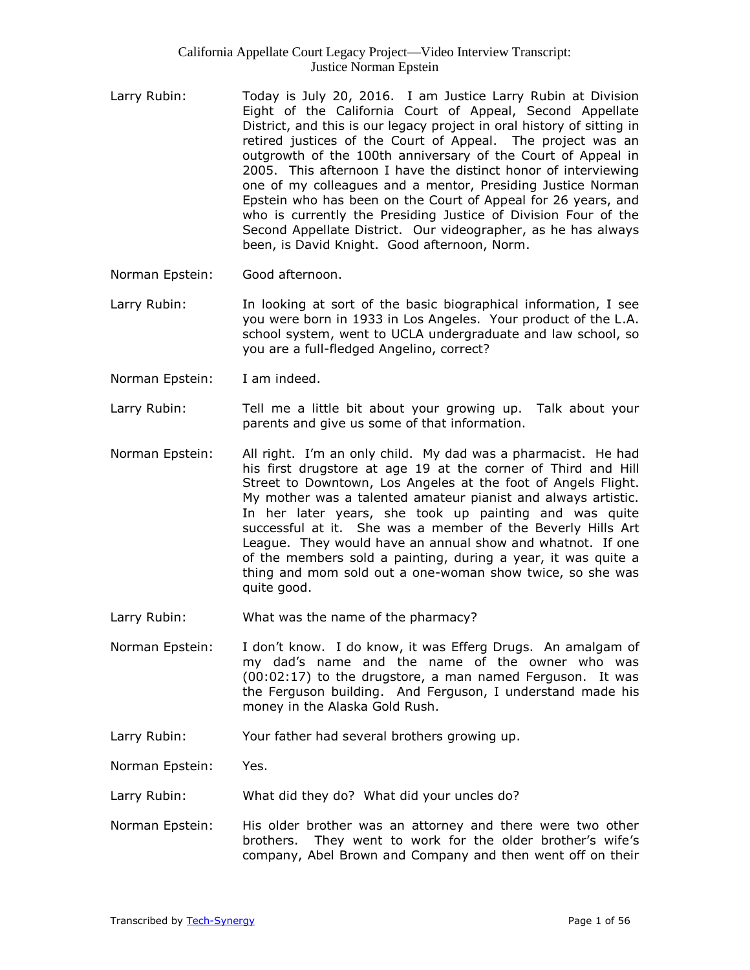- Larry Rubin: Today is July 20, 2016. I am Justice Larry Rubin at Division Eight of the California Court of Appeal, Second Appellate District, and this is our legacy project in oral history of sitting in retired justices of the Court of Appeal. The project was an outgrowth of the 100th anniversary of the Court of Appeal in 2005. This afternoon I have the distinct honor of interviewing one of my colleagues and a mentor, Presiding Justice Norman Epstein who has been on the Court of Appeal for 26 years, and who is currently the Presiding Justice of Division Four of the Second Appellate District. Our videographer, as he has always been, is David Knight. Good afternoon, Norm.
- Norman Epstein: Good afternoon.
- Larry Rubin: In looking at sort of the basic biographical information, I see you were born in 1933 in Los Angeles. Your product of the L.A. school system, went to UCLA undergraduate and law school, so you are a full-fledged Angelino, correct?
- Norman Epstein: I am indeed.
- Larry Rubin: Tell me a little bit about your growing up. Talk about your parents and give us some of that information.
- Norman Epstein: All right. I'm an only child. My dad was a pharmacist. He had his first drugstore at age 19 at the corner of Third and Hill Street to Downtown, Los Angeles at the foot of Angels Flight. My mother was a talented amateur pianist and always artistic. In her later years, she took up painting and was quite successful at it. She was a member of the Beverly Hills Art League. They would have an annual show and whatnot. If one of the members sold a painting, during a year, it was quite a thing and mom sold out a one-woman show twice, so she was quite good.
- Larry Rubin: What was the name of the pharmacy?
- Norman Epstein: I don't know. I do know, it was Efferg Drugs. An amalgam of my dad's name and the name of the owner who was (00:02:17) to the drugstore, a man named Ferguson. It was the Ferguson building. And Ferguson, I understand made his money in the Alaska Gold Rush.
- Larry Rubin: Your father had several brothers growing up.

Norman Epstein: Yes.

Larry Rubin: What did they do? What did your uncles do?

Norman Epstein: His older brother was an attorney and there were two other brothers. They went to work for the older brother's wife's company, Abel Brown and Company and then went off on their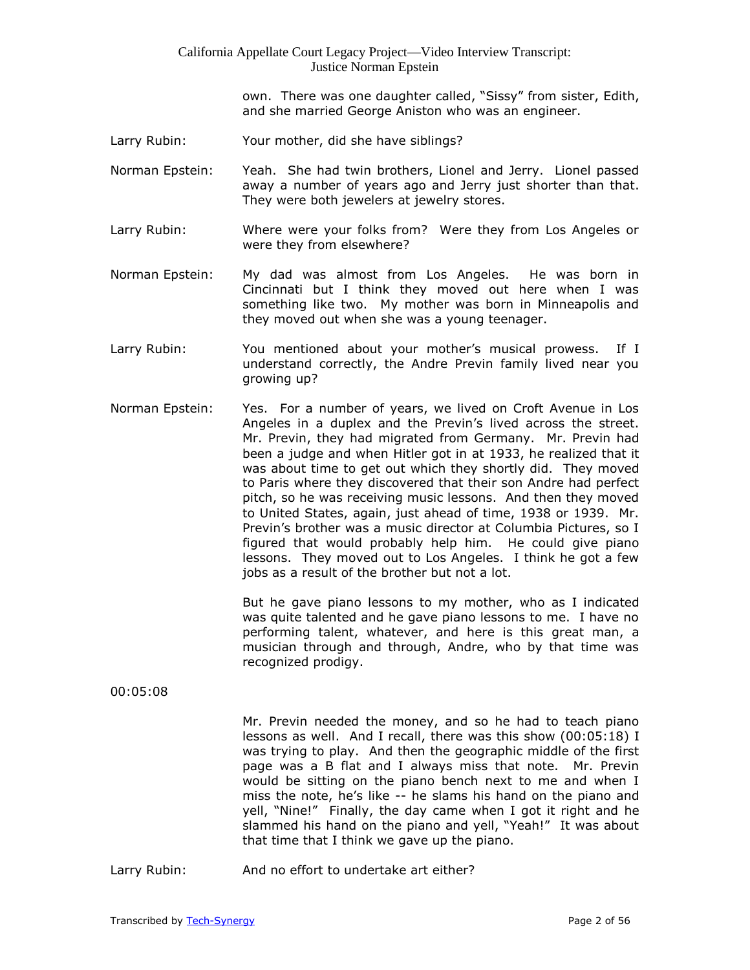own. There was one daughter called, "Sissy" from sister, Edith, and she married George Aniston who was an engineer.

- Larry Rubin: Your mother, did she have siblings?
- Norman Epstein: Yeah. She had twin brothers, Lionel and Jerry. Lionel passed away a number of years ago and Jerry just shorter than that. They were both jewelers at jewelry stores.
- Larry Rubin: Where were your folks from? Were they from Los Angeles or were they from elsewhere?
- Norman Epstein: My dad was almost from Los Angeles. He was born in Cincinnati but I think they moved out here when I was something like two. My mother was born in Minneapolis and they moved out when she was a young teenager.
- Larry Rubin: You mentioned about your mother's musical prowess. If I understand correctly, the Andre Previn family lived near you growing up?
- Norman Epstein: Yes. For a number of years, we lived on Croft Avenue in Los Angeles in a duplex and the Previn's lived across the street. Mr. Previn, they had migrated from Germany. Mr. Previn had been a judge and when Hitler got in at 1933, he realized that it was about time to get out which they shortly did. They moved to Paris where they discovered that their son Andre had perfect pitch, so he was receiving music lessons. And then they moved to United States, again, just ahead of time, 1938 or 1939. Mr. Previn's brother was a music director at Columbia Pictures, so I figured that would probably help him. He could give piano lessons. They moved out to Los Angeles. I think he got a few jobs as a result of the brother but not a lot.

But he gave piano lessons to my mother, who as I indicated was quite talented and he gave piano lessons to me. I have no performing talent, whatever, and here is this great man, a musician through and through, Andre, who by that time was recognized prodigy.

#### 00:05:08

Mr. Previn needed the money, and so he had to teach piano lessons as well. And I recall, there was this show (00:05:18) I was trying to play. And then the geographic middle of the first page was a B flat and I always miss that note. Mr. Previn would be sitting on the piano bench next to me and when I miss the note, he's like -- he slams his hand on the piano and yell, "Nine!" Finally, the day came when I got it right and he slammed his hand on the piano and yell, "Yeah!" It was about that time that I think we gave up the piano.

Larry Rubin: And no effort to undertake art either?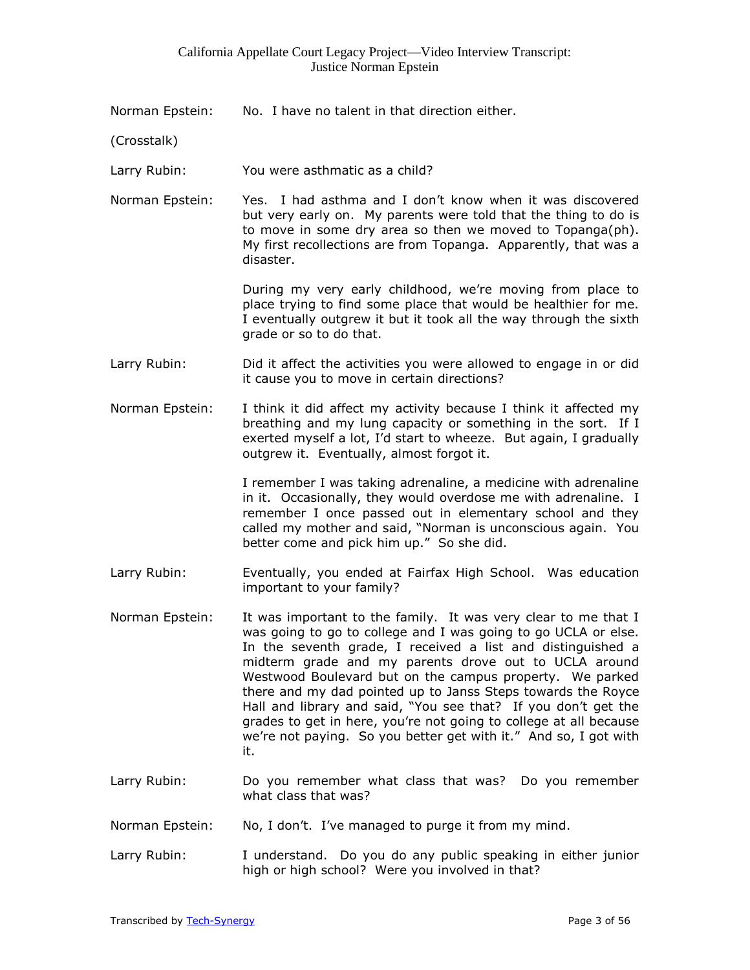Norman Epstein: No. I have no talent in that direction either.

(Crosstalk)

Larry Rubin: You were asthmatic as a child?

Norman Epstein: Yes. I had asthma and I don't know when it was discovered but very early on. My parents were told that the thing to do is to move in some dry area so then we moved to Topanga(ph). My first recollections are from Topanga. Apparently, that was a disaster.

> During my very early childhood, we're moving from place to place trying to find some place that would be healthier for me. I eventually outgrew it but it took all the way through the sixth grade or so to do that.

- Larry Rubin: Did it affect the activities you were allowed to engage in or did it cause you to move in certain directions?
- Norman Epstein: I think it did affect my activity because I think it affected my breathing and my lung capacity or something in the sort. If I exerted myself a lot, I'd start to wheeze. But again, I gradually outgrew it. Eventually, almost forgot it.

I remember I was taking adrenaline, a medicine with adrenaline in it. Occasionally, they would overdose me with adrenaline. I remember I once passed out in elementary school and they called my mother and said, "Norman is unconscious again. You better come and pick him up." So she did.

- Larry Rubin: Eventually, you ended at Fairfax High School. Was education important to your family?
- Norman Epstein: It was important to the family. It was very clear to me that I was going to go to college and I was going to go UCLA or else. In the seventh grade, I received a list and distinguished a midterm grade and my parents drove out to UCLA around Westwood Boulevard but on the campus property. We parked there and my dad pointed up to Janss Steps towards the Royce Hall and library and said, "You see that? If you don't get the grades to get in here, you're not going to college at all because we're not paying. So you better get with it." And so, I got with it.
- Larry Rubin: Do you remember what class that was? Do you remember what class that was?
- Norman Epstein: No, I don't. I've managed to purge it from my mind.
- Larry Rubin: I understand. Do you do any public speaking in either junior high or high school? Were you involved in that?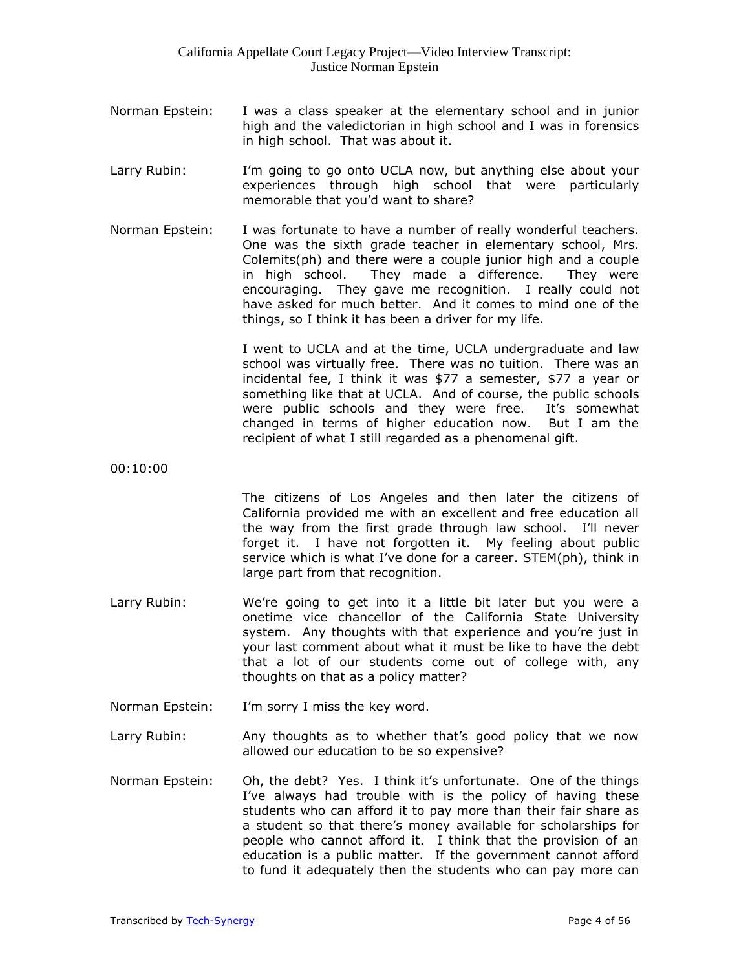- Norman Epstein: I was a class speaker at the elementary school and in junior high and the valedictorian in high school and I was in forensics in high school. That was about it.
- Larry Rubin: I'm going to go onto UCLA now, but anything else about your experiences through high school that were particularly memorable that you'd want to share?
- Norman Epstein: I was fortunate to have a number of really wonderful teachers. One was the sixth grade teacher in elementary school, Mrs. Colemits(ph) and there were a couple junior high and a couple in high school. They made a difference. They were encouraging. They gave me recognition. I really could not have asked for much better. And it comes to mind one of the things, so I think it has been a driver for my life.

I went to UCLA and at the time, UCLA undergraduate and law school was virtually free. There was no tuition. There was an incidental fee, I think it was \$77 a semester, \$77 a year or something like that at UCLA. And of course, the public schools were public schools and they were free. It's somewhat changed in terms of higher education now. But I am the recipient of what I still regarded as a phenomenal gift.

00:10:00

The citizens of Los Angeles and then later the citizens of California provided me with an excellent and free education all the way from the first grade through law school. I'll never forget it. I have not forgotten it. My feeling about public service which is what I've done for a career. STEM(ph), think in large part from that recognition.

- Larry Rubin: We're going to get into it a little bit later but you were a onetime vice chancellor of the California State University system. Any thoughts with that experience and you're just in your last comment about what it must be like to have the debt that a lot of our students come out of college with, any thoughts on that as a policy matter?
- Norman Epstein: I'm sorry I miss the key word.
- Larry Rubin: Any thoughts as to whether that's good policy that we now allowed our education to be so expensive?
- Norman Epstein: Oh, the debt? Yes. I think it's unfortunate. One of the things I've always had trouble with is the policy of having these students who can afford it to pay more than their fair share as a student so that there's money available for scholarships for people who cannot afford it. I think that the provision of an education is a public matter. If the government cannot afford to fund it adequately then the students who can pay more can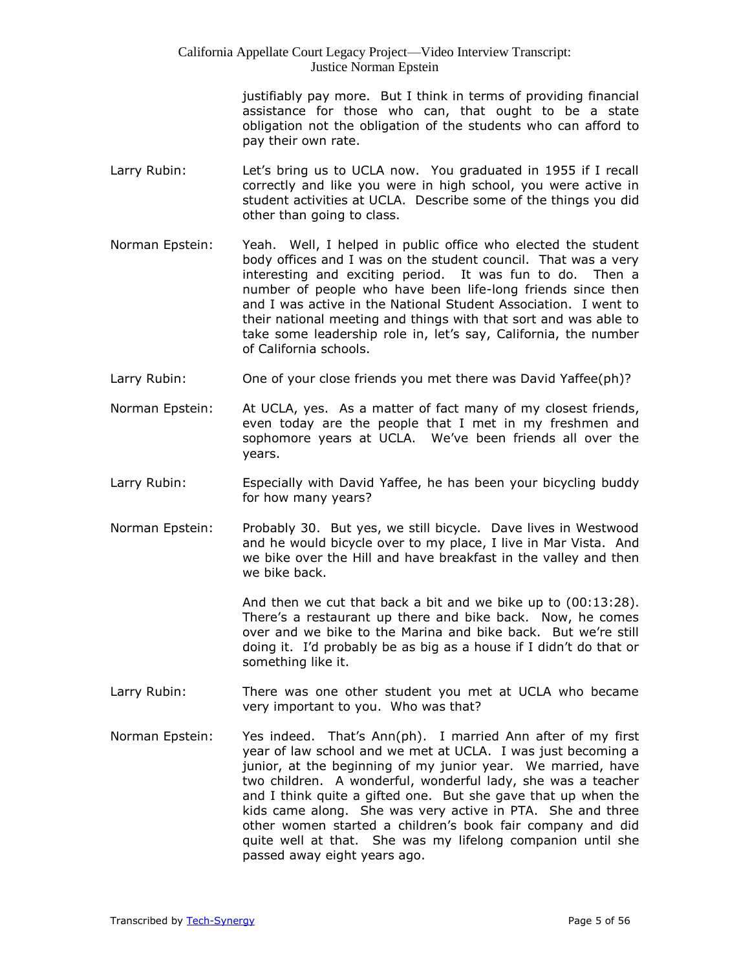justifiably pay more. But I think in terms of providing financial assistance for those who can, that ought to be a state obligation not the obligation of the students who can afford to pay their own rate.

- Larry Rubin: Let's bring us to UCLA now. You graduated in 1955 if I recall correctly and like you were in high school, you were active in student activities at UCLA. Describe some of the things you did other than going to class.
- Norman Epstein: Yeah. Well, I helped in public office who elected the student body offices and I was on the student council. That was a very interesting and exciting period. It was fun to do. Then a number of people who have been life-long friends since then and I was active in the National Student Association. I went to their national meeting and things with that sort and was able to take some leadership role in, let's say, California, the number of California schools.
- Larry Rubin: One of your close friends you met there was David Yaffee(ph)?
- Norman Epstein: At UCLA, yes. As a matter of fact many of my closest friends, even today are the people that I met in my freshmen and sophomore years at UCLA. We've been friends all over the years.
- Larry Rubin: Especially with David Yaffee, he has been your bicycling buddy for how many years?
- Norman Epstein: Probably 30. But yes, we still bicycle. Dave lives in Westwood and he would bicycle over to my place, I live in Mar Vista. And we bike over the Hill and have breakfast in the valley and then we bike back.

And then we cut that back a bit and we bike up to (00:13:28). There's a restaurant up there and bike back. Now, he comes over and we bike to the Marina and bike back. But we're still doing it. I'd probably be as big as a house if I didn't do that or something like it.

- Larry Rubin: There was one other student you met at UCLA who became very important to you. Who was that?
- Norman Epstein: Yes indeed. That's Ann(ph). I married Ann after of my first year of law school and we met at UCLA. I was just becoming a junior, at the beginning of my junior year. We married, have two children. A wonderful, wonderful lady, she was a teacher and I think quite a gifted one. But she gave that up when the kids came along. She was very active in PTA. She and three other women started a children's book fair company and did quite well at that. She was my lifelong companion until she passed away eight years ago.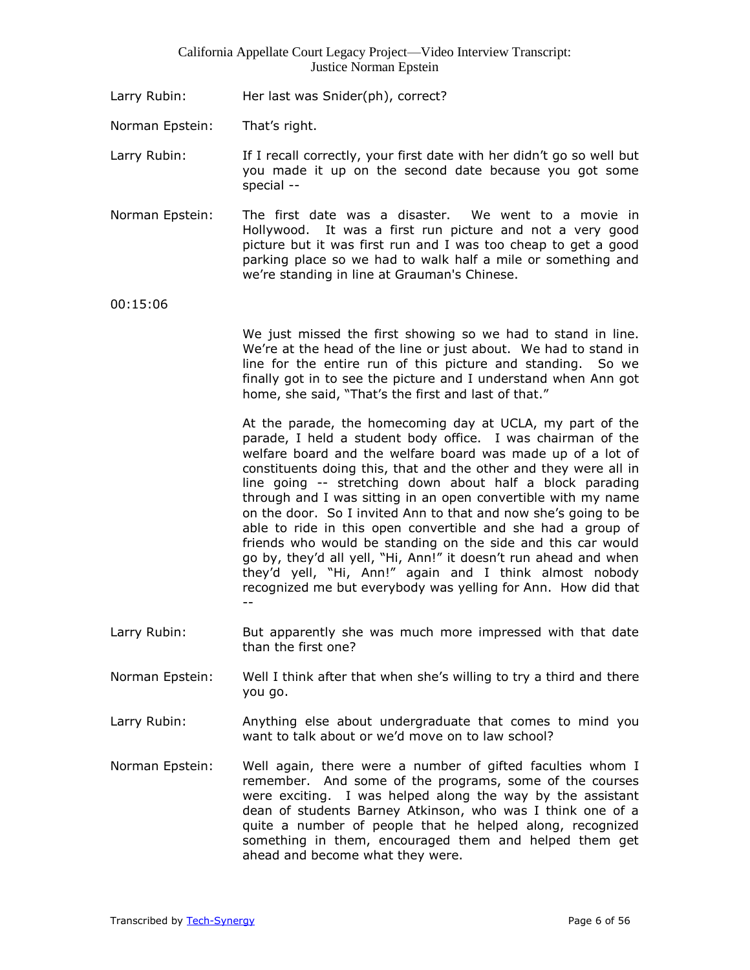Larry Rubin: Her last was Snider(ph), correct?

Norman Epstein: That's right.

Larry Rubin: If I recall correctly, your first date with her didn't go so well but you made it up on the second date because you got some special --

Norman Epstein: The first date was a disaster. We went to a movie in Hollywood. It was a first run picture and not a very good picture but it was first run and I was too cheap to get a good parking place so we had to walk half a mile or something and we're standing in line at Grauman's Chinese.

00:15:06

We just missed the first showing so we had to stand in line. We're at the head of the line or just about. We had to stand in line for the entire run of this picture and standing. So we finally got in to see the picture and I understand when Ann got home, she said, "That's the first and last of that."

At the parade, the homecoming day at UCLA, my part of the parade, I held a student body office. I was chairman of the welfare board and the welfare board was made up of a lot of constituents doing this, that and the other and they were all in line going -- stretching down about half a block parading through and I was sitting in an open convertible with my name on the door. So I invited Ann to that and now she's going to be able to ride in this open convertible and she had a group of friends who would be standing on the side and this car would go by, they'd all yell, "Hi, Ann!" it doesn't run ahead and when they'd yell, "Hi, Ann!" again and I think almost nobody recognized me but everybody was yelling for Ann. How did that --

- Larry Rubin: But apparently she was much more impressed with that date than the first one?
- Norman Epstein: Well I think after that when she's willing to try a third and there you go.
- Larry Rubin: Anything else about undergraduate that comes to mind you want to talk about or we'd move on to law school?
- Norman Epstein: Well again, there were a number of gifted faculties whom I remember. And some of the programs, some of the courses were exciting. I was helped along the way by the assistant dean of students Barney Atkinson, who was I think one of a quite a number of people that he helped along, recognized something in them, encouraged them and helped them get ahead and become what they were.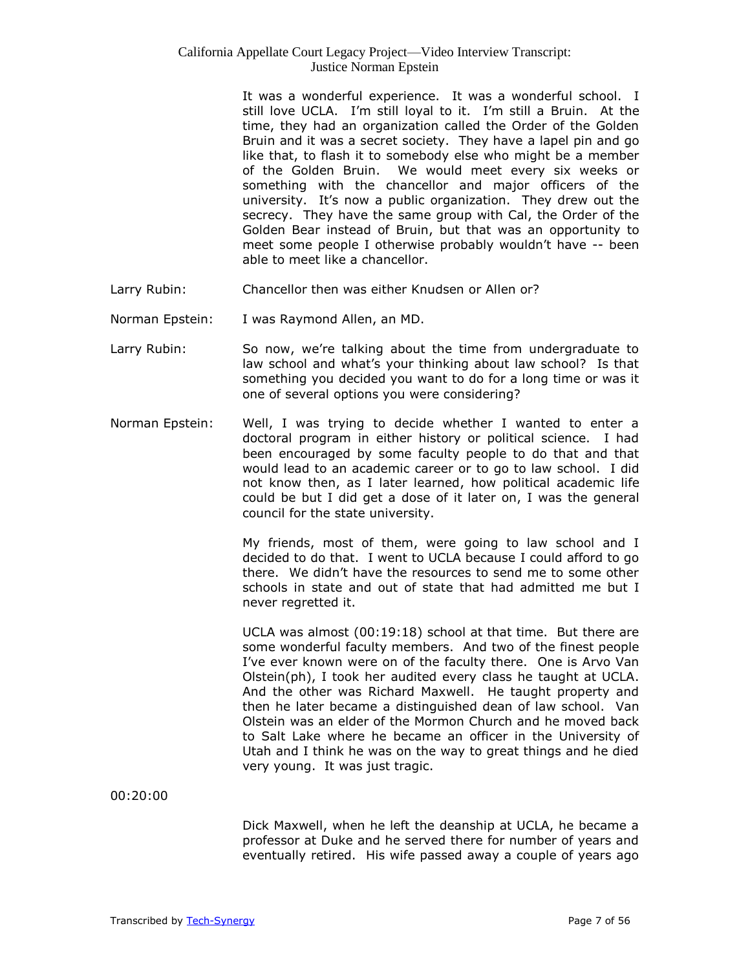It was a wonderful experience. It was a wonderful school. I still love UCLA. I'm still loyal to it. I'm still a Bruin. At the time, they had an organization called the Order of the Golden Bruin and it was a secret society. They have a lapel pin and go like that, to flash it to somebody else who might be a member of the Golden Bruin. We would meet every six weeks or something with the chancellor and major officers of the university. It's now a public organization. They drew out the secrecy. They have the same group with Cal, the Order of the Golden Bear instead of Bruin, but that was an opportunity to meet some people I otherwise probably wouldn't have -- been able to meet like a chancellor.

- Larry Rubin: Chancellor then was either Knudsen or Allen or?
- Norman Epstein: I was Raymond Allen, an MD.
- Larry Rubin: So now, we're talking about the time from undergraduate to law school and what's your thinking about law school? Is that something you decided you want to do for a long time or was it one of several options you were considering?
- Norman Epstein: Well, I was trying to decide whether I wanted to enter a doctoral program in either history or political science. I had been encouraged by some faculty people to do that and that would lead to an academic career or to go to law school. I did not know then, as I later learned, how political academic life could be but I did get a dose of it later on, I was the general council for the state university.

My friends, most of them, were going to law school and I decided to do that. I went to UCLA because I could afford to go there. We didn't have the resources to send me to some other schools in state and out of state that had admitted me but I never regretted it.

UCLA was almost (00:19:18) school at that time. But there are some wonderful faculty members. And two of the finest people I've ever known were on of the faculty there. One is Arvo Van Olstein(ph), I took her audited every class he taught at UCLA. And the other was Richard Maxwell. He taught property and then he later became a distinguished dean of law school. Van Olstein was an elder of the Mormon Church and he moved back to Salt Lake where he became an officer in the University of Utah and I think he was on the way to great things and he died very young. It was just tragic.

00:20:00

Dick Maxwell, when he left the deanship at UCLA, he became a professor at Duke and he served there for number of years and eventually retired. His wife passed away a couple of years ago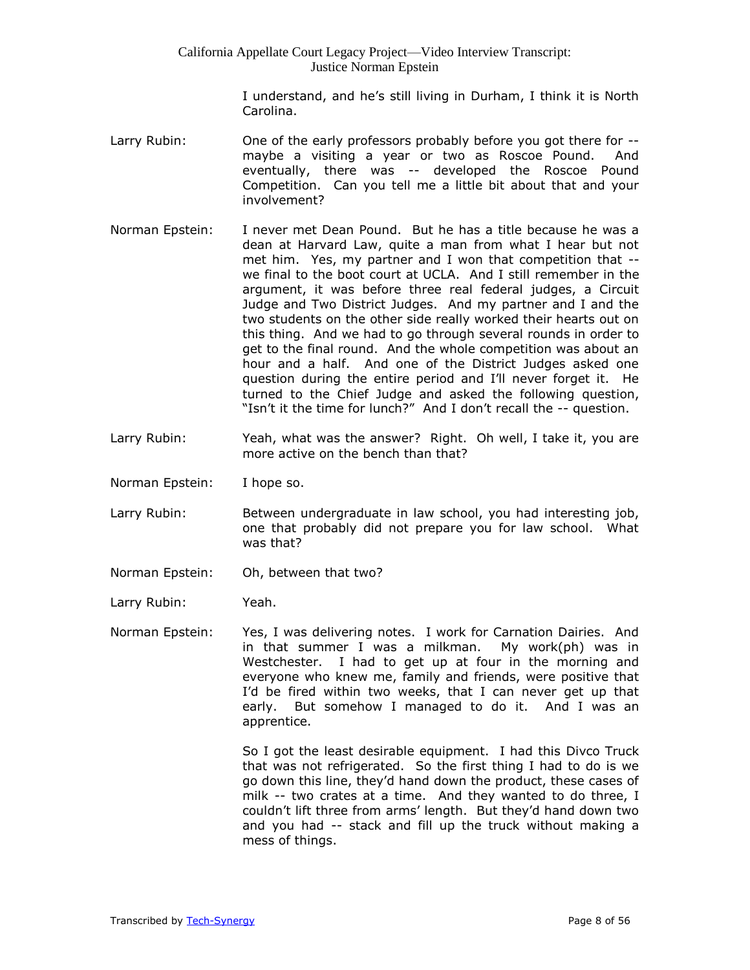> I understand, and he's still living in Durham, I think it is North Carolina.

- Larry Rubin: One of the early professors probably before you got there for -maybe a visiting a year or two as Roscoe Pound. And eventually, there was -- developed the Roscoe Pound Competition. Can you tell me a little bit about that and your involvement?
- Norman Epstein: I never met Dean Pound. But he has a title because he was a dean at Harvard Law, quite a man from what I hear but not met him. Yes, my partner and I won that competition that - we final to the boot court at UCLA. And I still remember in the argument, it was before three real federal judges, a Circuit Judge and Two District Judges. And my partner and I and the two students on the other side really worked their hearts out on this thing. And we had to go through several rounds in order to get to the final round. And the whole competition was about an hour and a half. And one of the District Judges asked one question during the entire period and I'll never forget it. He turned to the Chief Judge and asked the following question, "Isn't it the time for lunch?" And I don't recall the -- question.
- Larry Rubin: Yeah, what was the answer? Right. Oh well, I take it, you are more active on the bench than that?
- Norman Epstein: I hope so.
- Larry Rubin: Between undergraduate in law school, you had interesting job, one that probably did not prepare you for law school. What was that?
- Norman Epstein: Oh, between that two?

Larry Rubin: Yeah.

Norman Epstein: Yes, I was delivering notes. I work for Carnation Dairies. And in that summer I was a milkman. My work(ph) was in Westchester. I had to get up at four in the morning and everyone who knew me, family and friends, were positive that I'd be fired within two weeks, that I can never get up that early. But somehow I managed to do it. And I was an apprentice.

> So I got the least desirable equipment. I had this Divco Truck that was not refrigerated. So the first thing I had to do is we go down this line, they'd hand down the product, these cases of milk -- two crates at a time. And they wanted to do three, I couldn't lift three from arms' length. But they'd hand down two and you had -- stack and fill up the truck without making a mess of things.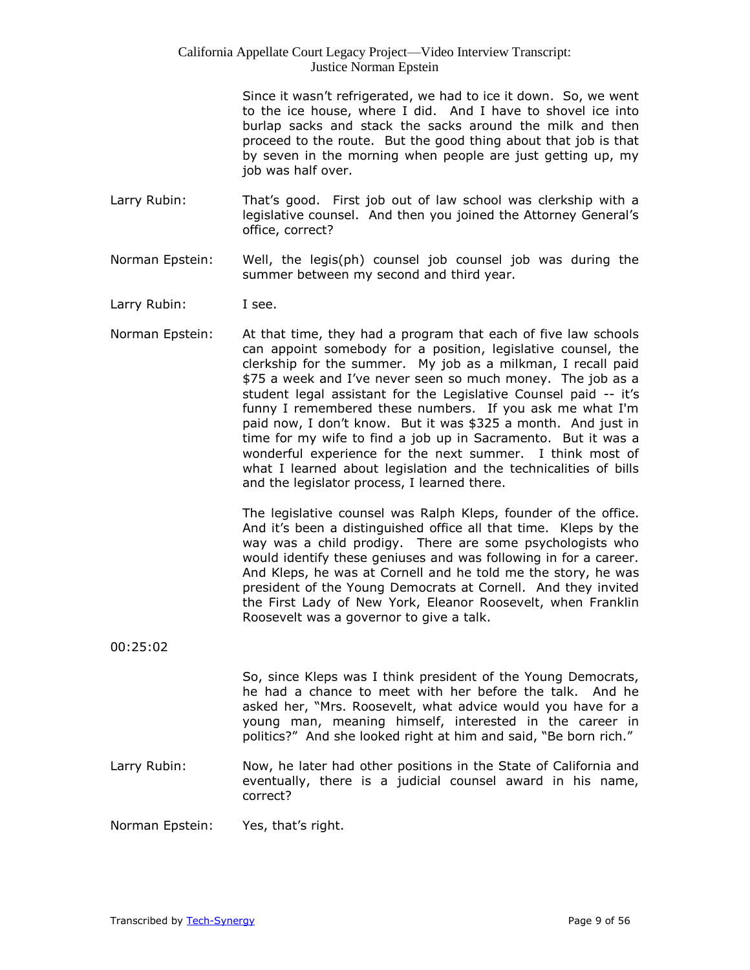Since it wasn't refrigerated, we had to ice it down. So, we went to the ice house, where I did. And I have to shovel ice into burlap sacks and stack the sacks around the milk and then proceed to the route. But the good thing about that job is that by seven in the morning when people are just getting up, my job was half over.

- Larry Rubin: That's good. First job out of law school was clerkship with a legislative counsel. And then you joined the Attorney General's office, correct?
- Norman Epstein: Well, the legis(ph) counsel job counsel job was during the summer between my second and third year.
- Larry Rubin: I see.
- Norman Epstein: At that time, they had a program that each of five law schools can appoint somebody for a position, legislative counsel, the clerkship for the summer. My job as a milkman, I recall paid \$75 a week and I've never seen so much money. The job as a student legal assistant for the Legislative Counsel paid -- it's funny I remembered these numbers. If you ask me what I'm paid now, I don't know. But it was \$325 a month. And just in time for my wife to find a job up in Sacramento. But it was a wonderful experience for the next summer. I think most of what I learned about legislation and the technicalities of bills and the legislator process, I learned there.

The legislative counsel was Ralph Kleps, founder of the office. And it's been a distinguished office all that time. Kleps by the way was a child prodigy. There are some psychologists who would identify these geniuses and was following in for a career. And Kleps, he was at Cornell and he told me the story, he was president of the Young Democrats at Cornell. And they invited the First Lady of New York, Eleanor Roosevelt, when Franklin Roosevelt was a governor to give a talk.

00:25:02

So, since Kleps was I think president of the Young Democrats, he had a chance to meet with her before the talk. And he asked her, "Mrs. Roosevelt, what advice would you have for a young man, meaning himself, interested in the career in politics?" And she looked right at him and said, "Be born rich."

Larry Rubin: Now, he later had other positions in the State of California and eventually, there is a judicial counsel award in his name, correct?

Norman Epstein: Yes, that's right.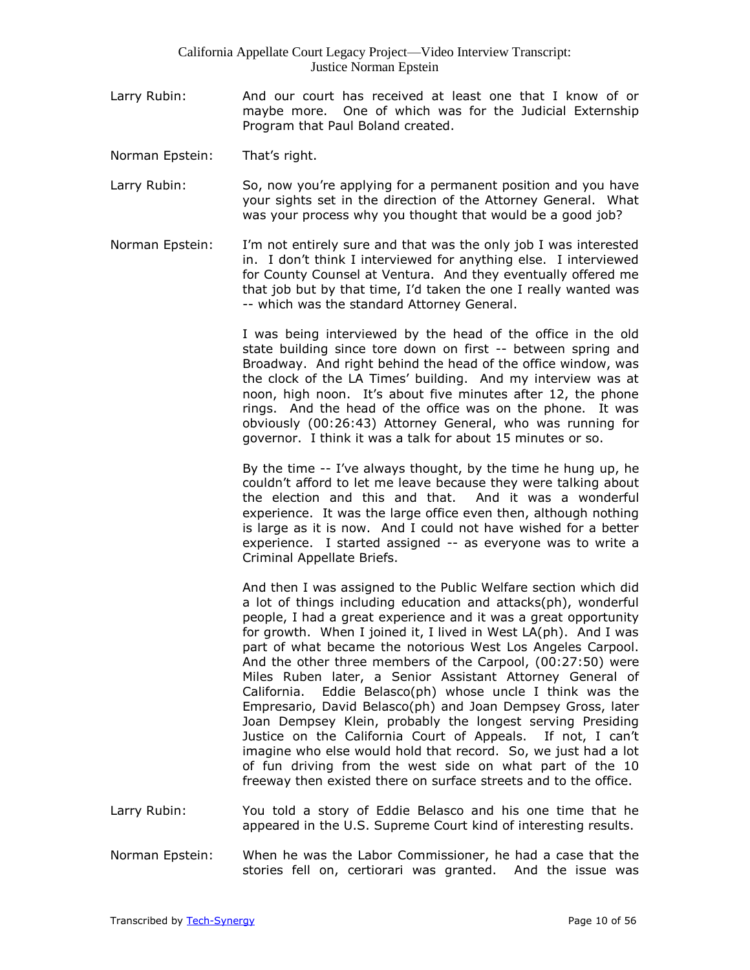- Larry Rubin: And our court has received at least one that I know of or maybe more. One of which was for the Judicial Externship Program that Paul Boland created.
- Norman Epstein: That's right.
- Larry Rubin: So, now you're applying for a permanent position and you have your sights set in the direction of the Attorney General. What was your process why you thought that would be a good job?
- Norman Epstein: I'm not entirely sure and that was the only job I was interested in. I don't think I interviewed for anything else. I interviewed for County Counsel at Ventura. And they eventually offered me that job but by that time, I'd taken the one I really wanted was -- which was the standard Attorney General.

I was being interviewed by the head of the office in the old state building since tore down on first -- between spring and Broadway. And right behind the head of the office window, was the clock of the LA Times' building. And my interview was at noon, high noon. It's about five minutes after 12, the phone rings. And the head of the office was on the phone. It was obviously (00:26:43) Attorney General, who was running for governor. I think it was a talk for about 15 minutes or so.

By the time -- I've always thought, by the time he hung up, he couldn't afford to let me leave because they were talking about the election and this and that. And it was a wonderful experience. It was the large office even then, although nothing is large as it is now. And I could not have wished for a better experience. I started assigned -- as everyone was to write a Criminal Appellate Briefs.

And then I was assigned to the Public Welfare section which did a lot of things including education and attacks(ph), wonderful people, I had a great experience and it was a great opportunity for growth. When I joined it, I lived in West LA(ph). And I was part of what became the notorious West Los Angeles Carpool. And the other three members of the Carpool, (00:27:50) were Miles Ruben later, a Senior Assistant Attorney General of California. Eddie Belasco(ph) whose uncle I think was the Empresario, David Belasco(ph) and Joan Dempsey Gross, later Joan Dempsey Klein, probably the longest serving Presiding Justice on the California Court of Appeals. If not, I can't imagine who else would hold that record. So, we just had a lot of fun driving from the west side on what part of the 10 freeway then existed there on surface streets and to the office.

- Larry Rubin: You told a story of Eddie Belasco and his one time that he appeared in the U.S. Supreme Court kind of interesting results.
- Norman Epstein: When he was the Labor Commissioner, he had a case that the stories fell on, certiorari was granted. And the issue was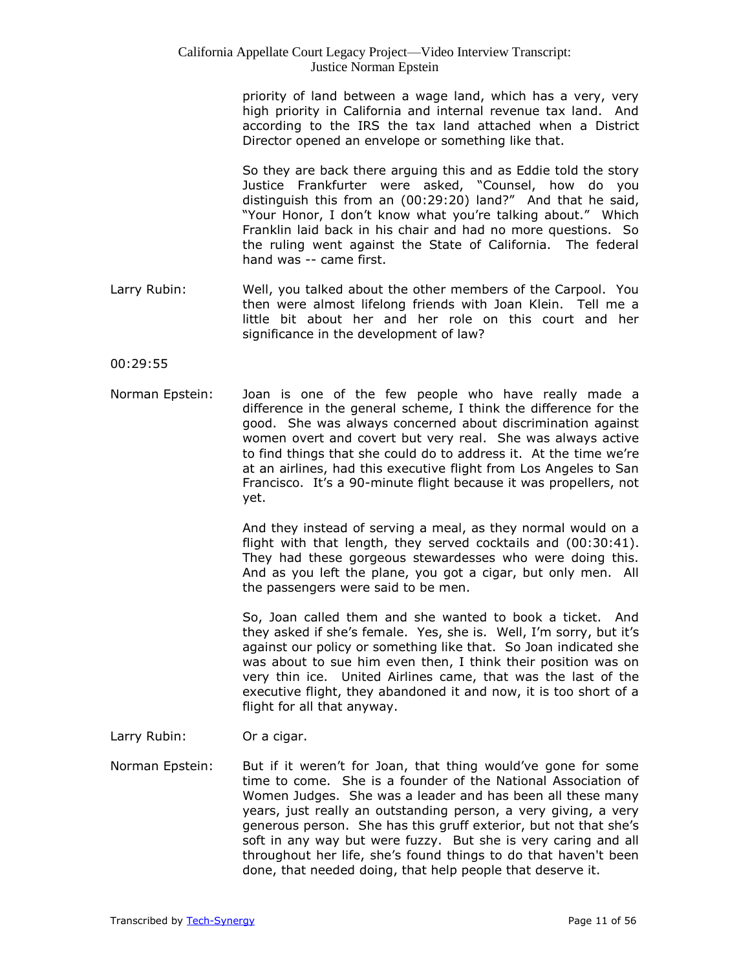priority of land between a wage land, which has a very, very high priority in California and internal revenue tax land. And according to the IRS the tax land attached when a District Director opened an envelope or something like that.

So they are back there arguing this and as Eddie told the story Justice Frankfurter were asked, "Counsel, how do you distinguish this from an (00:29:20) land?" And that he said, "Your Honor, I don't know what you're talking about." Which Franklin laid back in his chair and had no more questions. So the ruling went against the State of California. The federal hand was -- came first.

Larry Rubin: Well, you talked about the other members of the Carpool. You then were almost lifelong friends with Joan Klein. Tell me a little bit about her and her role on this court and her significance in the development of law?

00:29:55

Norman Epstein: Joan is one of the few people who have really made a difference in the general scheme, I think the difference for the good. She was always concerned about discrimination against women overt and covert but very real. She was always active to find things that she could do to address it. At the time we're at an airlines, had this executive flight from Los Angeles to San Francisco. It's a 90-minute flight because it was propellers, not yet.

> And they instead of serving a meal, as they normal would on a flight with that length, they served cocktails and (00:30:41). They had these gorgeous stewardesses who were doing this. And as you left the plane, you got a cigar, but only men. All the passengers were said to be men.

> So, Joan called them and she wanted to book a ticket. And they asked if she's female. Yes, she is. Well, I'm sorry, but it's against our policy or something like that. So Joan indicated she was about to sue him even then, I think their position was on very thin ice. United Airlines came, that was the last of the executive flight, they abandoned it and now, it is too short of a flight for all that anyway.

- Larry Rubin: Or a cigar.
- Norman Epstein: But if it weren't for Joan, that thing would've gone for some time to come. She is a founder of the National Association of Women Judges. She was a leader and has been all these many years, just really an outstanding person, a very giving, a very generous person. She has this gruff exterior, but not that she's soft in any way but were fuzzy. But she is very caring and all throughout her life, she's found things to do that haven't been done, that needed doing, that help people that deserve it.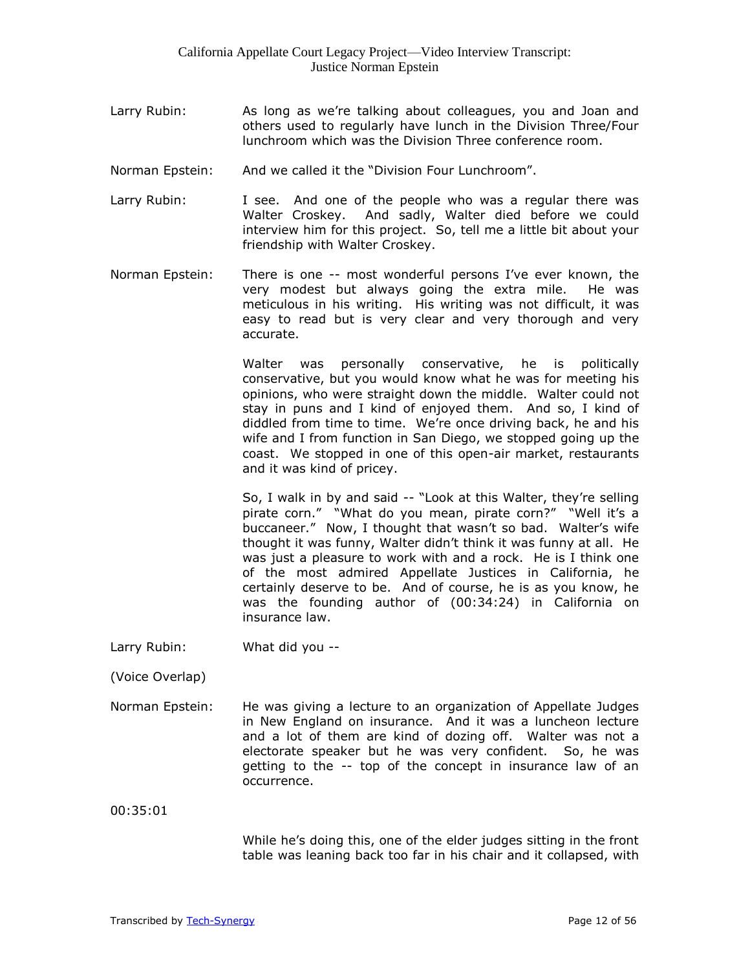- Larry Rubin: As long as we're talking about colleagues, you and Joan and others used to regularly have lunch in the Division Three/Four lunchroom which was the Division Three conference room.
- Norman Epstein: And we called it the "Division Four Lunchroom".
- Larry Rubin: I see. And one of the people who was a regular there was Walter Croskey. And sadly, Walter died before we could interview him for this project. So, tell me a little bit about your friendship with Walter Croskey.
- Norman Epstein: There is one -- most wonderful persons I've ever known, the very modest but always going the extra mile. He was meticulous in his writing. His writing was not difficult, it was easy to read but is very clear and very thorough and very accurate.

Walter was personally conservative, he is politically conservative, but you would know what he was for meeting his opinions, who were straight down the middle. Walter could not stay in puns and I kind of enjoyed them. And so, I kind of diddled from time to time. We're once driving back, he and his wife and I from function in San Diego, we stopped going up the coast. We stopped in one of this open-air market, restaurants and it was kind of pricey.

So, I walk in by and said -- "Look at this Walter, they're selling pirate corn." "What do you mean, pirate corn?" "Well it's a buccaneer." Now, I thought that wasn't so bad. Walter's wife thought it was funny, Walter didn't think it was funny at all. He was just a pleasure to work with and a rock. He is I think one of the most admired Appellate Justices in California, he certainly deserve to be. And of course, he is as you know, he was the founding author of (00:34:24) in California on insurance law.

Larry Rubin: What did you --

(Voice Overlap)

Norman Epstein: He was giving a lecture to an organization of Appellate Judges in New England on insurance. And it was a luncheon lecture and a lot of them are kind of dozing off. Walter was not a electorate speaker but he was very confident. So, he was getting to the -- top of the concept in insurance law of an occurrence.

00:35:01

While he's doing this, one of the elder judges sitting in the front table was leaning back too far in his chair and it collapsed, with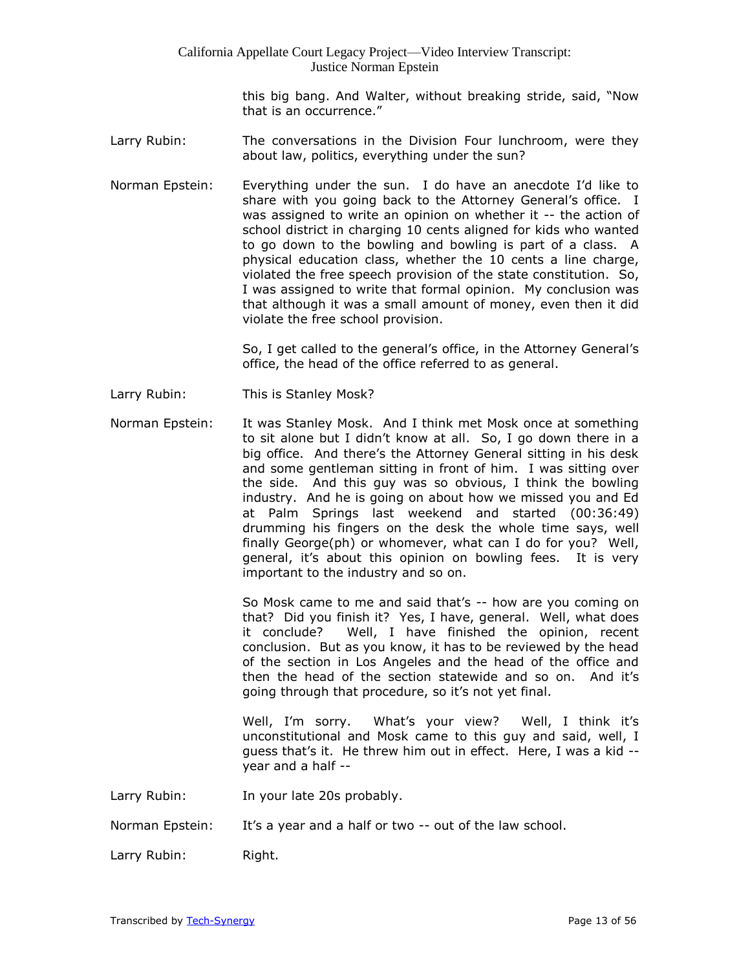this big bang. And Walter, without breaking stride, said, "Now that is an occurrence."

- Larry Rubin: The conversations in the Division Four lunchroom, were they about law, politics, everything under the sun?
- Norman Epstein: Everything under the sun. I do have an anecdote I'd like to share with you going back to the Attorney General's office. I was assigned to write an opinion on whether it -- the action of school district in charging 10 cents aligned for kids who wanted to go down to the bowling and bowling is part of a class. A physical education class, whether the 10 cents a line charge, violated the free speech provision of the state constitution. So, I was assigned to write that formal opinion. My conclusion was that although it was a small amount of money, even then it did violate the free school provision.

So, I get called to the general's office, in the Attorney General's office, the head of the office referred to as general.

- Larry Rubin: This is Stanley Mosk?
- Norman Epstein: It was Stanley Mosk. And I think met Mosk once at something to sit alone but I didn't know at all. So, I go down there in a big office. And there's the Attorney General sitting in his desk and some gentleman sitting in front of him. I was sitting over the side. And this guy was so obvious, I think the bowling industry. And he is going on about how we missed you and Ed at Palm Springs last weekend and started (00:36:49) drumming his fingers on the desk the whole time says, well finally George(ph) or whomever, what can I do for you? Well, general, it's about this opinion on bowling fees. It is very important to the industry and so on.

So Mosk came to me and said that's -- how are you coming on that? Did you finish it? Yes, I have, general. Well, what does it conclude? Well, I have finished the opinion, recent conclusion. But as you know, it has to be reviewed by the head of the section in Los Angeles and the head of the office and then the head of the section statewide and so on. And it's going through that procedure, so it's not yet final.

Well, I'm sorry. What's your view? Well, I think it's unconstitutional and Mosk came to this guy and said, well, I guess that's it. He threw him out in effect. Here, I was a kid - year and a half --

Larry Rubin: In your late 20s probably.

Norman Epstein: It's a year and a half or two -- out of the law school.

Larry Rubin: Right.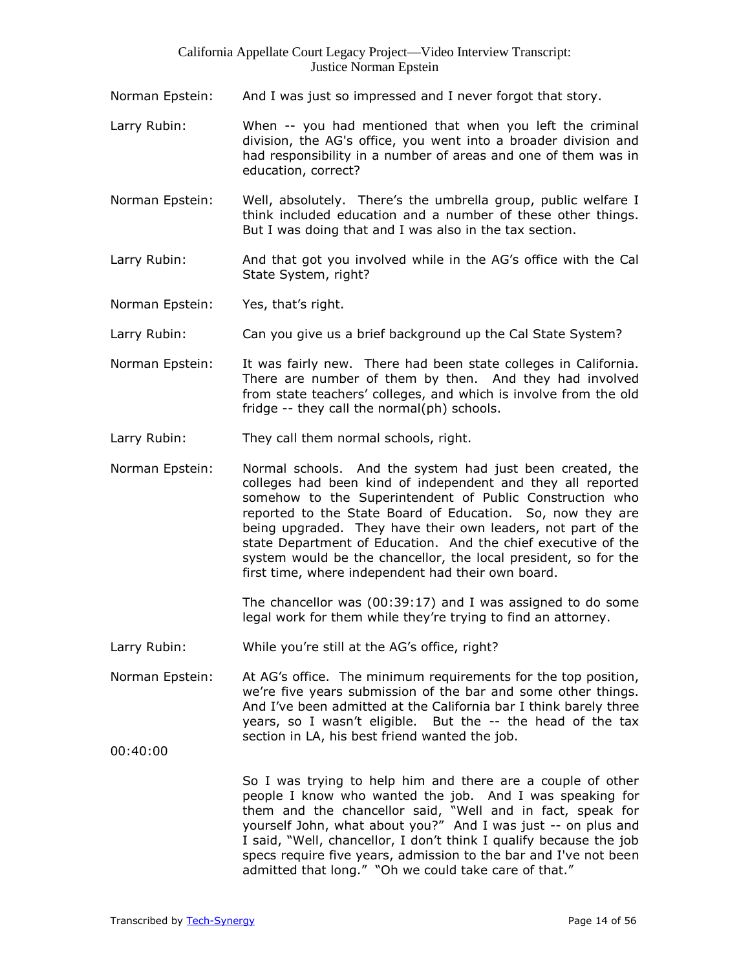- Norman Epstein: And I was just so impressed and I never forgot that story.
- Larry Rubin: When -- you had mentioned that when you left the criminal division, the AG's office, you went into a broader division and had responsibility in a number of areas and one of them was in education, correct?
- Norman Epstein: Well, absolutely. There's the umbrella group, public welfare I think included education and a number of these other things. But I was doing that and I was also in the tax section.
- Larry Rubin: And that got you involved while in the AG's office with the Cal State System, right?

Norman Epstein: Yes, that's right.

- Larry Rubin: Can you give us a brief background up the Cal State System?
- Norman Epstein: It was fairly new. There had been state colleges in California. There are number of them by then. And they had involved from state teachers' colleges, and which is involve from the old fridge -- they call the normal(ph) schools.
- Larry Rubin: They call them normal schools, right.
- Norman Epstein: Normal schools. And the system had just been created, the colleges had been kind of independent and they all reported somehow to the Superintendent of Public Construction who reported to the State Board of Education. So, now they are being upgraded. They have their own leaders, not part of the state Department of Education. And the chief executive of the system would be the chancellor, the local president, so for the first time, where independent had their own board.

The chancellor was (00:39:17) and I was assigned to do some legal work for them while they're trying to find an attorney.

- Larry Rubin: While you're still at the AG's office, right?
- Norman Epstein: At AG's office. The minimum requirements for the top position, we're five years submission of the bar and some other things. And I've been admitted at the California bar I think barely three years, so I wasn't eligible. But the -- the head of the tax section in LA, his best friend wanted the job.

00:40:00

So I was trying to help him and there are a couple of other people I know who wanted the job. And I was speaking for them and the chancellor said, "Well and in fact, speak for yourself John, what about you?" And I was just -- on plus and I said, "Well, chancellor, I don't think I qualify because the job specs require five years, admission to the bar and I've not been admitted that long." "Oh we could take care of that."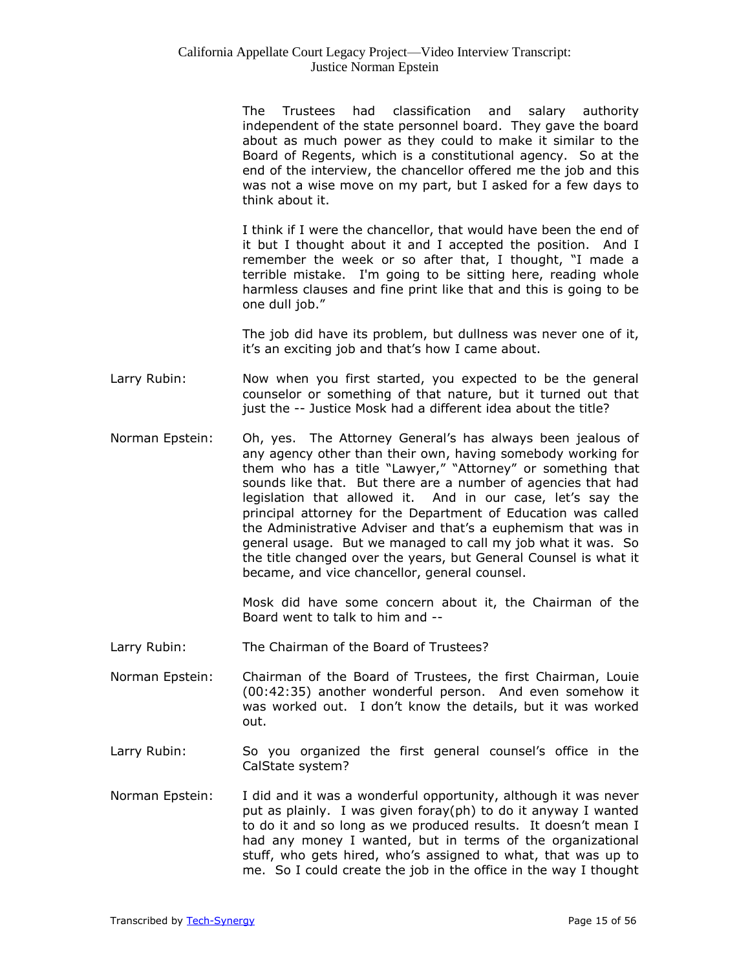The Trustees had classification and salary authority independent of the state personnel board. They gave the board about as much power as they could to make it similar to the Board of Regents, which is a constitutional agency. So at the end of the interview, the chancellor offered me the job and this was not a wise move on my part, but I asked for a few days to think about it.

I think if I were the chancellor, that would have been the end of it but I thought about it and I accepted the position. And I remember the week or so after that, I thought, "I made a terrible mistake. I'm going to be sitting here, reading whole harmless clauses and fine print like that and this is going to be one dull job."

The job did have its problem, but dullness was never one of it, it's an exciting job and that's how I came about.

- Larry Rubin: Now when you first started, you expected to be the general counselor or something of that nature, but it turned out that just the -- Justice Mosk had a different idea about the title?
- Norman Epstein: Oh, yes. The Attorney General's has always been jealous of any agency other than their own, having somebody working for them who has a title "Lawyer," "Attorney" or something that sounds like that. But there are a number of agencies that had legislation that allowed it. And in our case, let's say the principal attorney for the Department of Education was called the Administrative Adviser and that's a euphemism that was in general usage. But we managed to call my job what it was. So the title changed over the years, but General Counsel is what it became, and vice chancellor, general counsel.

Mosk did have some concern about it, the Chairman of the Board went to talk to him and --

- Larry Rubin: The Chairman of the Board of Trustees?
- Norman Epstein: Chairman of the Board of Trustees, the first Chairman, Louie (00:42:35) another wonderful person. And even somehow it was worked out. I don't know the details, but it was worked out.
- Larry Rubin: So you organized the first general counsel's office in the CalState system?
- Norman Epstein: I did and it was a wonderful opportunity, although it was never put as plainly. I was given foray(ph) to do it anyway I wanted to do it and so long as we produced results. It doesn't mean I had any money I wanted, but in terms of the organizational stuff, who gets hired, who's assigned to what, that was up to me. So I could create the job in the office in the way I thought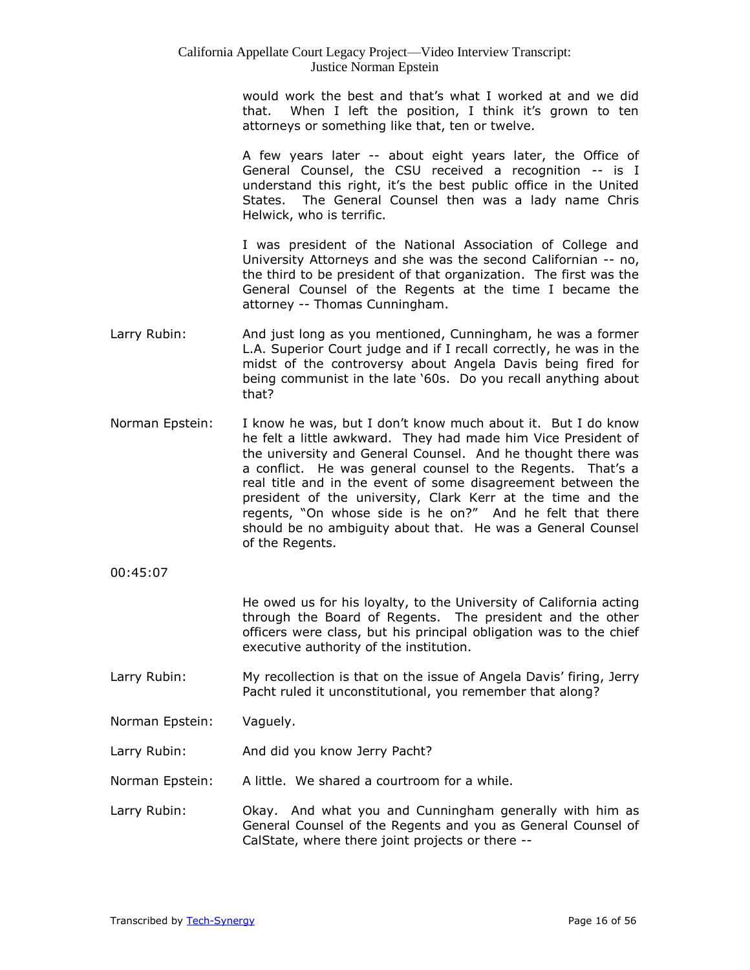would work the best and that's what I worked at and we did that. When I left the position, I think it's grown to ten attorneys or something like that, ten or twelve.

A few years later -- about eight years later, the Office of General Counsel, the CSU received a recognition -- is I understand this right, it's the best public office in the United States. The General Counsel then was a lady name Chris Helwick, who is terrific.

I was president of the National Association of College and University Attorneys and she was the second Californian -- no, the third to be president of that organization. The first was the General Counsel of the Regents at the time I became the attorney -- Thomas Cunningham.

- Larry Rubin: And just long as you mentioned, Cunningham, he was a former L.A. Superior Court judge and if I recall correctly, he was in the midst of the controversy about Angela Davis being fired for being communist in the late '60s. Do you recall anything about that?
- Norman Epstein: I know he was, but I don't know much about it. But I do know he felt a little awkward. They had made him Vice President of the university and General Counsel. And he thought there was a conflict. He was general counsel to the Regents. That's a real title and in the event of some disagreement between the president of the university, Clark Kerr at the time and the regents, "On whose side is he on?" And he felt that there should be no ambiguity about that. He was a General Counsel of the Regents.
- 00:45:07

He owed us for his loyalty, to the University of California acting through the Board of Regents. The president and the other officers were class, but his principal obligation was to the chief executive authority of the institution.

- Larry Rubin: My recollection is that on the issue of Angela Davis' firing, Jerry Pacht ruled it unconstitutional, you remember that along?
- Norman Epstein: Vaguely.
- Larry Rubin: And did you know Jerry Pacht?
- Norman Epstein: A little. We shared a courtroom for a while.
- Larry Rubin: Cheay. And what you and Cunningham generally with him as General Counsel of the Regents and you as General Counsel of CalState, where there joint projects or there --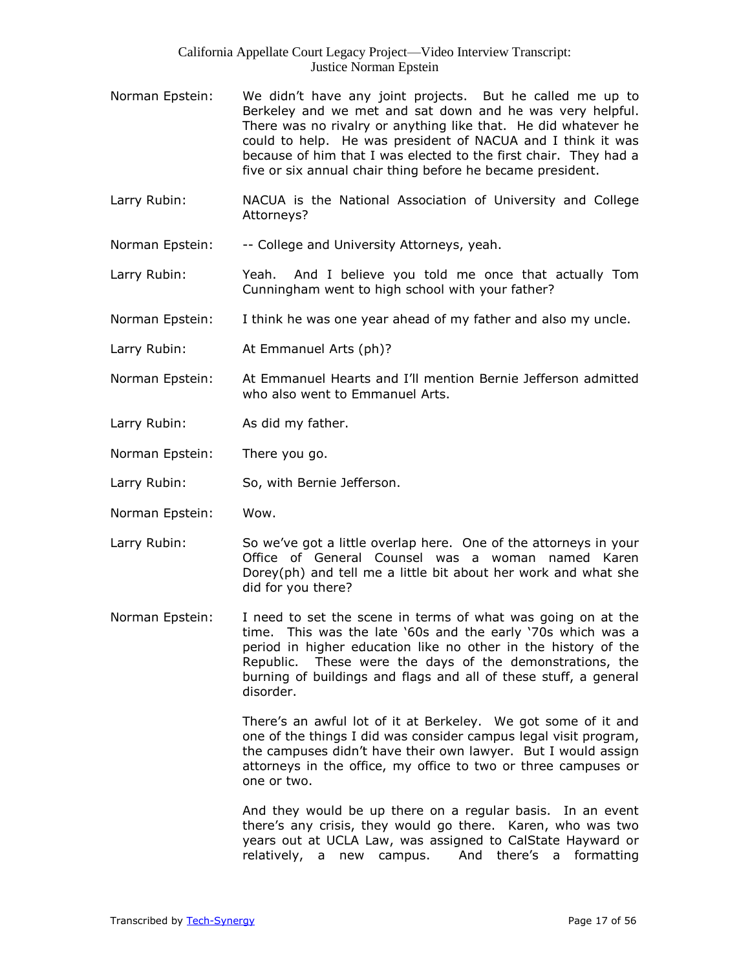- Norman Epstein: We didn't have any joint projects. But he called me up to Berkeley and we met and sat down and he was very helpful. There was no rivalry or anything like that. He did whatever he could to help. He was president of NACUA and I think it was because of him that I was elected to the first chair. They had a five or six annual chair thing before he became president.
- Larry Rubin: NACUA is the National Association of University and College Attorneys?
- Norman Epstein: -- College and University Attorneys, yeah.
- Larry Rubin: Yeah. And I believe you told me once that actually Tom Cunningham went to high school with your father?
- Norman Epstein: I think he was one year ahead of my father and also my uncle.
- Larry Rubin: At Emmanuel Arts (ph)?
- Norman Epstein: At Emmanuel Hearts and I'll mention Bernie Jefferson admitted who also went to Emmanuel Arts.
- Larry Rubin: As did my father.
- Norman Epstein: There you go.
- Larry Rubin: So, with Bernie Jefferson.
- Norman Epstein: Wow.
- Larry Rubin: So we've got a little overlap here. One of the attorneys in your Office of General Counsel was a woman named Karen Dorey(ph) and tell me a little bit about her work and what she did for you there?
- Norman Epstein: I need to set the scene in terms of what was going on at the time. This was the late '60s and the early '70s which was a period in higher education like no other in the history of the Republic. These were the days of the demonstrations, the burning of buildings and flags and all of these stuff, a general disorder.

There's an awful lot of it at Berkeley. We got some of it and one of the things I did was consider campus legal visit program, the campuses didn't have their own lawyer. But I would assign attorneys in the office, my office to two or three campuses or one or two.

And they would be up there on a regular basis. In an event there's any crisis, they would go there. Karen, who was two years out at UCLA Law, was assigned to CalState Hayward or relatively, a new campus. And there's a formatting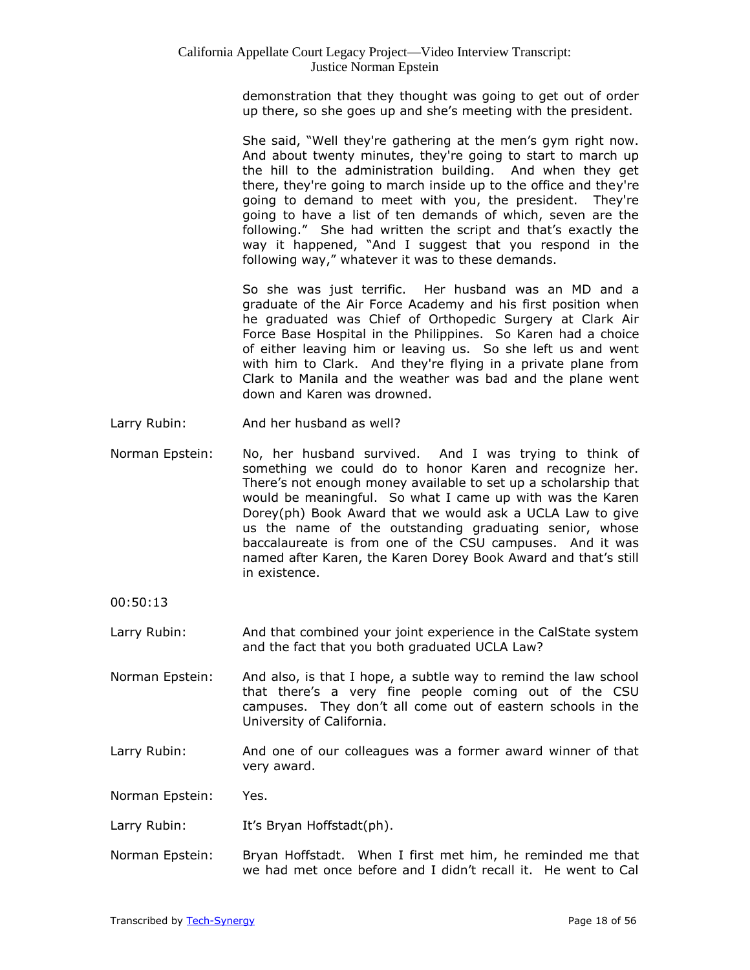demonstration that they thought was going to get out of order up there, so she goes up and she's meeting with the president.

She said, "Well they're gathering at the men's gym right now. And about twenty minutes, they're going to start to march up the hill to the administration building. And when they get there, they're going to march inside up to the office and they're going to demand to meet with you, the president. They're going to have a list of ten demands of which, seven are the following." She had written the script and that's exactly the way it happened, "And I suggest that you respond in the following way," whatever it was to these demands.

So she was just terrific. Her husband was an MD and a graduate of the Air Force Academy and his first position when he graduated was Chief of Orthopedic Surgery at Clark Air Force Base Hospital in the Philippines. So Karen had a choice of either leaving him or leaving us. So she left us and went with him to Clark. And they're flying in a private plane from Clark to Manila and the weather was bad and the plane went down and Karen was drowned.

- Larry Rubin: And her husband as well?
- Norman Epstein: No, her husband survived. And I was trying to think of something we could do to honor Karen and recognize her. There's not enough money available to set up a scholarship that would be meaningful. So what I came up with was the Karen Dorey(ph) Book Award that we would ask a UCLA Law to give us the name of the outstanding graduating senior, whose baccalaureate is from one of the CSU campuses. And it was named after Karen, the Karen Dorey Book Award and that's still in existence.

00:50:13

- Larry Rubin: And that combined your joint experience in the CalState system and the fact that you both graduated UCLA Law?
- Norman Epstein: And also, is that I hope, a subtle way to remind the law school that there's a very fine people coming out of the CSU campuses. They don't all come out of eastern schools in the University of California.
- Larry Rubin: And one of our colleagues was a former award winner of that very award.

Norman Epstein: Yes.

- Larry Rubin: It's Bryan Hoffstadt(ph).
- Norman Epstein: Bryan Hoffstadt. When I first met him, he reminded me that we had met once before and I didn't recall it. He went to Cal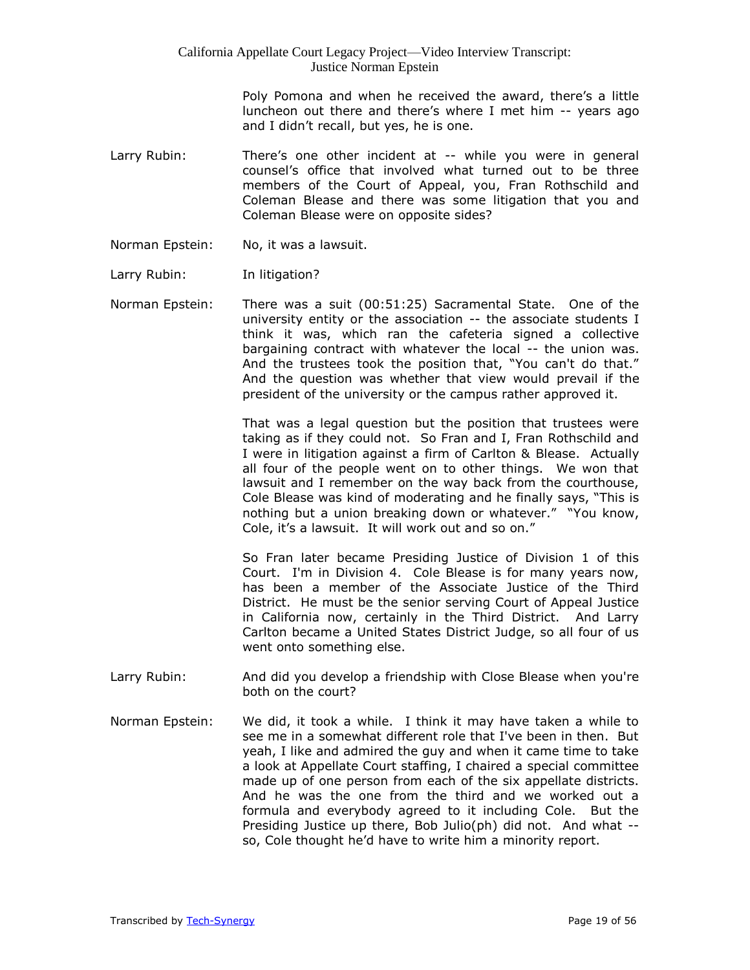> Poly Pomona and when he received the award, there's a little luncheon out there and there's where I met him -- years ago and I didn't recall, but yes, he is one.

- Larry Rubin: There's one other incident at -- while you were in general counsel's office that involved what turned out to be three members of the Court of Appeal, you, Fran Rothschild and Coleman Blease and there was some litigation that you and Coleman Blease were on opposite sides?
- Norman Epstein: No, it was a lawsuit.
- Larry Rubin: In litigation?
- Norman Epstein: There was a suit (00:51:25) Sacramental State. One of the university entity or the association -- the associate students I think it was, which ran the cafeteria signed a collective bargaining contract with whatever the local -- the union was. And the trustees took the position that, "You can't do that." And the question was whether that view would prevail if the president of the university or the campus rather approved it.

That was a legal question but the position that trustees were taking as if they could not. So Fran and I, Fran Rothschild and I were in litigation against a firm of Carlton & Blease. Actually all four of the people went on to other things. We won that lawsuit and I remember on the way back from the courthouse, Cole Blease was kind of moderating and he finally says, "This is nothing but a union breaking down or whatever." "You know, Cole, it's a lawsuit. It will work out and so on."

So Fran later became Presiding Justice of Division 1 of this Court. I'm in Division 4. Cole Blease is for many years now, has been a member of the Associate Justice of the Third District. He must be the senior serving Court of Appeal Justice in California now, certainly in the Third District. And Larry Carlton became a United States District Judge, so all four of us went onto something else.

- Larry Rubin: And did you develop a friendship with Close Blease when you're both on the court?
- Norman Epstein: We did, it took a while. I think it may have taken a while to see me in a somewhat different role that I've been in then. But yeah, I like and admired the guy and when it came time to take a look at Appellate Court staffing, I chaired a special committee made up of one person from each of the six appellate districts. And he was the one from the third and we worked out a formula and everybody agreed to it including Cole. But the Presiding Justice up there, Bob Julio(ph) did not. And what - so, Cole thought he'd have to write him a minority report.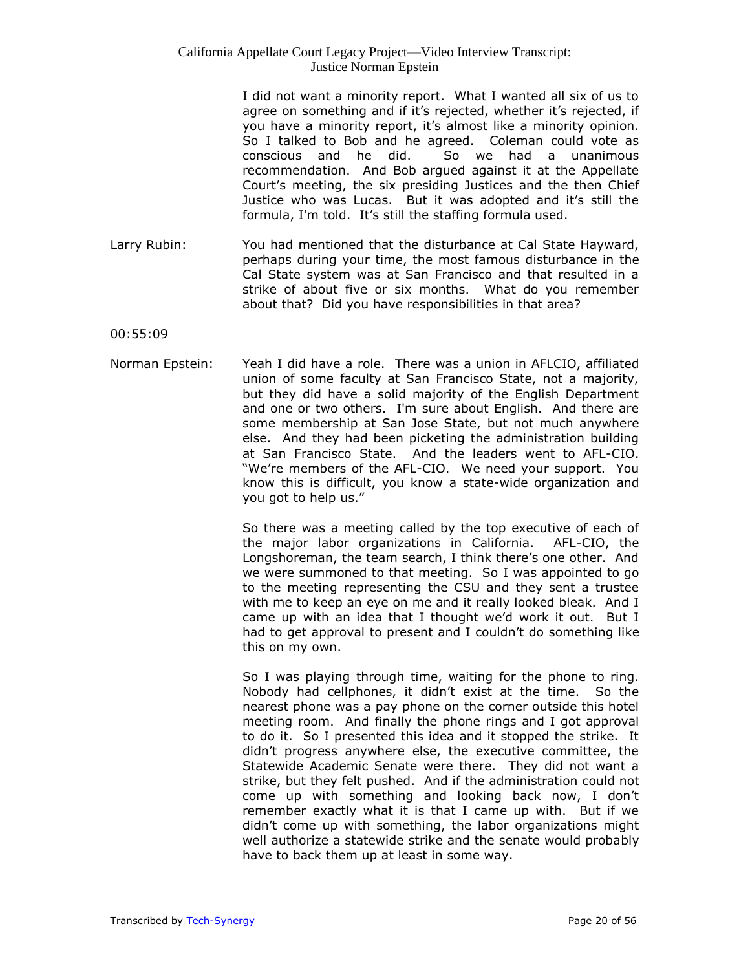I did not want a minority report. What I wanted all six of us to agree on something and if it's rejected, whether it's rejected, if you have a minority report, it's almost like a minority opinion. So I talked to Bob and he agreed. Coleman could vote as conscious and he did. So we had a unanimous recommendation. And Bob argued against it at the Appellate Court's meeting, the six presiding Justices and the then Chief Justice who was Lucas. But it was adopted and it's still the formula, I'm told. It's still the staffing formula used.

Larry Rubin: You had mentioned that the disturbance at Cal State Hayward, perhaps during your time, the most famous disturbance in the Cal State system was at San Francisco and that resulted in a strike of about five or six months. What do you remember about that? Did you have responsibilities in that area?

00:55:09

Norman Epstein: Yeah I did have a role. There was a union in AFLCIO, affiliated union of some faculty at San Francisco State, not a majority, but they did have a solid majority of the English Department and one or two others. I'm sure about English. And there are some membership at San Jose State, but not much anywhere else. And they had been picketing the administration building at San Francisco State. And the leaders went to AFL-CIO. "We're members of the AFL-CIO. We need your support. You know this is difficult, you know a state-wide organization and you got to help us."

> So there was a meeting called by the top executive of each of the major labor organizations in California. AFL-CIO, the Longshoreman, the team search, I think there's one other. And we were summoned to that meeting. So I was appointed to go to the meeting representing the CSU and they sent a trustee with me to keep an eye on me and it really looked bleak. And I came up with an idea that I thought we'd work it out. But I had to get approval to present and I couldn't do something like this on my own.

> So I was playing through time, waiting for the phone to ring. Nobody had cellphones, it didn't exist at the time. So the nearest phone was a pay phone on the corner outside this hotel meeting room. And finally the phone rings and I got approval to do it. So I presented this idea and it stopped the strike. It didn't progress anywhere else, the executive committee, the Statewide Academic Senate were there. They did not want a strike, but they felt pushed. And if the administration could not come up with something and looking back now, I don't remember exactly what it is that I came up with. But if we didn't come up with something, the labor organizations might well authorize a statewide strike and the senate would probably have to back them up at least in some way.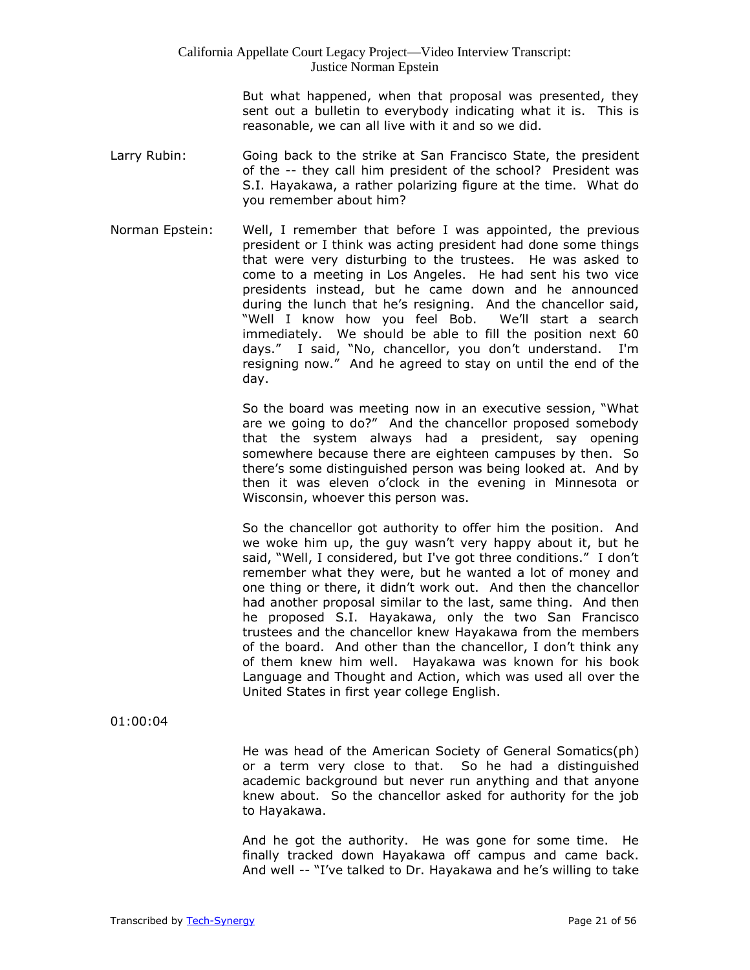But what happened, when that proposal was presented, they sent out a bulletin to everybody indicating what it is. This is reasonable, we can all live with it and so we did.

- Larry Rubin: Going back to the strike at San Francisco State, the president of the -- they call him president of the school? President was S.I. Hayakawa, a rather polarizing figure at the time. What do you remember about him?
- Norman Epstein: Well, I remember that before I was appointed, the previous president or I think was acting president had done some things that were very disturbing to the trustees. He was asked to come to a meeting in Los Angeles. He had sent his two vice presidents instead, but he came down and he announced during the lunch that he's resigning. And the chancellor said, "Well I know how you feel Bob. We'll start a search immediately. We should be able to fill the position next 60 days." I said, "No, chancellor, you don't understand. I'm resigning now." And he agreed to stay on until the end of the day.

So the board was meeting now in an executive session, "What are we going to do?" And the chancellor proposed somebody that the system always had a president, say opening somewhere because there are eighteen campuses by then. So there's some distinguished person was being looked at. And by then it was eleven o'clock in the evening in Minnesota or Wisconsin, whoever this person was.

So the chancellor got authority to offer him the position. And we woke him up, the guy wasn't very happy about it, but he said, "Well, I considered, but I've got three conditions." I don't remember what they were, but he wanted a lot of money and one thing or there, it didn't work out. And then the chancellor had another proposal similar to the last, same thing. And then he proposed S.I. Hayakawa, only the two San Francisco trustees and the chancellor knew Hayakawa from the members of the board. And other than the chancellor, I don't think any of them knew him well. Hayakawa was known for his book Language and Thought and Action, which was used all over the United States in first year college English.

01:00:04

He was head of the American Society of General Somatics(ph) or a term very close to that. So he had a distinguished academic background but never run anything and that anyone knew about. So the chancellor asked for authority for the job to Hayakawa.

And he got the authority. He was gone for some time. He finally tracked down Hayakawa off campus and came back. And well -- "I've talked to Dr. Hayakawa and he's willing to take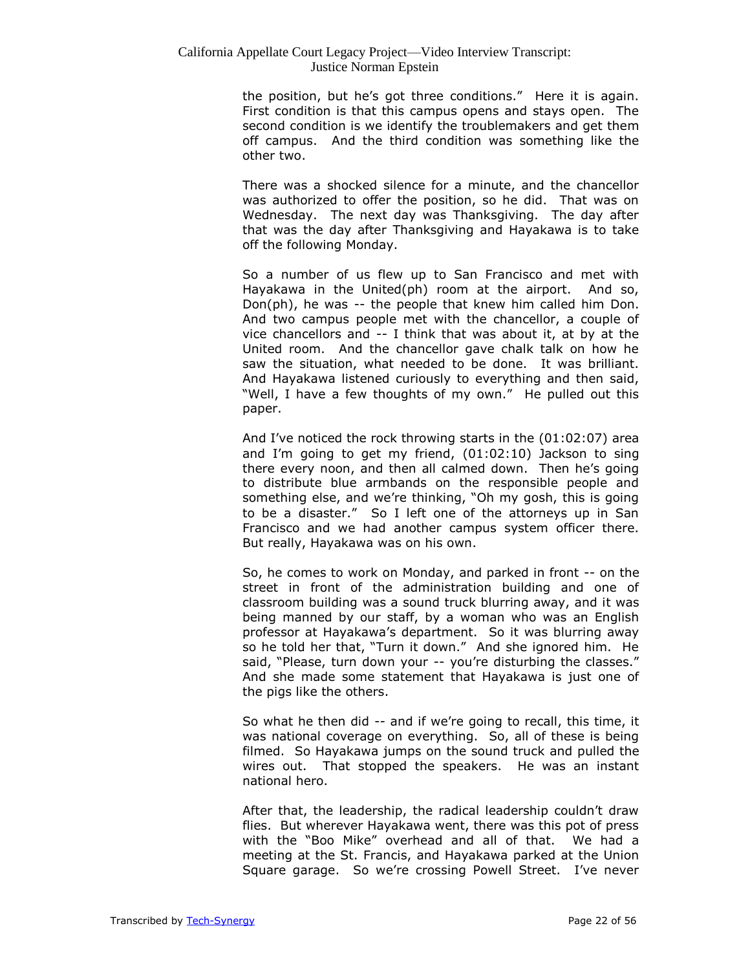the position, but he's got three conditions." Here it is again. First condition is that this campus opens and stays open. The second condition is we identify the troublemakers and get them off campus. And the third condition was something like the other two.

There was a shocked silence for a minute, and the chancellor was authorized to offer the position, so he did. That was on Wednesday. The next day was Thanksgiving. The day after that was the day after Thanksgiving and Hayakawa is to take off the following Monday.

So a number of us flew up to San Francisco and met with Hayakawa in the United(ph) room at the airport. And so, Don(ph), he was -- the people that knew him called him Don. And two campus people met with the chancellor, a couple of vice chancellors and -- I think that was about it, at by at the United room. And the chancellor gave chalk talk on how he saw the situation, what needed to be done. It was brilliant. And Hayakawa listened curiously to everything and then said, "Well, I have a few thoughts of my own." He pulled out this paper.

And I've noticed the rock throwing starts in the (01:02:07) area and I'm going to get my friend, (01:02:10) Jackson to sing there every noon, and then all calmed down. Then he's going to distribute blue armbands on the responsible people and something else, and we're thinking, "Oh my gosh, this is going to be a disaster." So I left one of the attorneys up in San Francisco and we had another campus system officer there. But really, Hayakawa was on his own.

So, he comes to work on Monday, and parked in front -- on the street in front of the administration building and one of classroom building was a sound truck blurring away, and it was being manned by our staff, by a woman who was an English professor at Hayakawa's department. So it was blurring away so he told her that, "Turn it down." And she ignored him. He said, "Please, turn down your -- you're disturbing the classes." And she made some statement that Hayakawa is just one of the pigs like the others.

So what he then did -- and if we're going to recall, this time, it was national coverage on everything. So, all of these is being filmed. So Hayakawa jumps on the sound truck and pulled the wires out. That stopped the speakers. He was an instant national hero.

After that, the leadership, the radical leadership couldn't draw flies. But wherever Hayakawa went, there was this pot of press with the "Boo Mike" overhead and all of that. We had a meeting at the St. Francis, and Hayakawa parked at the Union Square garage. So we're crossing Powell Street. I've never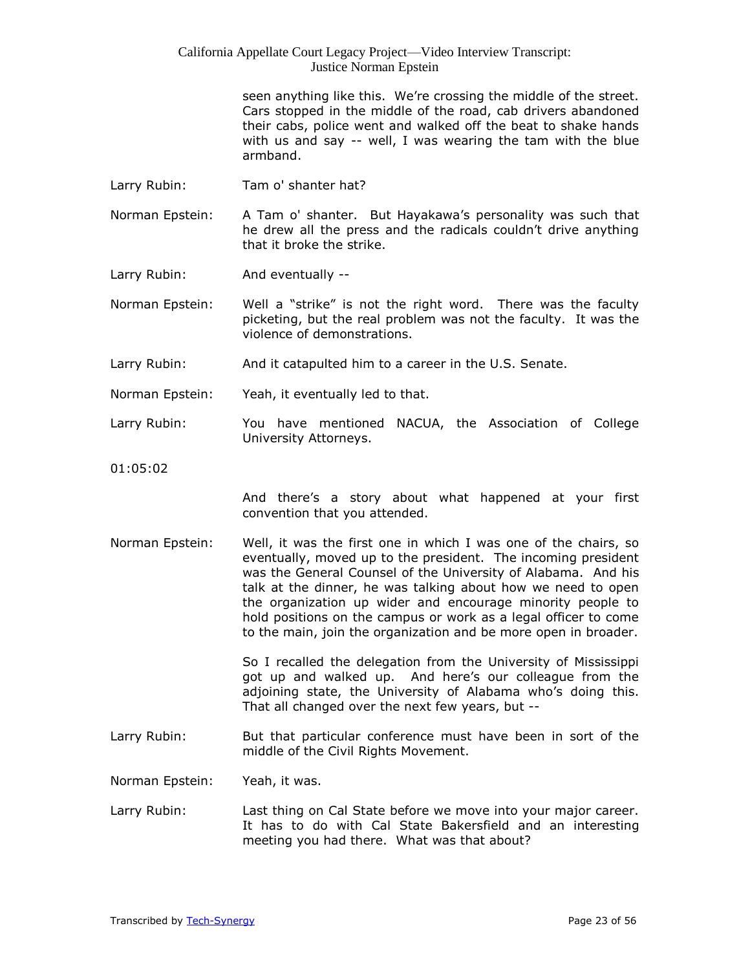> seen anything like this. We're crossing the middle of the street. Cars stopped in the middle of the road, cab drivers abandoned their cabs, police went and walked off the beat to shake hands with us and say -- well, I was wearing the tam with the blue armband.

Larry Rubin: Tam o' shanter hat?

Norman Epstein: A Tam o' shanter. But Hayakawa's personality was such that he drew all the press and the radicals couldn't drive anything that it broke the strike.

Larry Rubin: And eventually --

Norman Epstein: Well a "strike" is not the right word. There was the faculty picketing, but the real problem was not the faculty. It was the violence of demonstrations.

- Larry Rubin: And it catapulted him to a career in the U.S. Senate.
- Norman Epstein: Yeah, it eventually led to that.
- Larry Rubin: You have mentioned NACUA, the Association of College University Attorneys.
- 01:05:02

And there's a story about what happened at your first convention that you attended.

Norman Epstein: Well, it was the first one in which I was one of the chairs, so eventually, moved up to the president. The incoming president was the General Counsel of the University of Alabama. And his talk at the dinner, he was talking about how we need to open the organization up wider and encourage minority people to hold positions on the campus or work as a legal officer to come to the main, join the organization and be more open in broader.

> So I recalled the delegation from the University of Mississippi got up and walked up. And here's our colleague from the adjoining state, the University of Alabama who's doing this. That all changed over the next few years, but --

Larry Rubin: But that particular conference must have been in sort of the middle of the Civil Rights Movement.

Norman Epstein: Yeah, it was.

Larry Rubin: Last thing on Cal State before we move into your major career. It has to do with Cal State Bakersfield and an interesting meeting you had there. What was that about?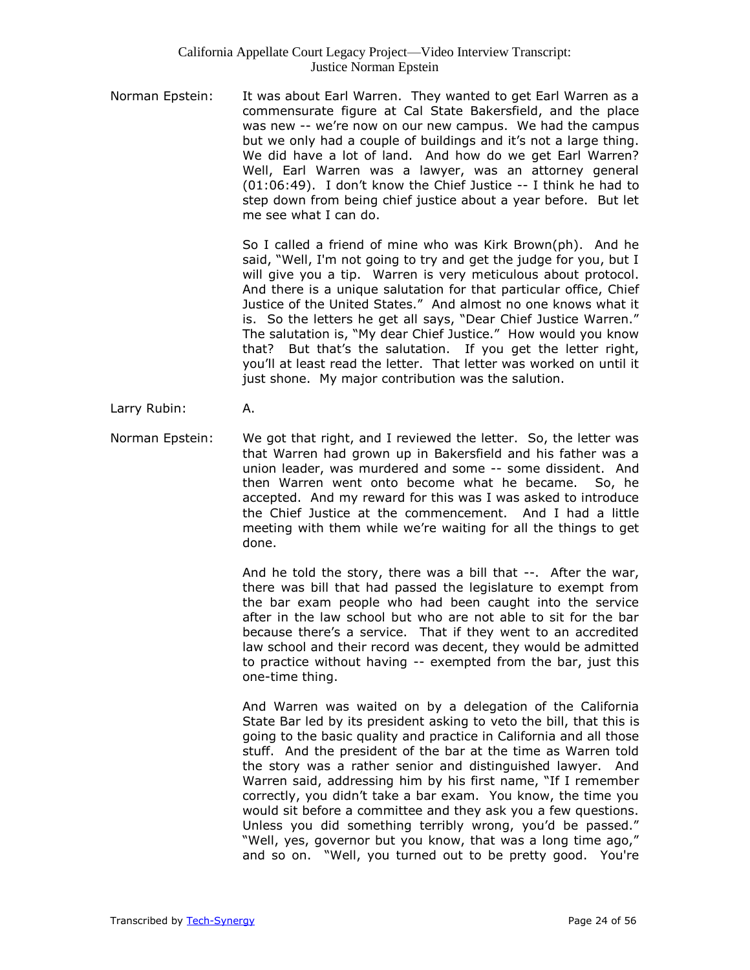Norman Epstein: It was about Earl Warren. They wanted to get Earl Warren as a commensurate figure at Cal State Bakersfield, and the place was new -- we're now on our new campus. We had the campus but we only had a couple of buildings and it's not a large thing. We did have a lot of land. And how do we get Earl Warren? Well, Earl Warren was a lawyer, was an attorney general (01:06:49). I don't know the Chief Justice -- I think he had to step down from being chief justice about a year before. But let me see what I can do.

> So I called a friend of mine who was Kirk Brown(ph). And he said, "Well, I'm not going to try and get the judge for you, but I will give you a tip. Warren is very meticulous about protocol. And there is a unique salutation for that particular office, Chief Justice of the United States." And almost no one knows what it is. So the letters he get all says, "Dear Chief Justice Warren." The salutation is, "My dear Chief Justice." How would you know that? But that's the salutation. If you get the letter right, you'll at least read the letter. That letter was worked on until it just shone. My major contribution was the salution.

- Larry Rubin: A.
- Norman Epstein: We got that right, and I reviewed the letter. So, the letter was that Warren had grown up in Bakersfield and his father was a union leader, was murdered and some -- some dissident. And then Warren went onto become what he became. So, he accepted. And my reward for this was I was asked to introduce the Chief Justice at the commencement. And I had a little meeting with them while we're waiting for all the things to get done.

And he told the story, there was a bill that --. After the war, there was bill that had passed the legislature to exempt from the bar exam people who had been caught into the service after in the law school but who are not able to sit for the bar because there's a service. That if they went to an accredited law school and their record was decent, they would be admitted to practice without having -- exempted from the bar, just this one-time thing.

And Warren was waited on by a delegation of the California State Bar led by its president asking to veto the bill, that this is going to the basic quality and practice in California and all those stuff. And the president of the bar at the time as Warren told the story was a rather senior and distinguished lawyer. And Warren said, addressing him by his first name, "If I remember correctly, you didn't take a bar exam. You know, the time you would sit before a committee and they ask you a few questions. Unless you did something terribly wrong, you'd be passed." "Well, yes, governor but you know, that was a long time ago," and so on. "Well, you turned out to be pretty good. You're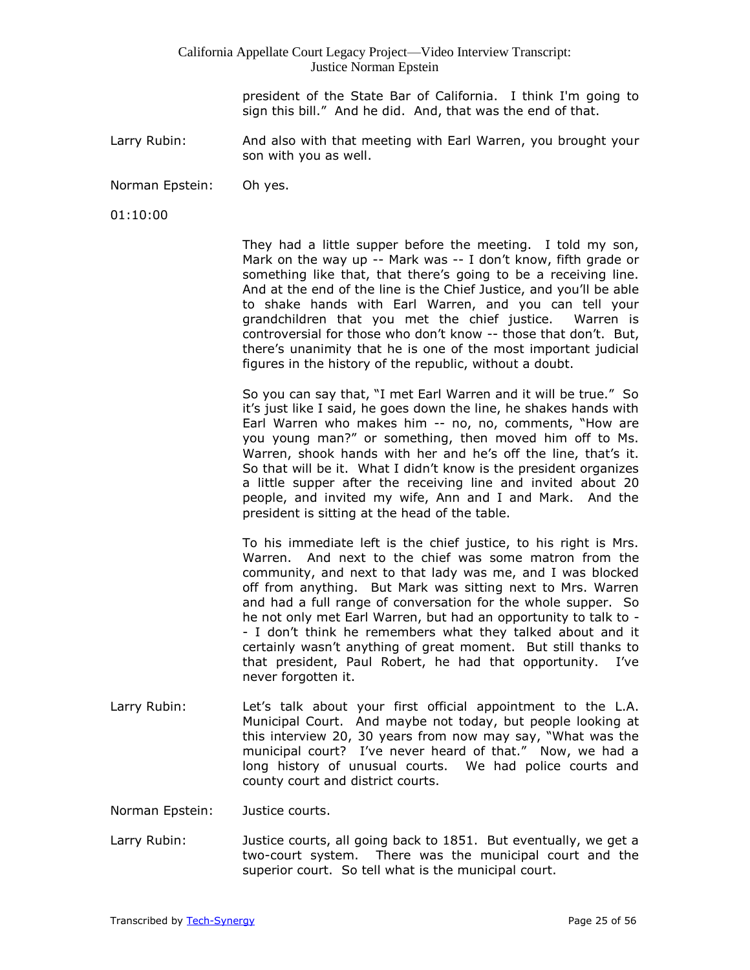> president of the State Bar of California. I think I'm going to sign this bill." And he did. And, that was the end of that.

Larry Rubin: And also with that meeting with Earl Warren, you brought your son with you as well.

Norman Epstein: Oh yes.

01:10:00

They had a little supper before the meeting. I told my son, Mark on the way up -- Mark was -- I don't know, fifth grade or something like that, that there's going to be a receiving line. And at the end of the line is the Chief Justice, and you'll be able to shake hands with Earl Warren, and you can tell your grandchildren that you met the chief justice. Warren is controversial for those who don't know -- those that don't. But, there's unanimity that he is one of the most important judicial figures in the history of the republic, without a doubt.

So you can say that, "I met Earl Warren and it will be true." So it's just like I said, he goes down the line, he shakes hands with Earl Warren who makes him -- no, no, comments, "How are you young man?" or something, then moved him off to Ms. Warren, shook hands with her and he's off the line, that's it. So that will be it. What I didn't know is the president organizes a little supper after the receiving line and invited about 20 people, and invited my wife, Ann and I and Mark. And the president is sitting at the head of the table.

To his immediate left is the chief justice, to his right is Mrs. Warren. And next to the chief was some matron from the community, and next to that lady was me, and I was blocked off from anything. But Mark was sitting next to Mrs. Warren and had a full range of conversation for the whole supper. So he not only met Earl Warren, but had an opportunity to talk to - - I don't think he remembers what they talked about and it certainly wasn't anything of great moment. But still thanks to that president, Paul Robert, he had that opportunity. I've never forgotten it.

Larry Rubin: Let's talk about your first official appointment to the L.A. Municipal Court. And maybe not today, but people looking at this interview 20, 30 years from now may say, "What was the municipal court? I've never heard of that." Now, we had a long history of unusual courts. We had police courts and county court and district courts.

Norman Epstein: Justice courts.

Larry Rubin: Justice courts, all going back to 1851. But eventually, we get a two-court system. There was the municipal court and the superior court. So tell what is the municipal court.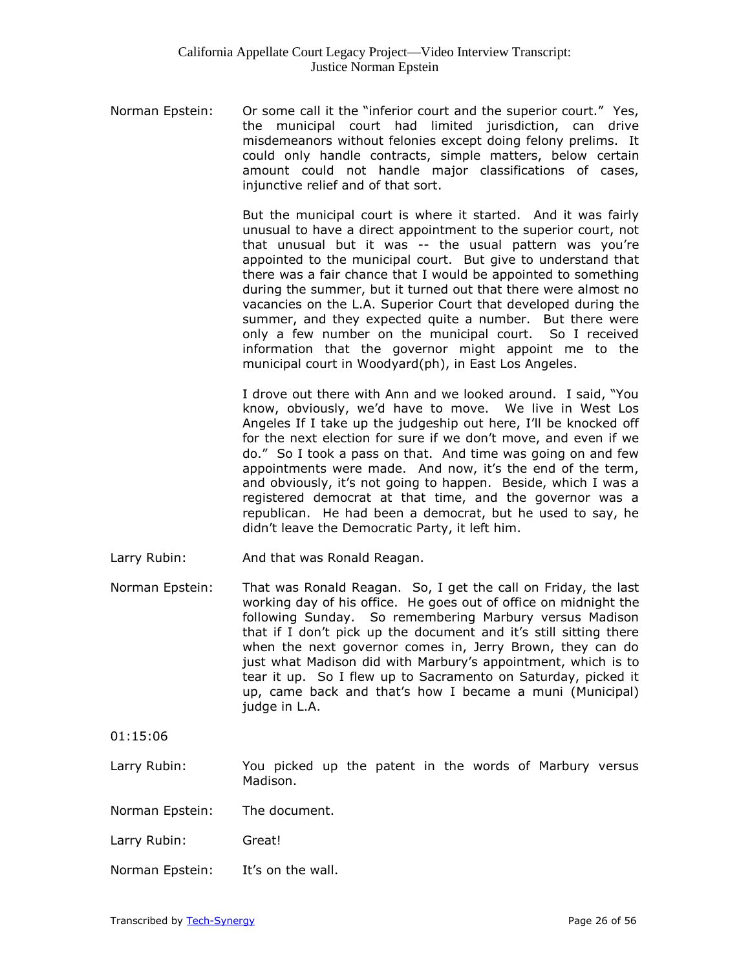Norman Epstein: Or some call it the "inferior court and the superior court." Yes, the municipal court had limited jurisdiction, can drive misdemeanors without felonies except doing felony prelims. It could only handle contracts, simple matters, below certain amount could not handle major classifications of cases, injunctive relief and of that sort.

> But the municipal court is where it started. And it was fairly unusual to have a direct appointment to the superior court, not that unusual but it was -- the usual pattern was you're appointed to the municipal court. But give to understand that there was a fair chance that I would be appointed to something during the summer, but it turned out that there were almost no vacancies on the L.A. Superior Court that developed during the summer, and they expected quite a number. But there were only a few number on the municipal court. So I received information that the governor might appoint me to the municipal court in Woodyard(ph), in East Los Angeles.

> I drove out there with Ann and we looked around. I said, "You know, obviously, we'd have to move. We live in West Los Angeles If I take up the judgeship out here, I'll be knocked off for the next election for sure if we don't move, and even if we do." So I took a pass on that. And time was going on and few appointments were made. And now, it's the end of the term, and obviously, it's not going to happen. Beside, which I was a registered democrat at that time, and the governor was a republican. He had been a democrat, but he used to say, he didn't leave the Democratic Party, it left him.

- Larry Rubin: And that was Ronald Reagan.
- Norman Epstein: That was Ronald Reagan. So, I get the call on Friday, the last working day of his office. He goes out of office on midnight the following Sunday. So remembering Marbury versus Madison that if I don't pick up the document and it's still sitting there when the next governor comes in, Jerry Brown, they can do just what Madison did with Marbury's appointment, which is to tear it up. So I flew up to Sacramento on Saturday, picked it up, came back and that's how I became a muni (Municipal) judge in L.A.

01:15:06

- Larry Rubin: You picked up the patent in the words of Marbury versus Madison.
- Norman Epstein: The document.
- Larry Rubin: Great!
- Norman Epstein: It's on the wall.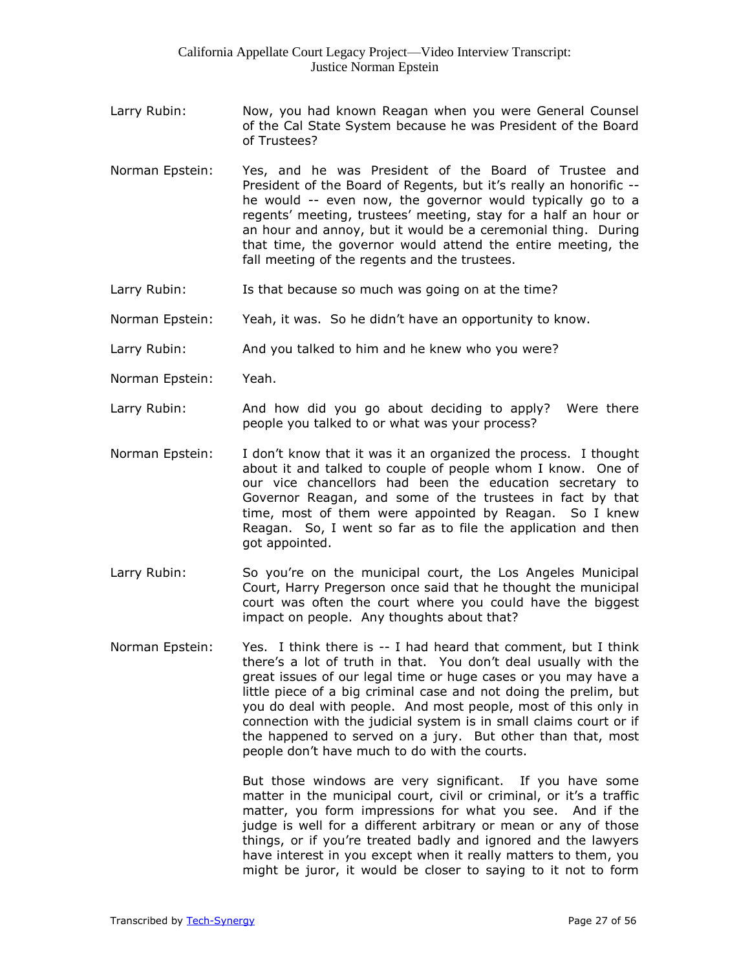- Larry Rubin: Now, you had known Reagan when you were General Counsel of the Cal State System because he was President of the Board of Trustees?
- Norman Epstein: Yes, and he was President of the Board of Trustee and President of the Board of Regents, but it's really an honorific -he would -- even now, the governor would typically go to a regents' meeting, trustees' meeting, stay for a half an hour or an hour and annoy, but it would be a ceremonial thing. During that time, the governor would attend the entire meeting, the fall meeting of the regents and the trustees.
- Larry Rubin: Is that because so much was going on at the time?
- Norman Epstein: Yeah, it was. So he didn't have an opportunity to know.
- Larry Rubin: And you talked to him and he knew who you were?
- Norman Epstein: Yeah.
- Larry Rubin: And how did you go about deciding to apply? Were there people you talked to or what was your process?
- Norman Epstein: I don't know that it was it an organized the process. I thought about it and talked to couple of people whom I know. One of our vice chancellors had been the education secretary to Governor Reagan, and some of the trustees in fact by that time, most of them were appointed by Reagan. So I knew Reagan. So, I went so far as to file the application and then got appointed.
- Larry Rubin: So you're on the municipal court, the Los Angeles Municipal Court, Harry Pregerson once said that he thought the municipal court was often the court where you could have the biggest impact on people. Any thoughts about that?
- Norman Epstein: Yes. I think there is -- I had heard that comment, but I think there's a lot of truth in that. You don't deal usually with the great issues of our legal time or huge cases or you may have a little piece of a big criminal case and not doing the prelim, but you do deal with people. And most people, most of this only in connection with the judicial system is in small claims court or if the happened to served on a jury. But other than that, most people don't have much to do with the courts.

But those windows are very significant. If you have some matter in the municipal court, civil or criminal, or it's a traffic matter, you form impressions for what you see. And if the judge is well for a different arbitrary or mean or any of those things, or if you're treated badly and ignored and the lawyers have interest in you except when it really matters to them, you might be juror, it would be closer to saying to it not to form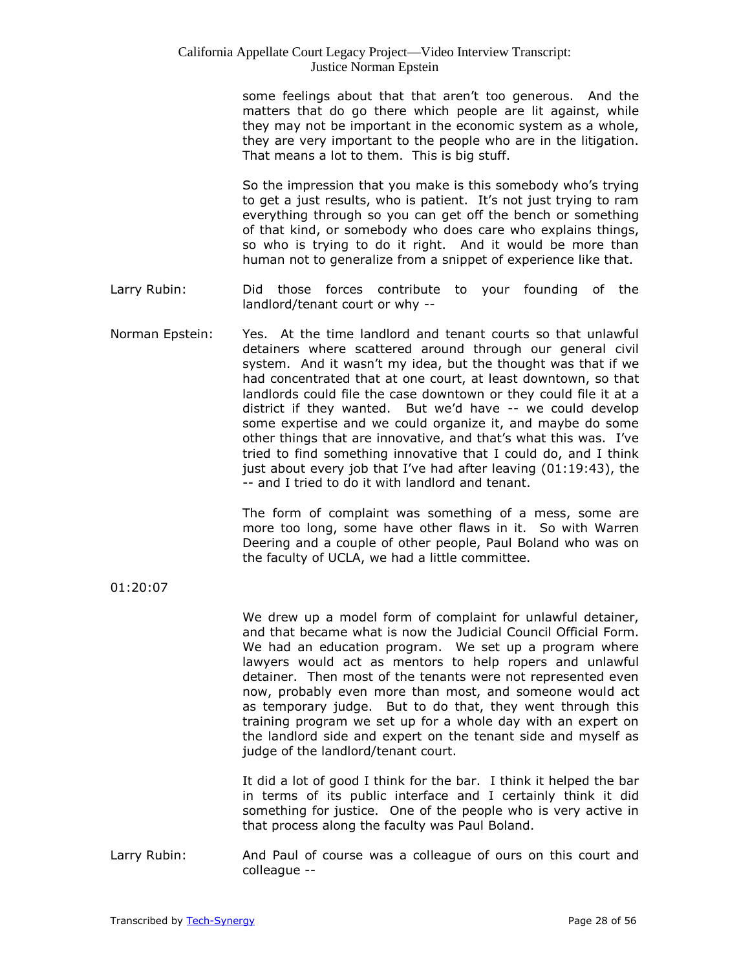some feelings about that that aren't too generous. And the matters that do go there which people are lit against, while they may not be important in the economic system as a whole, they are very important to the people who are in the litigation. That means a lot to them. This is big stuff.

So the impression that you make is this somebody who's trying to get a just results, who is patient. It's not just trying to ram everything through so you can get off the bench or something of that kind, or somebody who does care who explains things, so who is trying to do it right. And it would be more than human not to generalize from a snippet of experience like that.

- Larry Rubin: Did those forces contribute to your founding of the landlord/tenant court or why --
- Norman Epstein: Yes. At the time landlord and tenant courts so that unlawful detainers where scattered around through our general civil system. And it wasn't my idea, but the thought was that if we had concentrated that at one court, at least downtown, so that landlords could file the case downtown or they could file it at a district if they wanted. But we'd have -- we could develop some expertise and we could organize it, and maybe do some other things that are innovative, and that's what this was. I've tried to find something innovative that I could do, and I think just about every job that I've had after leaving (01:19:43), the -- and I tried to do it with landlord and tenant.

The form of complaint was something of a mess, some are more too long, some have other flaws in it. So with Warren Deering and a couple of other people, Paul Boland who was on the faculty of UCLA, we had a little committee.

01:20:07

We drew up a model form of complaint for unlawful detainer, and that became what is now the Judicial Council Official Form. We had an education program. We set up a program where lawyers would act as mentors to help ropers and unlawful detainer. Then most of the tenants were not represented even now, probably even more than most, and someone would act as temporary judge. But to do that, they went through this training program we set up for a whole day with an expert on the landlord side and expert on the tenant side and myself as judge of the landlord/tenant court.

It did a lot of good I think for the bar. I think it helped the bar in terms of its public interface and I certainly think it did something for justice. One of the people who is very active in that process along the faculty was Paul Boland.

Larry Rubin: And Paul of course was a colleague of ours on this court and colleague --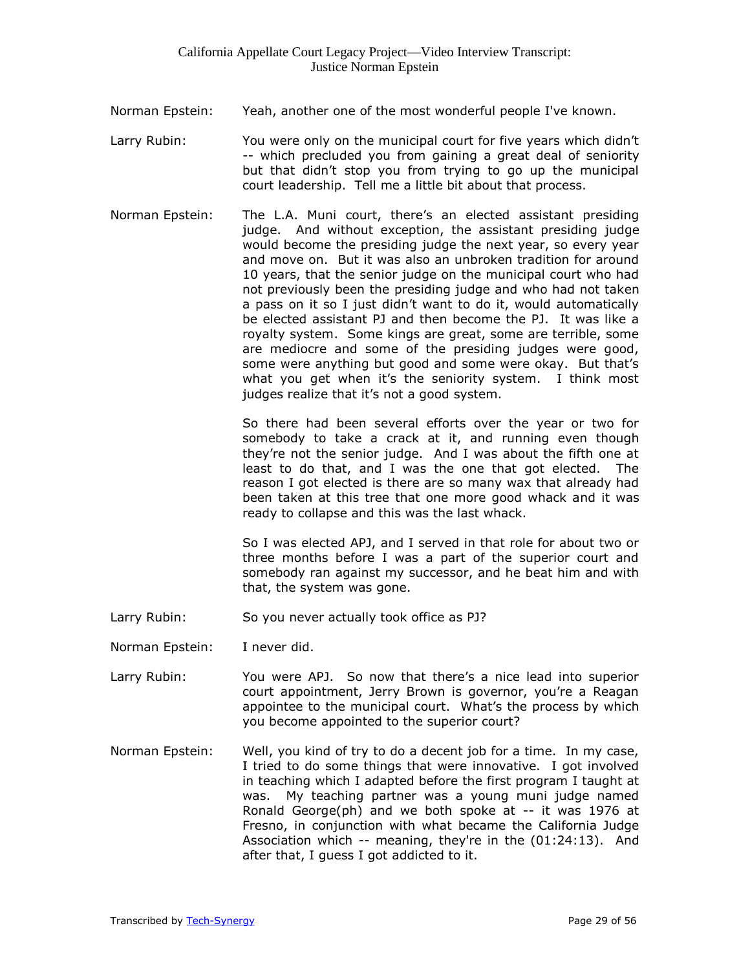- Norman Epstein: Yeah, another one of the most wonderful people I've known.
- Larry Rubin: You were only on the municipal court for five years which didn't -- which precluded you from gaining a great deal of seniority but that didn't stop you from trying to go up the municipal court leadership. Tell me a little bit about that process.
- Norman Epstein: The L.A. Muni court, there's an elected assistant presiding judge. And without exception, the assistant presiding judge would become the presiding judge the next year, so every year and move on. But it was also an unbroken tradition for around 10 years, that the senior judge on the municipal court who had not previously been the presiding judge and who had not taken a pass on it so I just didn't want to do it, would automatically be elected assistant PJ and then become the PJ. It was like a royalty system. Some kings are great, some are terrible, some are mediocre and some of the presiding judges were good, some were anything but good and some were okay. But that's what you get when it's the seniority system. I think most judges realize that it's not a good system.

So there had been several efforts over the year or two for somebody to take a crack at it, and running even though they're not the senior judge. And I was about the fifth one at least to do that, and I was the one that got elected. The reason I got elected is there are so many wax that already had been taken at this tree that one more good whack and it was ready to collapse and this was the last whack.

So I was elected APJ, and I served in that role for about two or three months before I was a part of the superior court and somebody ran against my successor, and he beat him and with that, the system was gone.

- Larry Rubin: So you never actually took office as PJ?
- Norman Epstein: I never did.
- Larry Rubin: You were APJ. So now that there's a nice lead into superior court appointment, Jerry Brown is governor, you're a Reagan appointee to the municipal court. What's the process by which you become appointed to the superior court?
- Norman Epstein: Well, you kind of try to do a decent job for a time. In my case, I tried to do some things that were innovative. I got involved in teaching which I adapted before the first program I taught at was. My teaching partner was a young muni judge named Ronald George(ph) and we both spoke at -- it was 1976 at Fresno, in conjunction with what became the California Judge Association which -- meaning, they're in the (01:24:13). And after that, I guess I got addicted to it.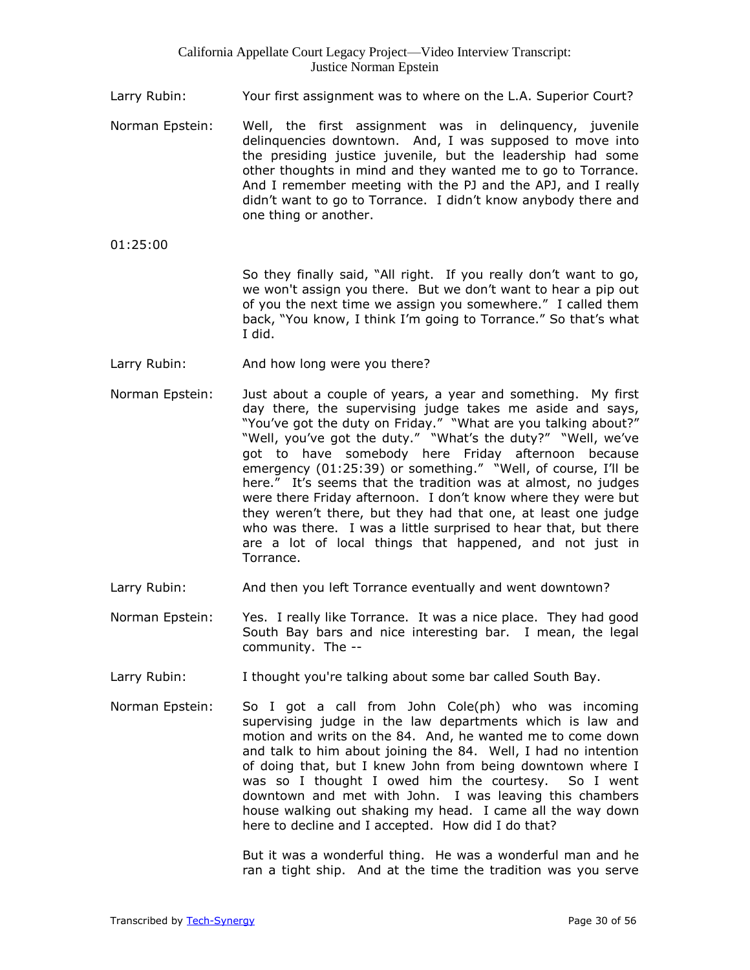- Larry Rubin: Your first assignment was to where on the L.A. Superior Court?
- Norman Epstein: Well, the first assignment was in delinquency, juvenile delinquencies downtown. And, I was supposed to move into the presiding justice juvenile, but the leadership had some other thoughts in mind and they wanted me to go to Torrance. And I remember meeting with the PJ and the APJ, and I really didn't want to go to Torrance. I didn't know anybody there and one thing or another.
- 01:25:00

So they finally said, "All right. If you really don't want to go, we won't assign you there. But we don't want to hear a pip out of you the next time we assign you somewhere." I called them back, "You know, I think I'm going to Torrance." So that's what I did.

- Larry Rubin: And how long were you there?
- Norman Epstein: Just about a couple of years, a year and something. My first day there, the supervising judge takes me aside and says, "You've got the duty on Friday." "What are you talking about?" "Well, you've got the duty." "What's the duty?" "Well, we've got to have somebody here Friday afternoon because emergency (01:25:39) or something." "Well, of course, I'll be here." It's seems that the tradition was at almost, no judges were there Friday afternoon. I don't know where they were but they weren't there, but they had that one, at least one judge who was there. I was a little surprised to hear that, but there are a lot of local things that happened, and not just in Torrance.
- Larry Rubin: And then you left Torrance eventually and went downtown?
- Norman Epstein: Yes. I really like Torrance. It was a nice place. They had good South Bay bars and nice interesting bar. I mean, the legal community. The --
- Larry Rubin: I thought you're talking about some bar called South Bay.
- Norman Epstein: So I got a call from John Cole(ph) who was incoming supervising judge in the law departments which is law and motion and writs on the 84. And, he wanted me to come down and talk to him about joining the 84. Well, I had no intention of doing that, but I knew John from being downtown where I was so I thought I owed him the courtesy. So I went downtown and met with John. I was leaving this chambers house walking out shaking my head. I came all the way down here to decline and I accepted. How did I do that?

But it was a wonderful thing. He was a wonderful man and he ran a tight ship. And at the time the tradition was you serve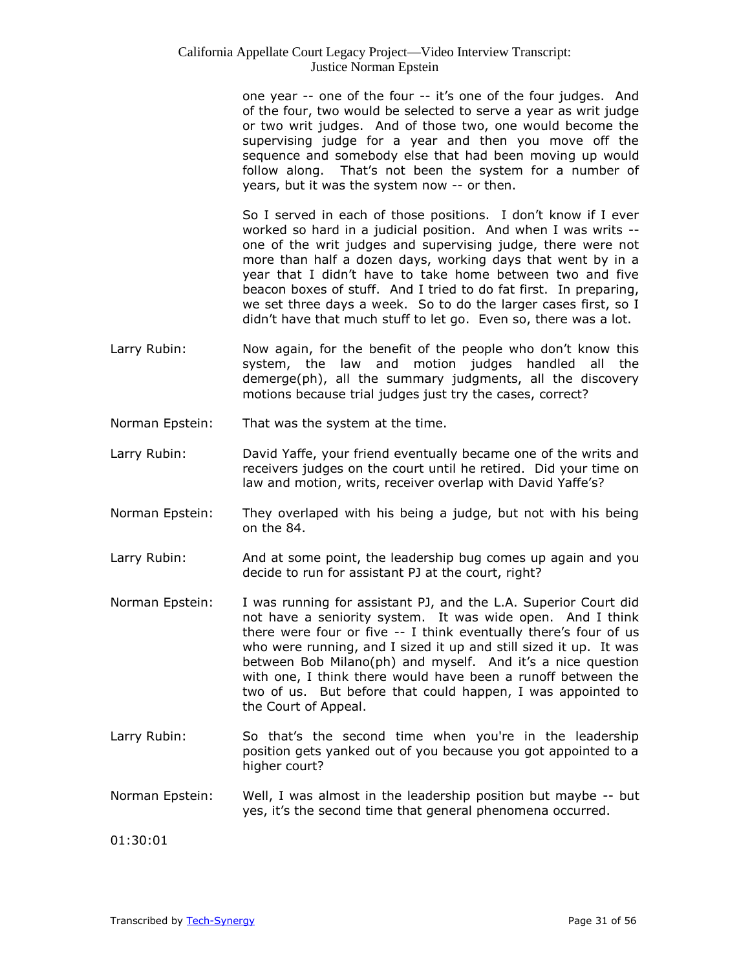one year -- one of the four -- it's one of the four judges. And of the four, two would be selected to serve a year as writ judge or two writ judges. And of those two, one would become the supervising judge for a year and then you move off the sequence and somebody else that had been moving up would follow along. That's not been the system for a number of years, but it was the system now -- or then.

So I served in each of those positions. I don't know if I ever worked so hard in a judicial position. And when I was writs - one of the writ judges and supervising judge, there were not more than half a dozen days, working days that went by in a year that I didn't have to take home between two and five beacon boxes of stuff. And I tried to do fat first. In preparing, we set three days a week. So to do the larger cases first, so I didn't have that much stuff to let go. Even so, there was a lot.

- Larry Rubin: Now again, for the benefit of the people who don't know this system, the law and motion judges handled all the demerge(ph), all the summary judgments, all the discovery motions because trial judges just try the cases, correct?
- Norman Epstein: That was the system at the time.
- Larry Rubin: David Yaffe, your friend eventually became one of the writs and receivers judges on the court until he retired. Did your time on law and motion, writs, receiver overlap with David Yaffe's?
- Norman Epstein: They overlaped with his being a judge, but not with his being on the 84.
- Larry Rubin: And at some point, the leadership bug comes up again and you decide to run for assistant PJ at the court, right?
- Norman Epstein: I was running for assistant PJ, and the L.A. Superior Court did not have a seniority system. It was wide open. And I think there were four or five -- I think eventually there's four of us who were running, and I sized it up and still sized it up. It was between Bob Milano(ph) and myself. And it's a nice question with one, I think there would have been a runoff between the two of us. But before that could happen, I was appointed to the Court of Appeal.
- Larry Rubin: So that's the second time when you're in the leadership position gets yanked out of you because you got appointed to a higher court?
- Norman Epstein: Well, I was almost in the leadership position but maybe -- but yes, it's the second time that general phenomena occurred.

01:30:01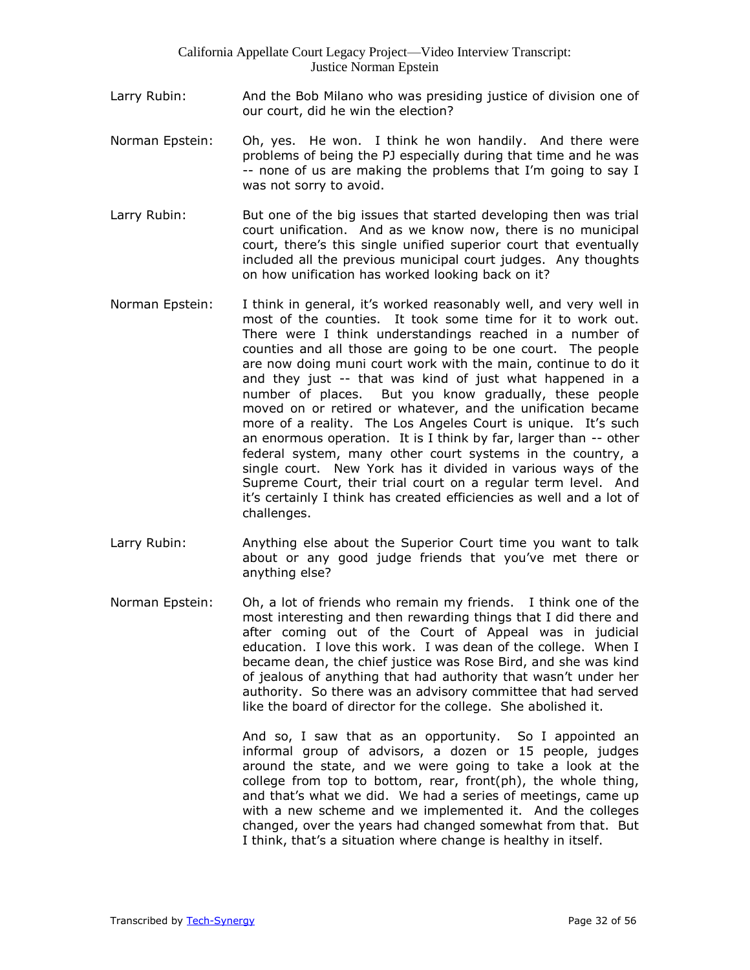- Larry Rubin: And the Bob Milano who was presiding justice of division one of our court, did he win the election?
- Norman Epstein: Oh, yes. He won. I think he won handily. And there were problems of being the PJ especially during that time and he was -- none of us are making the problems that I'm going to say I was not sorry to avoid.
- Larry Rubin: But one of the big issues that started developing then was trial court unification. And as we know now, there is no municipal court, there's this single unified superior court that eventually included all the previous municipal court judges. Any thoughts on how unification has worked looking back on it?
- Norman Epstein: I think in general, it's worked reasonably well, and very well in most of the counties. It took some time for it to work out. There were I think understandings reached in a number of counties and all those are going to be one court. The people are now doing muni court work with the main, continue to do it and they just -- that was kind of just what happened in a number of places. But you know gradually, these people moved on or retired or whatever, and the unification became more of a reality. The Los Angeles Court is unique. It's such an enormous operation. It is I think by far, larger than -- other federal system, many other court systems in the country, a single court. New York has it divided in various ways of the Supreme Court, their trial court on a regular term level. And it's certainly I think has created efficiencies as well and a lot of challenges.
- Larry Rubin: Anything else about the Superior Court time you want to talk about or any good judge friends that you've met there or anything else?
- Norman Epstein: Oh, a lot of friends who remain my friends. I think one of the most interesting and then rewarding things that I did there and after coming out of the Court of Appeal was in judicial education. I love this work. I was dean of the college. When I became dean, the chief justice was Rose Bird, and she was kind of jealous of anything that had authority that wasn't under her authority. So there was an advisory committee that had served like the board of director for the college. She abolished it.

And so, I saw that as an opportunity. So I appointed an informal group of advisors, a dozen or 15 people, judges around the state, and we were going to take a look at the college from top to bottom, rear, front(ph), the whole thing, and that's what we did. We had a series of meetings, came up with a new scheme and we implemented it. And the colleges changed, over the years had changed somewhat from that. But I think, that's a situation where change is healthy in itself.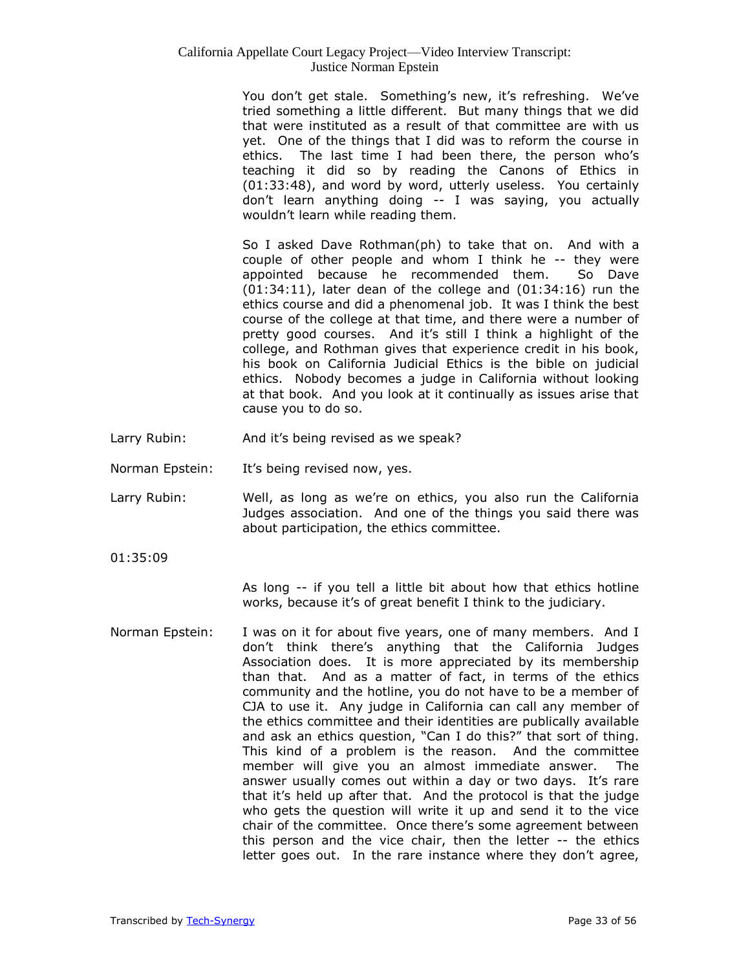You don't get stale. Something's new, it's refreshing. We've tried something a little different. But many things that we did that were instituted as a result of that committee are with us yet. One of the things that I did was to reform the course in ethics. The last time I had been there, the person who's teaching it did so by reading the Canons of Ethics in (01:33:48), and word by word, utterly useless. You certainly don't learn anything doing -- I was saying, you actually wouldn't learn while reading them.

So I asked Dave Rothman(ph) to take that on. And with a couple of other people and whom I think he -- they were appointed because he recommended them. So Dave (01:34:11), later dean of the college and (01:34:16) run the ethics course and did a phenomenal job. It was I think the best course of the college at that time, and there were a number of pretty good courses. And it's still I think a highlight of the college, and Rothman gives that experience credit in his book, his book on California Judicial Ethics is the bible on judicial ethics. Nobody becomes a judge in California without looking at that book. And you look at it continually as issues arise that cause you to do so.

- Larry Rubin: And it's being revised as we speak?
- Norman Epstein: It's being revised now, yes.
- Larry Rubin: Well, as long as we're on ethics, you also run the California Judges association. And one of the things you said there was about participation, the ethics committee.
- 01:35:09

As long -- if you tell a little bit about how that ethics hotline works, because it's of great benefit I think to the judiciary.

Norman Epstein: I was on it for about five years, one of many members. And I don't think there's anything that the California Judges Association does. It is more appreciated by its membership than that. And as a matter of fact, in terms of the ethics community and the hotline, you do not have to be a member of CJA to use it. Any judge in California can call any member of the ethics committee and their identities are publically available and ask an ethics question, "Can I do this?" that sort of thing. This kind of a problem is the reason. And the committee member will give you an almost immediate answer. The answer usually comes out within a day or two days. It's rare that it's held up after that. And the protocol is that the judge who gets the question will write it up and send it to the vice chair of the committee. Once there's some agreement between this person and the vice chair, then the letter -- the ethics letter goes out. In the rare instance where they don't agree,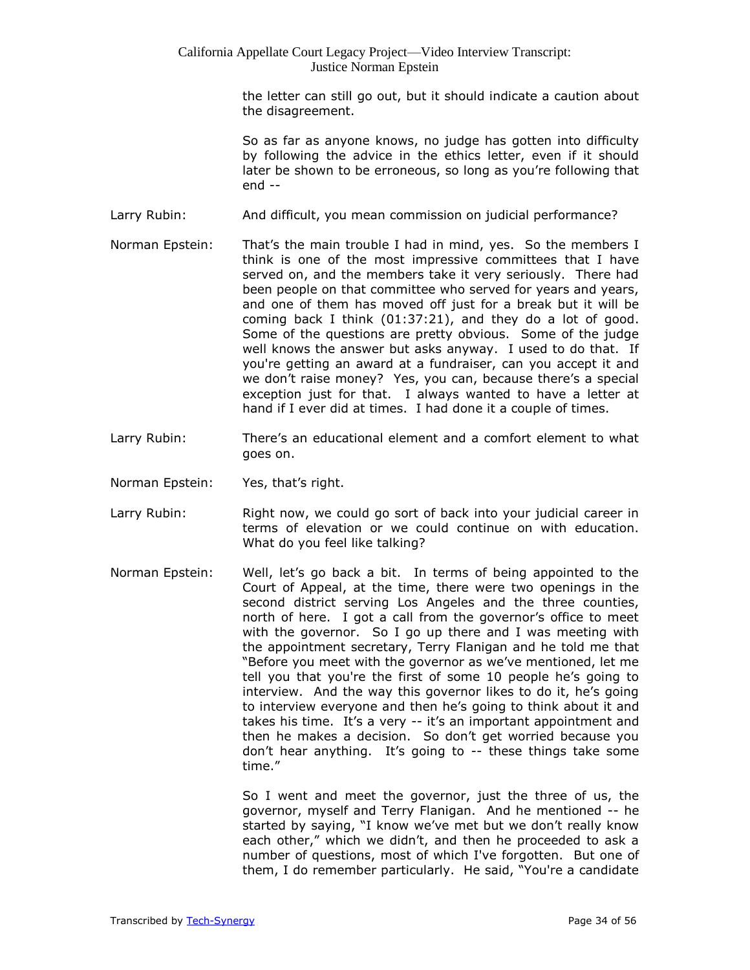the letter can still go out, but it should indicate a caution about the disagreement.

So as far as anyone knows, no judge has gotten into difficulty by following the advice in the ethics letter, even if it should later be shown to be erroneous, so long as you're following that end --

- Larry Rubin: And difficult, you mean commission on judicial performance?
- Norman Epstein: That's the main trouble I had in mind, yes. So the members I think is one of the most impressive committees that I have served on, and the members take it very seriously. There had been people on that committee who served for years and years, and one of them has moved off just for a break but it will be coming back I think (01:37:21), and they do a lot of good. Some of the questions are pretty obvious. Some of the judge well knows the answer but asks anyway. I used to do that. If you're getting an award at a fundraiser, can you accept it and we don't raise money? Yes, you can, because there's a special exception just for that. I always wanted to have a letter at hand if I ever did at times. I had done it a couple of times.
- Larry Rubin: There's an educational element and a comfort element to what goes on.
- Norman Epstein: Yes, that's right.
- Larry Rubin: Right now, we could go sort of back into your judicial career in terms of elevation or we could continue on with education. What do you feel like talking?
- Norman Epstein: Well, let's go back a bit. In terms of being appointed to the Court of Appeal, at the time, there were two openings in the second district serving Los Angeles and the three counties, north of here. I got a call from the governor's office to meet with the governor. So I go up there and I was meeting with the appointment secretary, Terry Flanigan and he told me that "Before you meet with the governor as we've mentioned, let me tell you that you're the first of some 10 people he's going to interview. And the way this governor likes to do it, he's going to interview everyone and then he's going to think about it and takes his time. It's a very -- it's an important appointment and then he makes a decision. So don't get worried because you don't hear anything. It's going to -- these things take some time."

So I went and meet the governor, just the three of us, the governor, myself and Terry Flanigan. And he mentioned -- he started by saying, "I know we've met but we don't really know each other," which we didn't, and then he proceeded to ask a number of questions, most of which I've forgotten. But one of them, I do remember particularly. He said, "You're a candidate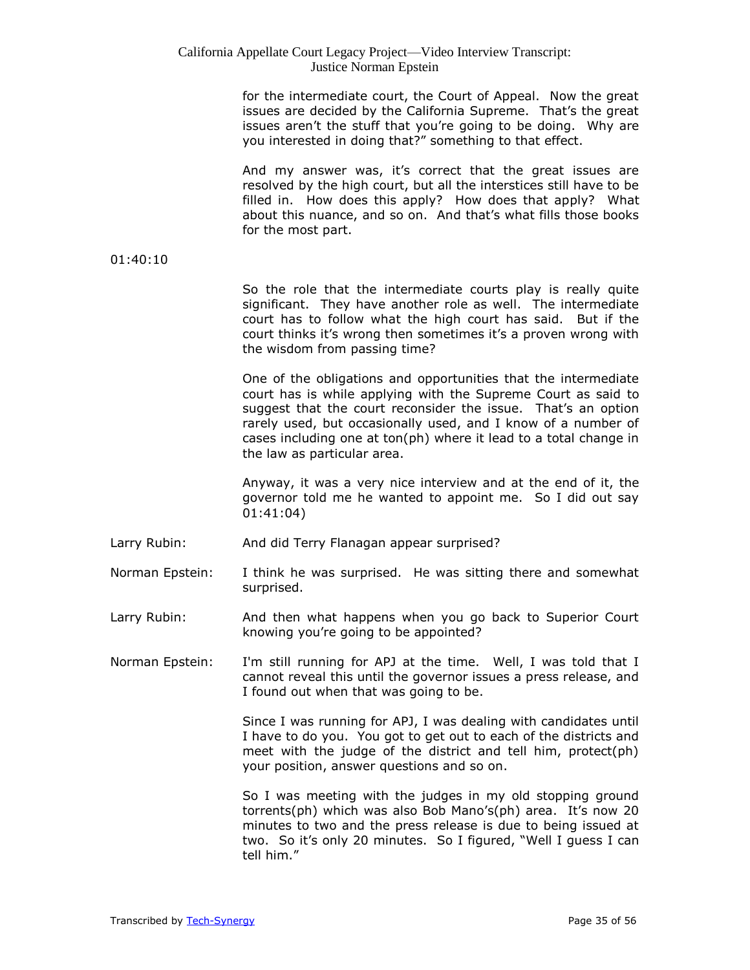| California Appellate Court Legacy Project—Video Interview Transcript: |
|-----------------------------------------------------------------------|
| Justice Norman Epstein                                                |

for the intermediate court, the Court of Appeal. Now the great issues are decided by the California Supreme. That's the great issues aren't the stuff that you're going to be doing. Why are you interested in doing that?" something to that effect.

And my answer was, it's correct that the great issues are resolved by the high court, but all the interstices still have to be filled in. How does this apply? How does that apply? What about this nuance, and so on. And that's what fills those books for the most part.

#### 01:40:10

So the role that the intermediate courts play is really quite significant. They have another role as well. The intermediate court has to follow what the high court has said. But if the court thinks it's wrong then sometimes it's a proven wrong with the wisdom from passing time?

One of the obligations and opportunities that the intermediate court has is while applying with the Supreme Court as said to suggest that the court reconsider the issue. That's an option rarely used, but occasionally used, and I know of a number of cases including one at ton(ph) where it lead to a total change in the law as particular area.

Anyway, it was a very nice interview and at the end of it, the governor told me he wanted to appoint me. So I did out say 01:41:04)

- Larry Rubin: And did Terry Flanagan appear surprised?
- Norman Epstein: I think he was surprised. He was sitting there and somewhat surprised.
- Larry Rubin: And then what happens when you go back to Superior Court knowing you're going to be appointed?
- Norman Epstein: I'm still running for APJ at the time. Well, I was told that I cannot reveal this until the governor issues a press release, and I found out when that was going to be.

Since I was running for APJ, I was dealing with candidates until I have to do you. You got to get out to each of the districts and meet with the judge of the district and tell him, protect(ph) your position, answer questions and so on.

So I was meeting with the judges in my old stopping ground torrents(ph) which was also Bob Mano's(ph) area. It's now 20 minutes to two and the press release is due to being issued at two. So it's only 20 minutes. So I figured, "Well I guess I can tell him."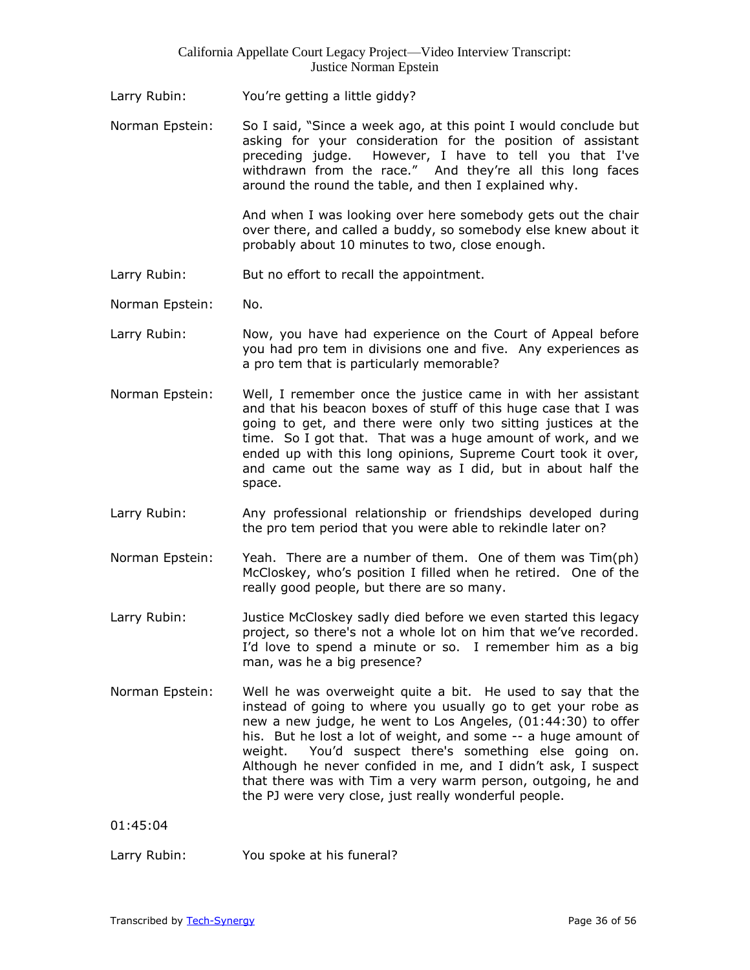- Larry Rubin: You're getting a little giddy?
- Norman Epstein: So I said, "Since a week ago, at this point I would conclude but asking for your consideration for the position of assistant preceding judge. However, I have to tell you that I've withdrawn from the race." And they're all this long faces around the round the table, and then I explained why.

And when I was looking over here somebody gets out the chair over there, and called a buddy, so somebody else knew about it probably about 10 minutes to two, close enough.

- Larry Rubin: But no effort to recall the appointment.
- Norman Epstein: No.
- Larry Rubin: Now, you have had experience on the Court of Appeal before you had pro tem in divisions one and five. Any experiences as a pro tem that is particularly memorable?
- Norman Epstein: Well, I remember once the justice came in with her assistant and that his beacon boxes of stuff of this huge case that I was going to get, and there were only two sitting justices at the time. So I got that. That was a huge amount of work, and we ended up with this long opinions, Supreme Court took it over, and came out the same way as I did, but in about half the space.
- Larry Rubin: Any professional relationship or friendships developed during the pro tem period that you were able to rekindle later on?
- Norman Epstein: Yeah. There are a number of them. One of them was Tim(ph) McCloskey, who's position I filled when he retired. One of the really good people, but there are so many.
- Larry Rubin: Justice McCloskey sadly died before we even started this legacy project, so there's not a whole lot on him that we've recorded. I'd love to spend a minute or so. I remember him as a big man, was he a big presence?
- Norman Epstein: Well he was overweight quite a bit. He used to say that the instead of going to where you usually go to get your robe as new a new judge, he went to Los Angeles, (01:44:30) to offer his. But he lost a lot of weight, and some -- a huge amount of weight. You'd suspect there's something else going on. Although he never confided in me, and I didn't ask, I suspect that there was with Tim a very warm person, outgoing, he and the PJ were very close, just really wonderful people.

01:45:04

Larry Rubin: You spoke at his funeral?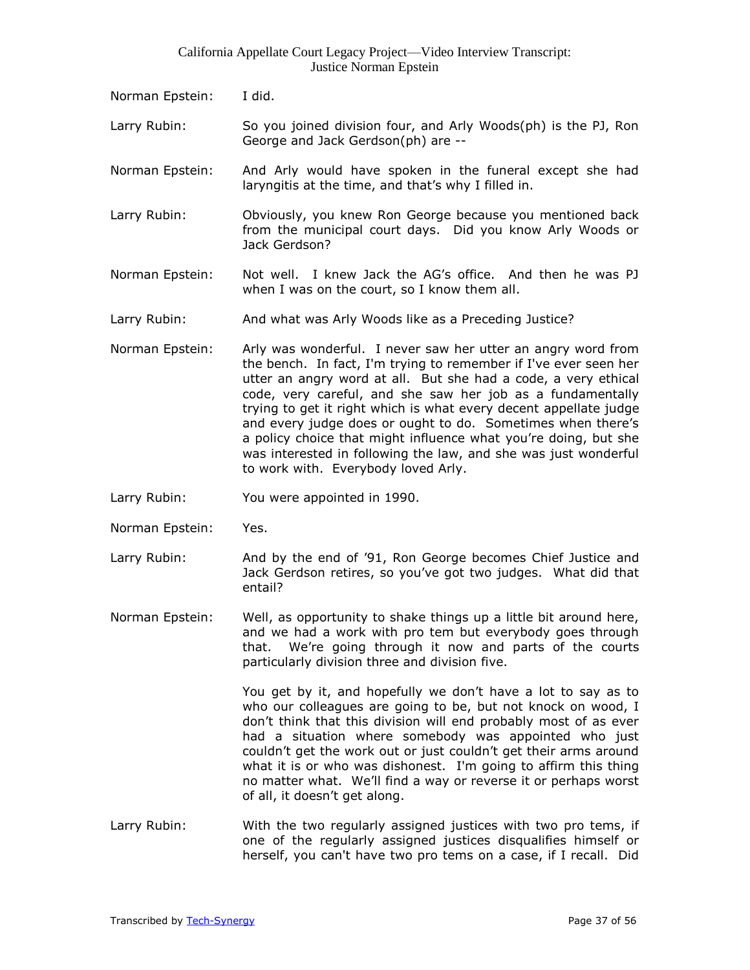- Norman Epstein: I did.
- Larry Rubin: So you joined division four, and Arly Woods(ph) is the PJ, Ron George and Jack Gerdson(ph) are --
- Norman Epstein: And Arly would have spoken in the funeral except she had laryngitis at the time, and that's why I filled in.
- Larry Rubin: Obviously, you knew Ron George because you mentioned back from the municipal court days. Did you know Arly Woods or Jack Gerdson?
- Norman Epstein: Not well. I knew Jack the AG's office. And then he was PJ when I was on the court, so I know them all.
- Larry Rubin: And what was Arly Woods like as a Preceding Justice?
- Norman Epstein: Arly was wonderful. I never saw her utter an angry word from the bench. In fact, I'm trying to remember if I've ever seen her utter an angry word at all. But she had a code, a very ethical code, very careful, and she saw her job as a fundamentally trying to get it right which is what every decent appellate judge and every judge does or ought to do. Sometimes when there's a policy choice that might influence what you're doing, but she was interested in following the law, and she was just wonderful to work with. Everybody loved Arly.
- Larry Rubin: You were appointed in 1990.
- Norman Epstein: Yes.
- Larry Rubin: And by the end of '91, Ron George becomes Chief Justice and Jack Gerdson retires, so you've got two judges. What did that entail?
- Norman Epstein: Well, as opportunity to shake things up a little bit around here, and we had a work with pro tem but everybody goes through that. We're going through it now and parts of the courts particularly division three and division five.

You get by it, and hopefully we don't have a lot to say as to who our colleagues are going to be, but not knock on wood, I don't think that this division will end probably most of as ever had a situation where somebody was appointed who just couldn't get the work out or just couldn't get their arms around what it is or who was dishonest. I'm going to affirm this thing no matter what. We'll find a way or reverse it or perhaps worst of all, it doesn't get along.

Larry Rubin: With the two regularly assigned justices with two pro tems, if one of the regularly assigned justices disqualifies himself or herself, you can't have two pro tems on a case, if I recall. Did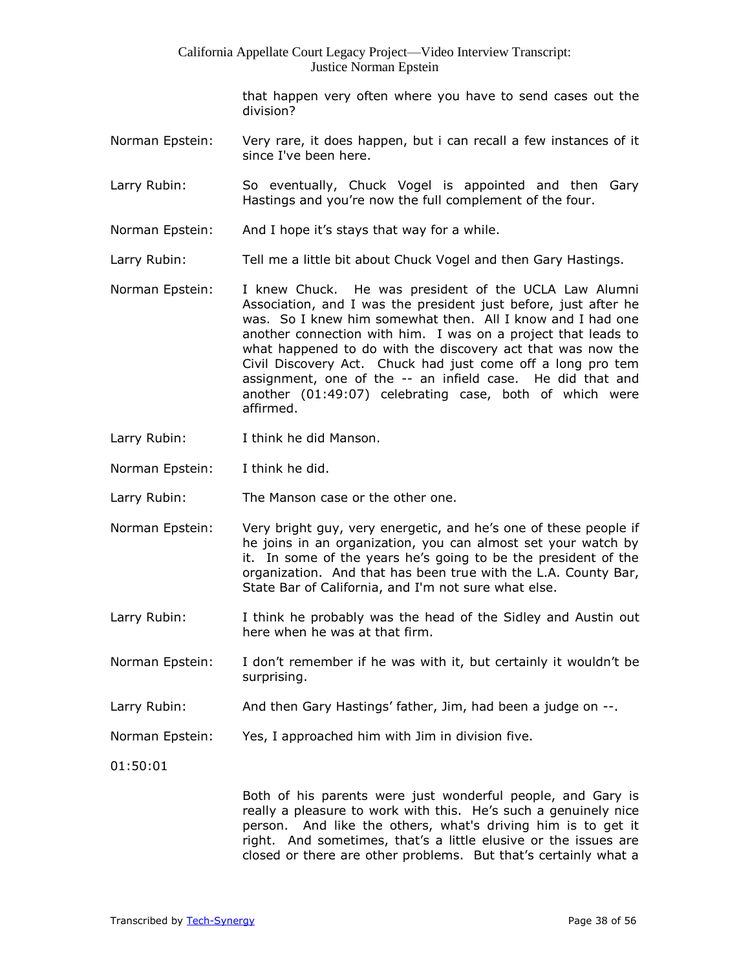that happen very often where you have to send cases out the division?

- Norman Epstein: Very rare, it does happen, but i can recall a few instances of it since I've been here.
- Larry Rubin: So eventually, Chuck Vogel is appointed and then Gary Hastings and you're now the full complement of the four.
- Norman Epstein: And I hope it's stays that way for a while.
- Larry Rubin: Tell me a little bit about Chuck Vogel and then Gary Hastings.
- Norman Epstein: I knew Chuck. He was president of the UCLA Law Alumni Association, and I was the president just before, just after he was. So I knew him somewhat then. All I know and I had one another connection with him. I was on a project that leads to what happened to do with the discovery act that was now the Civil Discovery Act. Chuck had just come off a long pro tem assignment, one of the -- an infield case. He did that and another (01:49:07) celebrating case, both of which were affirmed.
- Larry Rubin: I think he did Manson.
- Norman Epstein: I think he did.
- Larry Rubin: The Manson case or the other one.
- Norman Epstein: Very bright guy, very energetic, and he's one of these people if he joins in an organization, you can almost set your watch by it. In some of the years he's going to be the president of the organization. And that has been true with the L.A. County Bar, State Bar of California, and I'm not sure what else.
- Larry Rubin: I think he probably was the head of the Sidley and Austin out here when he was at that firm.
- Norman Epstein: I don't remember if he was with it, but certainly it wouldn't be surprising.
- Larry Rubin: And then Gary Hastings' father, Jim, had been a judge on --.
- Norman Epstein: Yes, I approached him with Jim in division five.

01:50:01

Both of his parents were just wonderful people, and Gary is really a pleasure to work with this. He's such a genuinely nice person. And like the others, what's driving him is to get it right. And sometimes, that's a little elusive or the issues are closed or there are other problems. But that's certainly what a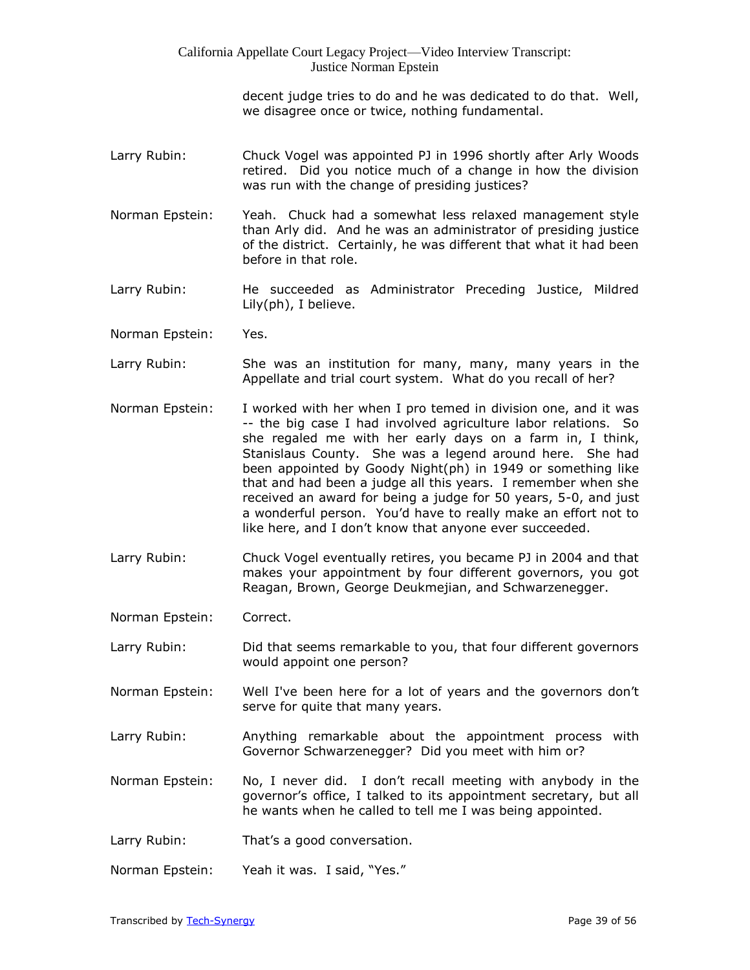> decent judge tries to do and he was dedicated to do that. Well, we disagree once or twice, nothing fundamental.

- Larry Rubin: Chuck Vogel was appointed PJ in 1996 shortly after Arly Woods retired. Did you notice much of a change in how the division was run with the change of presiding justices?
- Norman Epstein: Yeah. Chuck had a somewhat less relaxed management style than Arly did. And he was an administrator of presiding justice of the district. Certainly, he was different that what it had been before in that role.
- Larry Rubin: He succeeded as Administrator Preceding Justice, Mildred Lily(ph), I believe.
- Norman Epstein: Yes.
- Larry Rubin: She was an institution for many, many, many years in the Appellate and trial court system. What do you recall of her?
- Norman Epstein: I worked with her when I pro temed in division one, and it was -- the big case I had involved agriculture labor relations. So she regaled me with her early days on a farm in, I think, Stanislaus County. She was a legend around here. She had been appointed by Goody Night(ph) in 1949 or something like that and had been a judge all this years. I remember when she received an award for being a judge for 50 years, 5-0, and just a wonderful person. You'd have to really make an effort not to like here, and I don't know that anyone ever succeeded.
- Larry Rubin: Chuck Vogel eventually retires, you became PJ in 2004 and that makes your appointment by four different governors, you got Reagan, Brown, George Deukmejian, and Schwarzenegger.
- Norman Epstein: Correct.
- Larry Rubin: Did that seems remarkable to you, that four different governors would appoint one person?
- Norman Epstein: Well I've been here for a lot of years and the governors don't serve for quite that many years.
- Larry Rubin: Anything remarkable about the appointment process with Governor Schwarzenegger? Did you meet with him or?
- Norman Epstein: No, I never did. I don't recall meeting with anybody in the governor's office, I talked to its appointment secretary, but all he wants when he called to tell me I was being appointed.
- Larry Rubin: That's a good conversation.
- Norman Epstein: Yeah it was. I said, "Yes."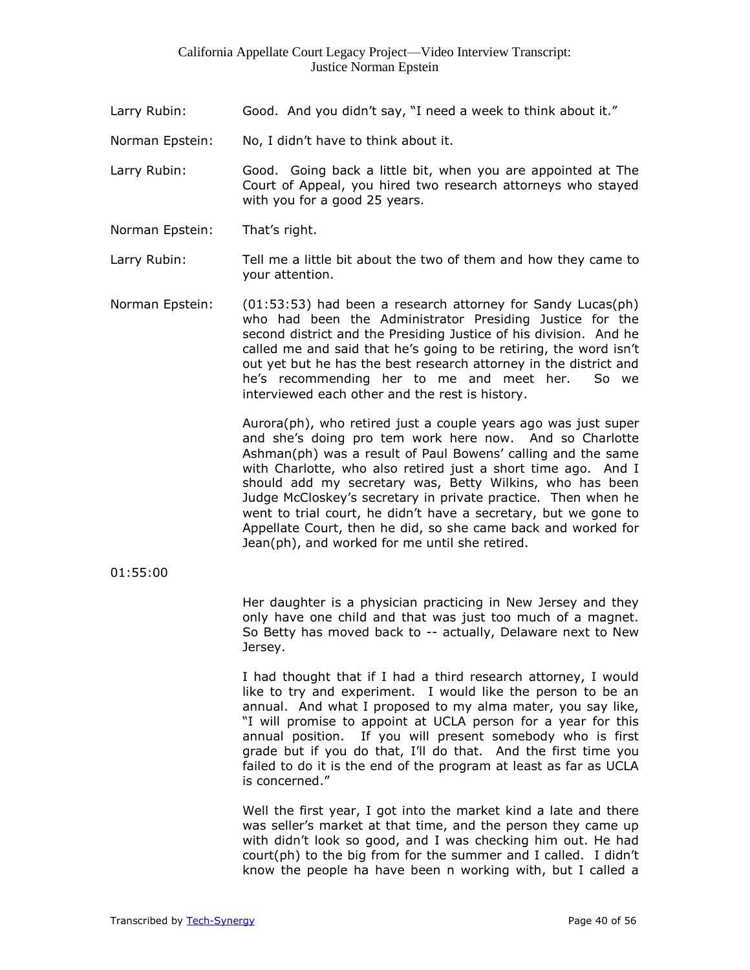- Larry Rubin: Good. And you didn't say, "I need a week to think about it."
- Norman Epstein: No, I didn't have to think about it.
- Larry Rubin: Good. Going back a little bit, when you are appointed at The Court of Appeal, you hired two research attorneys who stayed with you for a good 25 years.
- Norman Epstein: That's right.
- Larry Rubin: Tell me a little bit about the two of them and how they came to your attention.
- Norman Epstein: (01:53:53) had been a research attorney for Sandy Lucas(ph) who had been the Administrator Presiding Justice for the second district and the Presiding Justice of his division. And he called me and said that he's going to be retiring, the word isn't out yet but he has the best research attorney in the district and he's recommending her to me and meet her. So we interviewed each other and the rest is history.

Aurora(ph), who retired just a couple years ago was just super and she's doing pro tem work here now. And so Charlotte Ashman(ph) was a result of Paul Bowens' calling and the same with Charlotte, who also retired just a short time ago. And I should add my secretary was, Betty Wilkins, who has been Judge McCloskey's secretary in private practice. Then when he went to trial court, he didn't have a secretary, but we gone to Appellate Court, then he did, so she came back and worked for Jean(ph), and worked for me until she retired.

01:55:00

Her daughter is a physician practicing in New Jersey and they only have one child and that was just too much of a magnet. So Betty has moved back to -- actually, Delaware next to New Jersey.

I had thought that if I had a third research attorney, I would like to try and experiment. I would like the person to be an annual. And what I proposed to my alma mater, you say like, "I will promise to appoint at UCLA person for a year for this annual position. If you will present somebody who is first grade but if you do that, I'll do that. And the first time you failed to do it is the end of the program at least as far as UCLA is concerned."

Well the first year, I got into the market kind a late and there was seller's market at that time, and the person they came up with didn't look so good, and I was checking him out. He had court(ph) to the big from for the summer and I called. I didn't know the people ha have been n working with, but I called a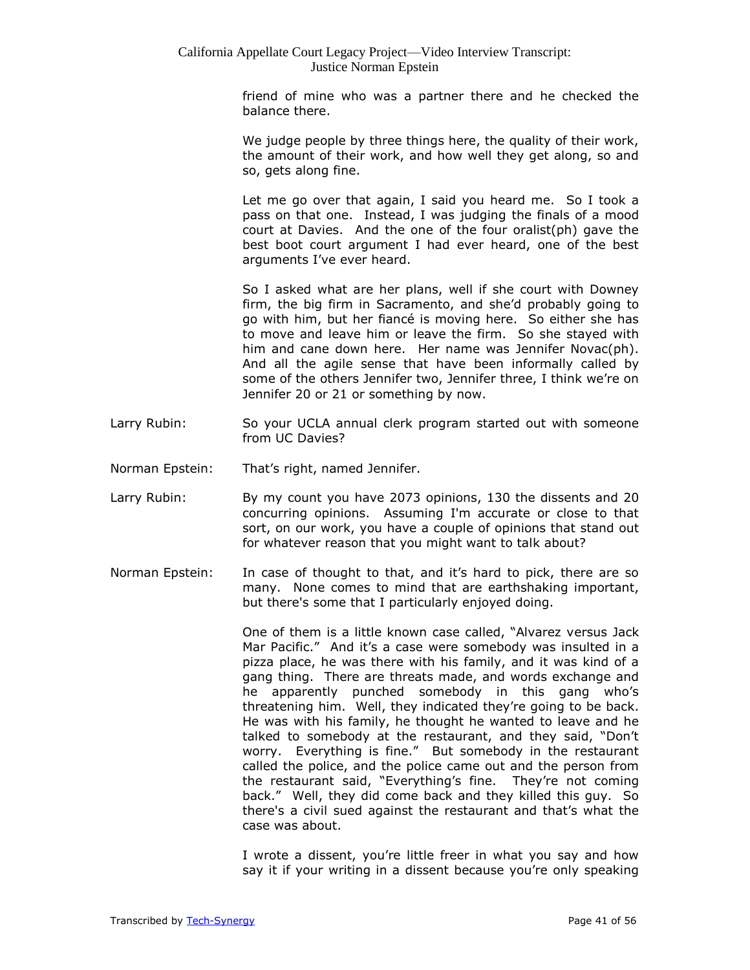friend of mine who was a partner there and he checked the balance there.

We judge people by three things here, the quality of their work, the amount of their work, and how well they get along, so and so, gets along fine.

Let me go over that again, I said you heard me. So I took a pass on that one. Instead, I was judging the finals of a mood court at Davies. And the one of the four oralist(ph) gave the best boot court argument I had ever heard, one of the best arguments I've ever heard.

So I asked what are her plans, well if she court with Downey firm, the big firm in Sacramento, and she'd probably going to go with him, but her fiancé is moving here. So either she has to move and leave him or leave the firm. So she stayed with him and cane down here. Her name was Jennifer Novac(ph). And all the agile sense that have been informally called by some of the others Jennifer two, Jennifer three, I think we're on Jennifer 20 or 21 or something by now.

- Larry Rubin: So your UCLA annual clerk program started out with someone from UC Davies?
- Norman Epstein: That's right, named Jennifer.
- Larry Rubin: By my count you have 2073 opinions, 130 the dissents and 20 concurring opinions. Assuming I'm accurate or close to that sort, on our work, you have a couple of opinions that stand out for whatever reason that you might want to talk about?
- Norman Epstein: In case of thought to that, and it's hard to pick, there are so many. None comes to mind that are earthshaking important, but there's some that I particularly enjoyed doing.

One of them is a little known case called, "Alvarez versus Jack Mar Pacific." And it's a case were somebody was insulted in a pizza place, he was there with his family, and it was kind of a gang thing. There are threats made, and words exchange and he apparently punched somebody in this gang who's threatening him. Well, they indicated they're going to be back. He was with his family, he thought he wanted to leave and he talked to somebody at the restaurant, and they said, "Don't worry. Everything is fine." But somebody in the restaurant called the police, and the police came out and the person from the restaurant said, "Everything's fine. They're not coming back." Well, they did come back and they killed this guy. So there's a civil sued against the restaurant and that's what the case was about.

I wrote a dissent, you're little freer in what you say and how say it if your writing in a dissent because you're only speaking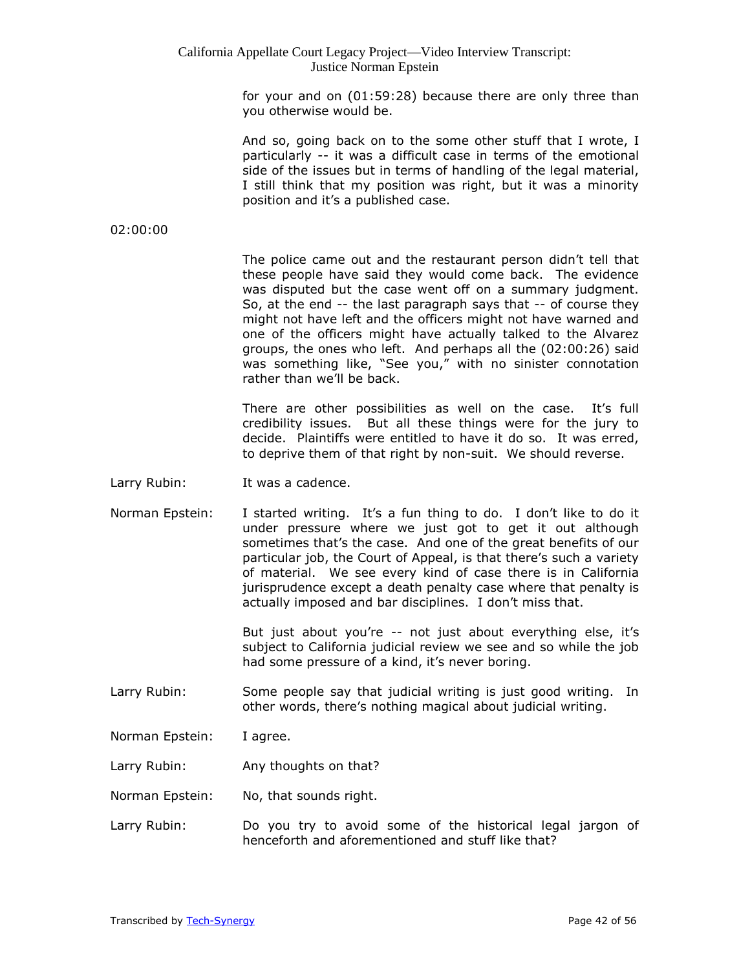for your and on (01:59:28) because there are only three than you otherwise would be.

And so, going back on to the some other stuff that I wrote, I particularly -- it was a difficult case in terms of the emotional side of the issues but in terms of handling of the legal material, I still think that my position was right, but it was a minority position and it's a published case.

#### 02:00:00

The police came out and the restaurant person didn't tell that these people have said they would come back. The evidence was disputed but the case went off on a summary judgment. So, at the end -- the last paragraph says that -- of course they might not have left and the officers might not have warned and one of the officers might have actually talked to the Alvarez groups, the ones who left. And perhaps all the (02:00:26) said was something like, "See you," with no sinister connotation rather than we'll be back.

There are other possibilities as well on the case. It's full credibility issues. But all these things were for the jury to decide. Plaintiffs were entitled to have it do so. It was erred, to deprive them of that right by non-suit. We should reverse.

- Larry Rubin: It was a cadence.
- Norman Epstein: I started writing. It's a fun thing to do. I don't like to do it under pressure where we just got to get it out although sometimes that's the case. And one of the great benefits of our particular job, the Court of Appeal, is that there's such a variety of material. We see every kind of case there is in California jurisprudence except a death penalty case where that penalty is actually imposed and bar disciplines. I don't miss that.

But just about you're -- not just about everything else, it's subject to California judicial review we see and so while the job had some pressure of a kind, it's never boring.

- Larry Rubin: Some people say that judicial writing is just good writing. In other words, there's nothing magical about judicial writing.
- Norman Epstein: I agree.
- Larry Rubin: Any thoughts on that?
- Norman Epstein: No, that sounds right.
- Larry Rubin: Do you try to avoid some of the historical legal jargon of henceforth and aforementioned and stuff like that?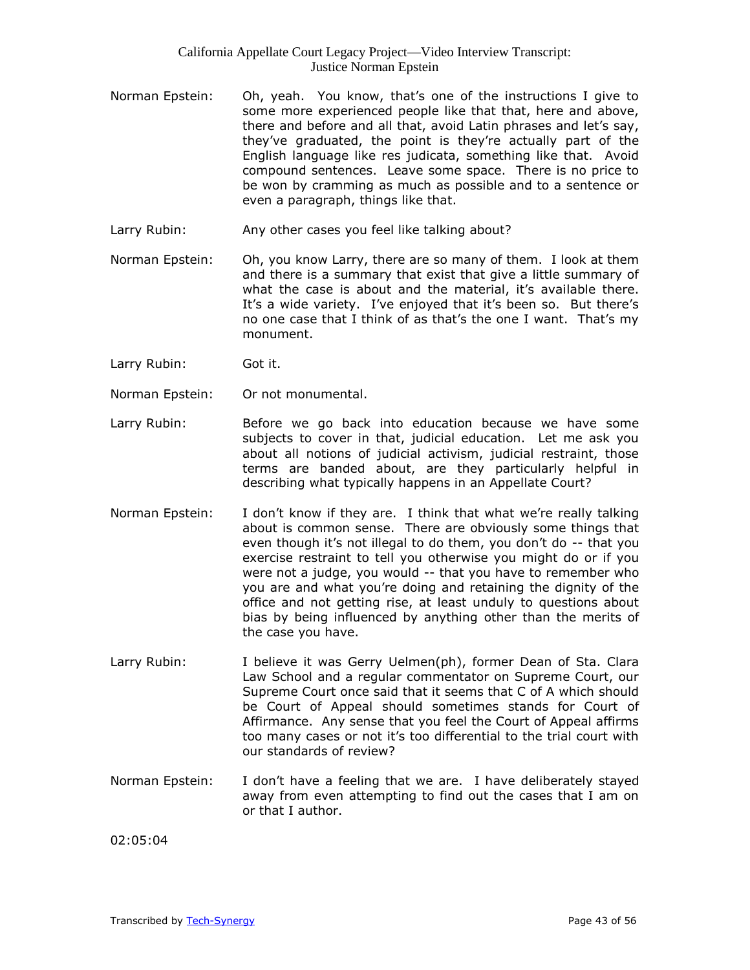- Norman Epstein: Oh, yeah. You know, that's one of the instructions I give to some more experienced people like that that, here and above, there and before and all that, avoid Latin phrases and let's say, they've graduated, the point is they're actually part of the English language like res judicata, something like that. Avoid compound sentences. Leave some space. There is no price to be won by cramming as much as possible and to a sentence or even a paragraph, things like that.
- Larry Rubin: Any other cases you feel like talking about?
- Norman Epstein: Oh, you know Larry, there are so many of them. I look at them and there is a summary that exist that give a little summary of what the case is about and the material, it's available there. It's a wide variety. I've enjoyed that it's been so. But there's no one case that I think of as that's the one I want. That's my monument.
- Larry Rubin: Got it.
- Norman Epstein: Or not monumental.
- Larry Rubin: Before we go back into education because we have some subjects to cover in that, judicial education. Let me ask you about all notions of judicial activism, judicial restraint, those terms are banded about, are they particularly helpful in describing what typically happens in an Appellate Court?
- Norman Epstein: I don't know if they are. I think that what we're really talking about is common sense. There are obviously some things that even though it's not illegal to do them, you don't do -- that you exercise restraint to tell you otherwise you might do or if you were not a judge, you would -- that you have to remember who you are and what you're doing and retaining the dignity of the office and not getting rise, at least unduly to questions about bias by being influenced by anything other than the merits of the case you have.
- Larry Rubin: I believe it was Gerry Uelmen(ph), former Dean of Sta. Clara Law School and a regular commentator on Supreme Court, our Supreme Court once said that it seems that C of A which should be Court of Appeal should sometimes stands for Court of Affirmance. Any sense that you feel the Court of Appeal affirms too many cases or not it's too differential to the trial court with our standards of review?
- Norman Epstein: I don't have a feeling that we are. I have deliberately stayed away from even attempting to find out the cases that I am on or that I author.

02:05:04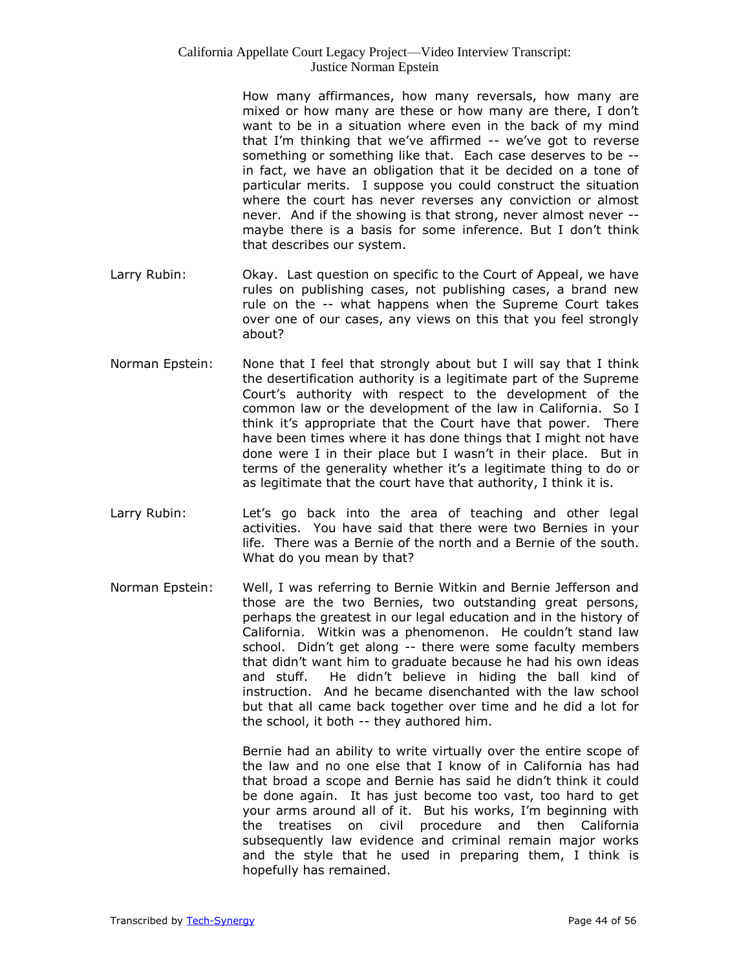How many affirmances, how many reversals, how many are mixed or how many are these or how many are there, I don't want to be in a situation where even in the back of my mind that I'm thinking that we've affirmed -- we've got to reverse something or something like that. Each case deserves to be - in fact, we have an obligation that it be decided on a tone of particular merits. I suppose you could construct the situation where the court has never reverses any conviction or almost never. And if the showing is that strong, never almost never - maybe there is a basis for some inference. But I don't think that describes our system.

- Larry Rubin: Okay. Last question on specific to the Court of Appeal, we have rules on publishing cases, not publishing cases, a brand new rule on the -- what happens when the Supreme Court takes over one of our cases, any views on this that you feel strongly about?
- Norman Epstein: None that I feel that strongly about but I will say that I think the desertification authority is a legitimate part of the Supreme Court's authority with respect to the development of the common law or the development of the law in California. So I think it's appropriate that the Court have that power. There have been times where it has done things that I might not have done were I in their place but I wasn't in their place. But in terms of the generality whether it's a legitimate thing to do or as legitimate that the court have that authority, I think it is.
- Larry Rubin: Let's go back into the area of teaching and other legal activities. You have said that there were two Bernies in your life. There was a Bernie of the north and a Bernie of the south. What do you mean by that?
- Norman Epstein: Well, I was referring to Bernie Witkin and Bernie Jefferson and those are the two Bernies, two outstanding great persons, perhaps the greatest in our legal education and in the history of California. Witkin was a phenomenon. He couldn't stand law school. Didn't get along -- there were some faculty members that didn't want him to graduate because he had his own ideas and stuff. He didn't believe in hiding the ball kind of instruction. And he became disenchanted with the law school but that all came back together over time and he did a lot for the school, it both -- they authored him.

Bernie had an ability to write virtually over the entire scope of the law and no one else that I know of in California has had that broad a scope and Bernie has said he didn't think it could be done again. It has just become too vast, too hard to get your arms around all of it. But his works, I'm beginning with the treatises on civil procedure and then California subsequently law evidence and criminal remain major works and the style that he used in preparing them, I think is hopefully has remained.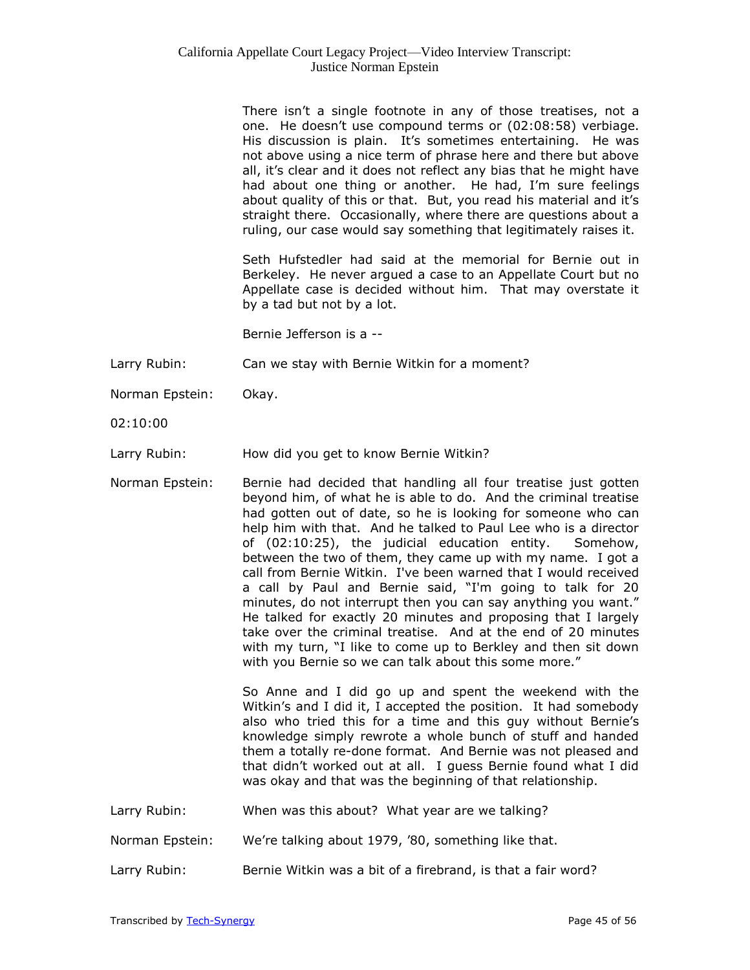There isn't a single footnote in any of those treatises, not a one. He doesn't use compound terms or (02:08:58) verbiage. His discussion is plain. It's sometimes entertaining. He was not above using a nice term of phrase here and there but above all, it's clear and it does not reflect any bias that he might have had about one thing or another. He had, I'm sure feelings about quality of this or that. But, you read his material and it's straight there. Occasionally, where there are questions about a ruling, our case would say something that legitimately raises it.

Seth Hufstedler had said at the memorial for Bernie out in Berkeley. He never argued a case to an Appellate Court but no Appellate case is decided without him. That may overstate it by a tad but not by a lot.

Bernie Jefferson is a --

Larry Rubin: Can we stay with Bernie Witkin for a moment?

Norman Epstein: Okay.

02:10:00

Larry Rubin: How did you get to know Bernie Witkin?

Norman Epstein: Bernie had decided that handling all four treatise just gotten beyond him, of what he is able to do. And the criminal treatise had gotten out of date, so he is looking for someone who can help him with that. And he talked to Paul Lee who is a director of (02:10:25), the judicial education entity. Somehow, between the two of them, they came up with my name. I got a call from Bernie Witkin. I've been warned that I would received a call by Paul and Bernie said, "I'm going to talk for 20 minutes, do not interrupt then you can say anything you want." He talked for exactly 20 minutes and proposing that I largely take over the criminal treatise. And at the end of 20 minutes with my turn, "I like to come up to Berkley and then sit down with you Bernie so we can talk about this some more."

> So Anne and I did go up and spent the weekend with the Witkin's and I did it, I accepted the position. It had somebody also who tried this for a time and this guy without Bernie's knowledge simply rewrote a whole bunch of stuff and handed them a totally re-done format. And Bernie was not pleased and that didn't worked out at all. I guess Bernie found what I did was okay and that was the beginning of that relationship.

Larry Rubin: When was this about? What year are we talking?

Norman Epstein: We're talking about 1979, '80, something like that.

Larry Rubin: Bernie Witkin was a bit of a firebrand, is that a fair word?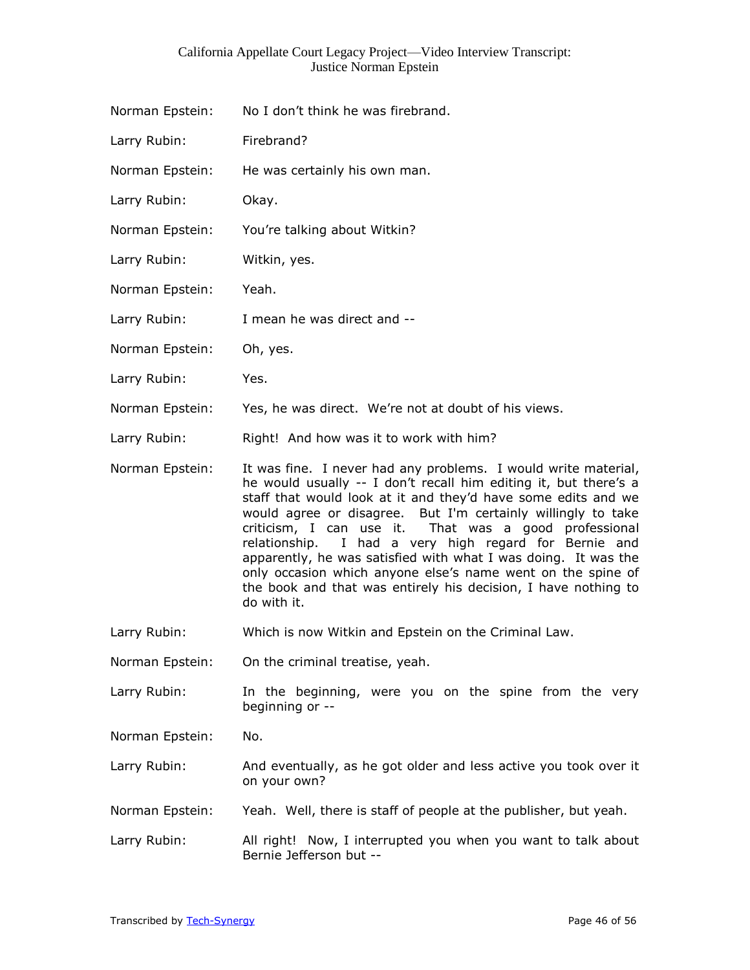| Norman Epstein: | No I don't think he was firebrand. |
|-----------------|------------------------------------|
| Larry Rubin:    | Firebrand?                         |
| Norman Epstein: | He was certainly his own man.      |
| Larry Rubin:    | Okay.                              |
| Norman Epstein: | You're talking about Witkin?       |
| Larry Rubin:    | Witkin, yes.                       |
| Norman Epstein: | Yeah.                              |
| Larry Rubin:    | I mean he was direct and --        |
| Norman Epstein: | Oh, yes.                           |
| Larry Rubin:    | Yes.                               |

Norman Epstein: Yes, he was direct. We're not at doubt of his views.

Larry Rubin: Right! And how was it to work with him?

Norman Epstein: It was fine. I never had any problems. I would write material, he would usually -- I don't recall him editing it, but there's a staff that would look at it and they'd have some edits and we would agree or disagree. But I'm certainly willingly to take criticism, I can use it. That was a good professional relationship. I had a very high regard for Bernie and apparently, he was satisfied with what I was doing. It was the only occasion which anyone else's name went on the spine of the book and that was entirely his decision, I have nothing to do with it.

Larry Rubin: Which is now Witkin and Epstein on the Criminal Law.

Norman Epstein: On the criminal treatise, yeah.

- Larry Rubin: In the beginning, were you on the spine from the very beginning or --
- Norman Epstein: No.
- Larry Rubin: And eventually, as he got older and less active you took over it on your own?
- Norman Epstein: Yeah. Well, there is staff of people at the publisher, but yeah.
- Larry Rubin: All right! Now, I interrupted you when you want to talk about Bernie Jefferson but --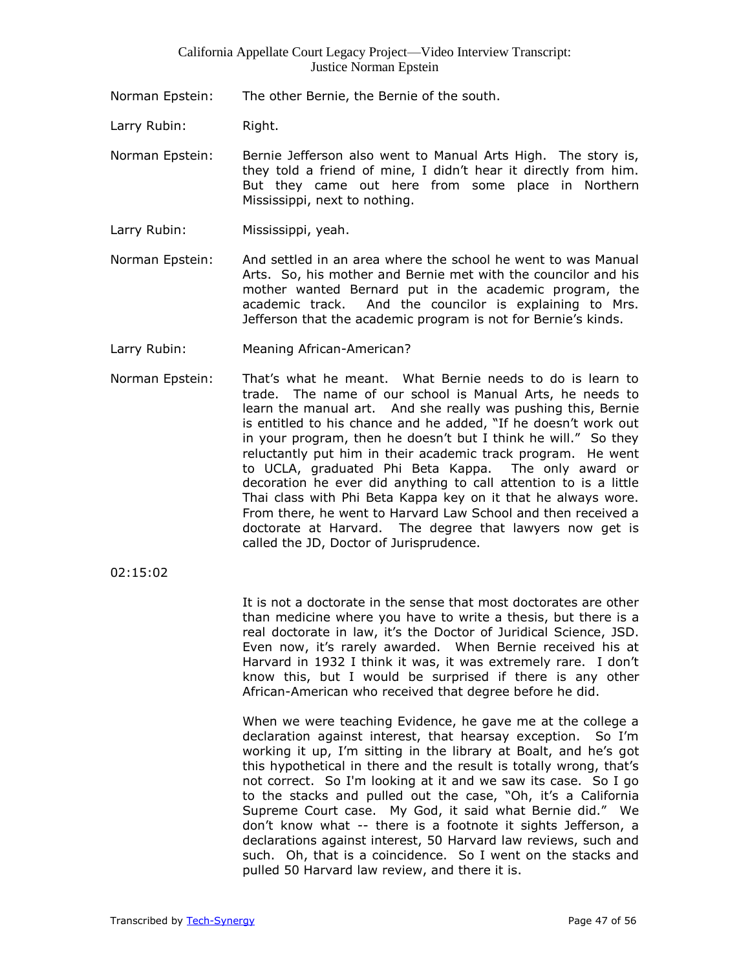Norman Epstein: The other Bernie, the Bernie of the south.

Larry Rubin: Right.

Norman Epstein: Bernie Jefferson also went to Manual Arts High. The story is, they told a friend of mine, I didn't hear it directly from him. But they came out here from some place in Northern Mississippi, next to nothing.

- Larry Rubin: Mississippi, yeah.
- Norman Epstein: And settled in an area where the school he went to was Manual Arts. So, his mother and Bernie met with the councilor and his mother wanted Bernard put in the academic program, the academic track. And the councilor is explaining to Mrs. Jefferson that the academic program is not for Bernie's kinds.
- Larry Rubin: Meaning African-American?
- Norman Epstein: That's what he meant. What Bernie needs to do is learn to trade. The name of our school is Manual Arts, he needs to learn the manual art. And she really was pushing this, Bernie is entitled to his chance and he added, "If he doesn't work out in your program, then he doesn't but I think he will." So they reluctantly put him in their academic track program. He went to UCLA, graduated Phi Beta Kappa. The only award or decoration he ever did anything to call attention to is a little Thai class with Phi Beta Kappa key on it that he always wore. From there, he went to Harvard Law School and then received a doctorate at Harvard. The degree that lawyers now get is called the JD, Doctor of Jurisprudence.

02:15:02

It is not a doctorate in the sense that most doctorates are other than medicine where you have to write a thesis, but there is a real doctorate in law, it's the Doctor of Juridical Science, JSD. Even now, it's rarely awarded. When Bernie received his at Harvard in 1932 I think it was, it was extremely rare. I don't know this, but I would be surprised if there is any other African-American who received that degree before he did.

When we were teaching Evidence, he gave me at the college a declaration against interest, that hearsay exception. So I'm working it up, I'm sitting in the library at Boalt, and he's got this hypothetical in there and the result is totally wrong, that's not correct. So I'm looking at it and we saw its case. So I go to the stacks and pulled out the case, "Oh, it's a California Supreme Court case. My God, it said what Bernie did." We don't know what -- there is a footnote it sights Jefferson, a declarations against interest, 50 Harvard law reviews, such and such. Oh, that is a coincidence. So I went on the stacks and pulled 50 Harvard law review, and there it is.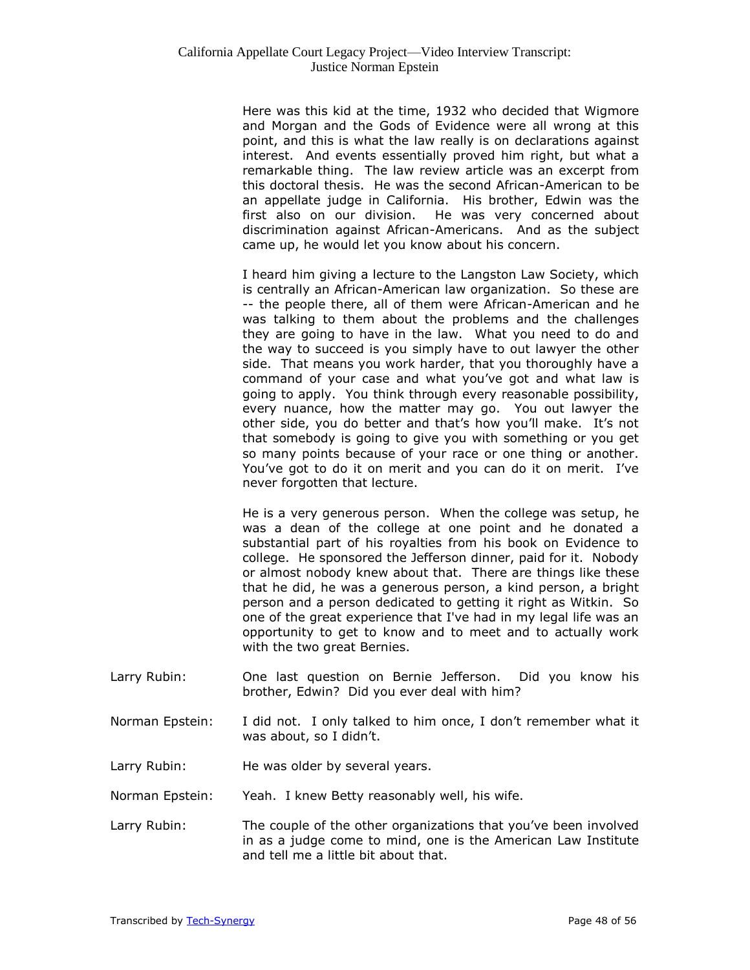Here was this kid at the time, 1932 who decided that Wigmore and Morgan and the Gods of Evidence were all wrong at this point, and this is what the law really is on declarations against interest. And events essentially proved him right, but what a remarkable thing. The law review article was an excerpt from this doctoral thesis. He was the second African-American to be an appellate judge in California. His brother, Edwin was the first also on our division. He was very concerned about discrimination against African-Americans. And as the subject came up, he would let you know about his concern.

I heard him giving a lecture to the Langston Law Society, which is centrally an African-American law organization. So these are -- the people there, all of them were African-American and he was talking to them about the problems and the challenges they are going to have in the law. What you need to do and the way to succeed is you simply have to out lawyer the other side. That means you work harder, that you thoroughly have a command of your case and what you've got and what law is going to apply. You think through every reasonable possibility, every nuance, how the matter may go. You out lawyer the other side, you do better and that's how you'll make. It's not that somebody is going to give you with something or you get so many points because of your race or one thing or another. You've got to do it on merit and you can do it on merit. I've never forgotten that lecture.

He is a very generous person. When the college was setup, he was a dean of the college at one point and he donated a substantial part of his royalties from his book on Evidence to college. He sponsored the Jefferson dinner, paid for it. Nobody or almost nobody knew about that. There are things like these that he did, he was a generous person, a kind person, a bright person and a person dedicated to getting it right as Witkin. So one of the great experience that I've had in my legal life was an opportunity to get to know and to meet and to actually work with the two great Bernies.

- Larry Rubin: One last question on Bernie Jefferson. Did you know his brother, Edwin? Did you ever deal with him?
- Norman Epstein: I did not. I only talked to him once, I don't remember what it was about, so I didn't.
- Larry Rubin: He was older by several years.

Norman Epstein: Yeah. I knew Betty reasonably well, his wife.

Larry Rubin: The couple of the other organizations that you've been involved in as a judge come to mind, one is the American Law Institute and tell me a little bit about that.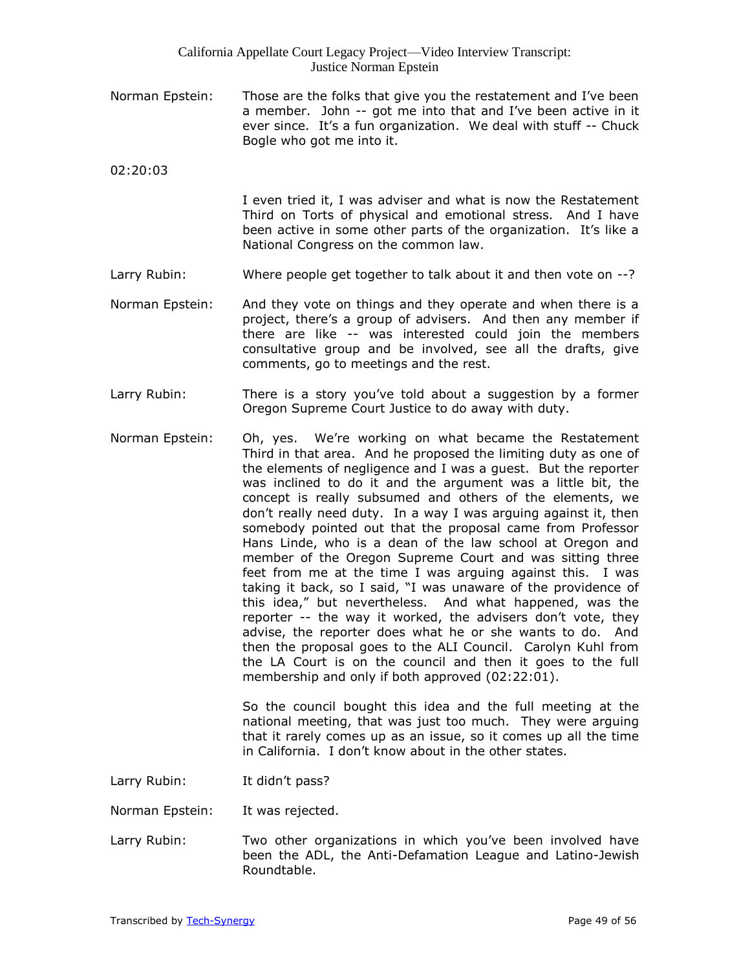Norman Epstein: Those are the folks that give you the restatement and I've been a member. John -- got me into that and I've been active in it ever since. It's a fun organization. We deal with stuff -- Chuck Bogle who got me into it.

02:20:03

I even tried it, I was adviser and what is now the Restatement Third on Torts of physical and emotional stress. And I have been active in some other parts of the organization. It's like a National Congress on the common law.

- Larry Rubin: Where people get together to talk about it and then vote on --?
- Norman Epstein: And they vote on things and they operate and when there is a project, there's a group of advisers. And then any member if there are like -- was interested could join the members consultative group and be involved, see all the drafts, give comments, go to meetings and the rest.
- Larry Rubin: There is a story you've told about a suggestion by a former Oregon Supreme Court Justice to do away with duty.
- Norman Epstein: Oh, yes. We're working on what became the Restatement Third in that area. And he proposed the limiting duty as one of the elements of negligence and I was a guest. But the reporter was inclined to do it and the argument was a little bit, the concept is really subsumed and others of the elements, we don't really need duty. In a way I was arguing against it, then somebody pointed out that the proposal came from Professor Hans Linde, who is a dean of the law school at Oregon and member of the Oregon Supreme Court and was sitting three feet from me at the time I was arguing against this. I was taking it back, so I said, "I was unaware of the providence of this idea," but nevertheless. And what happened, was the reporter -- the way it worked, the advisers don't vote, they advise, the reporter does what he or she wants to do. And then the proposal goes to the ALI Council. Carolyn Kuhl from the LA Court is on the council and then it goes to the full membership and only if both approved (02:22:01).

So the council bought this idea and the full meeting at the national meeting, that was just too much. They were arguing that it rarely comes up as an issue, so it comes up all the time in California. I don't know about in the other states.

Larry Rubin: It didn't pass?

Norman Epstein: It was rejected.

Larry Rubin: Two other organizations in which you've been involved have been the ADL, the Anti-Defamation League and Latino-Jewish Roundtable.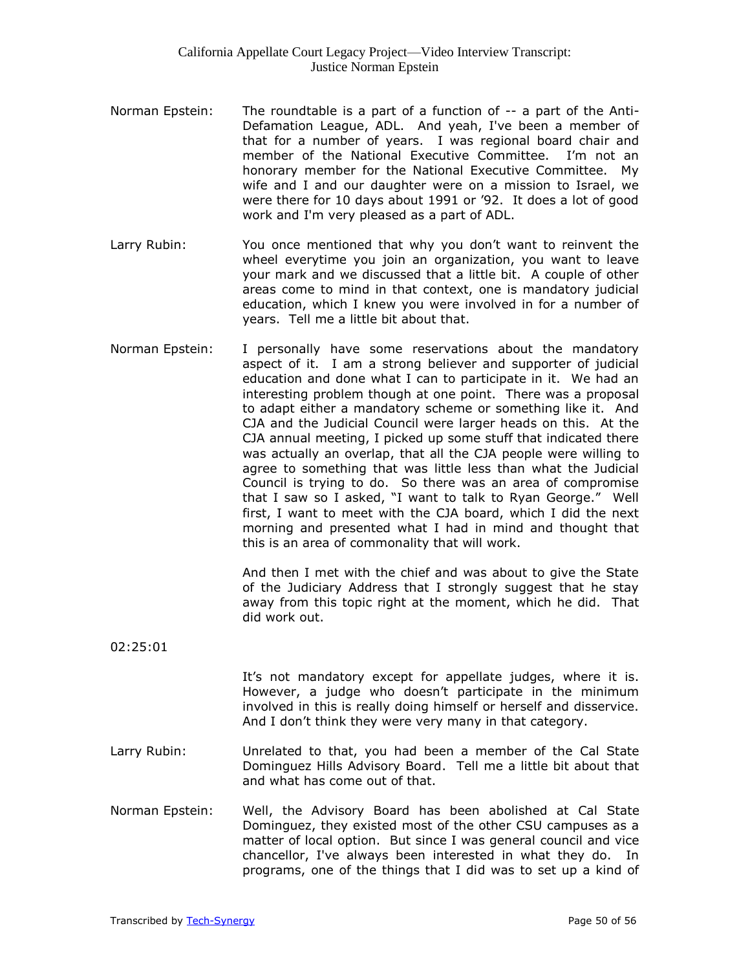- Norman Epstein: The roundtable is a part of a function of  $-$  a part of the Anti-Defamation League, ADL. And yeah, I've been a member of that for a number of years. I was regional board chair and member of the National Executive Committee. I'm not an honorary member for the National Executive Committee. My wife and I and our daughter were on a mission to Israel, we were there for 10 days about 1991 or '92. It does a lot of good work and I'm very pleased as a part of ADL.
- Larry Rubin: You once mentioned that why you don't want to reinvent the wheel everytime you join an organization, you want to leave your mark and we discussed that a little bit. A couple of other areas come to mind in that context, one is mandatory judicial education, which I knew you were involved in for a number of years. Tell me a little bit about that.
- Norman Epstein: I personally have some reservations about the mandatory aspect of it. I am a strong believer and supporter of judicial education and done what I can to participate in it. We had an interesting problem though at one point. There was a proposal to adapt either a mandatory scheme or something like it. And CJA and the Judicial Council were larger heads on this. At the CJA annual meeting, I picked up some stuff that indicated there was actually an overlap, that all the CJA people were willing to agree to something that was little less than what the Judicial Council is trying to do. So there was an area of compromise that I saw so I asked, "I want to talk to Ryan George." Well first, I want to meet with the CJA board, which I did the next morning and presented what I had in mind and thought that this is an area of commonality that will work.

And then I met with the chief and was about to give the State of the Judiciary Address that I strongly suggest that he stay away from this topic right at the moment, which he did. That did work out.

02:25:01

It's not mandatory except for appellate judges, where it is. However, a judge who doesn't participate in the minimum involved in this is really doing himself or herself and disservice. And I don't think they were very many in that category.

- Larry Rubin: Unrelated to that, you had been a member of the Cal State Dominguez Hills Advisory Board. Tell me a little bit about that and what has come out of that.
- Norman Epstein: Well, the Advisory Board has been abolished at Cal State Dominguez, they existed most of the other CSU campuses as a matter of local option. But since I was general council and vice chancellor, I've always been interested in what they do. In programs, one of the things that I did was to set up a kind of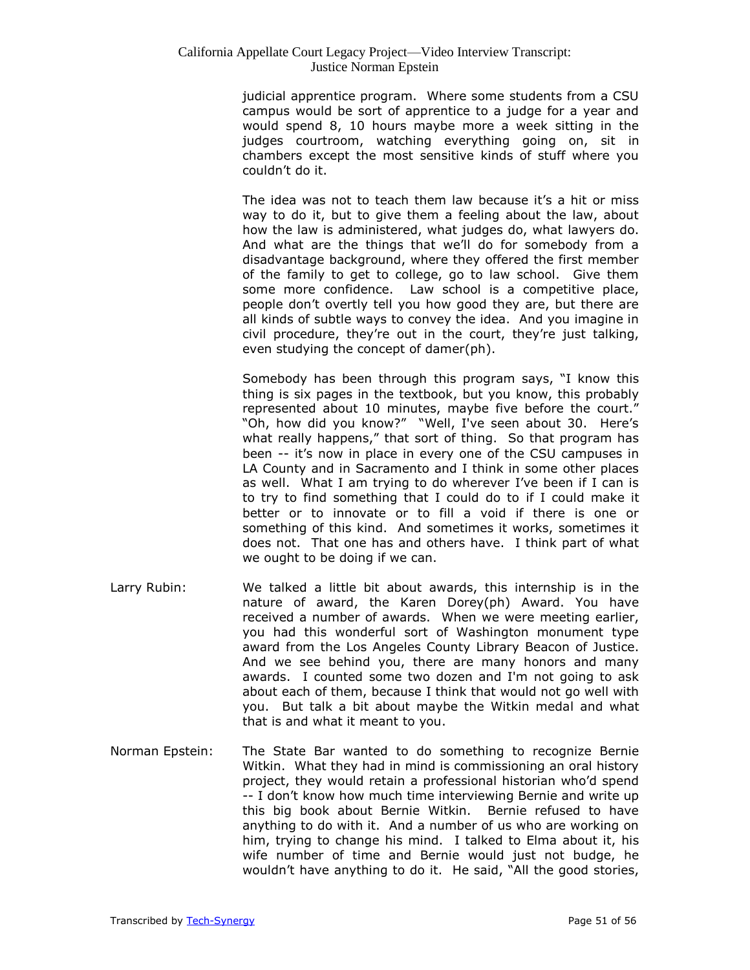judicial apprentice program. Where some students from a CSU campus would be sort of apprentice to a judge for a year and would spend 8, 10 hours maybe more a week sitting in the judges courtroom, watching everything going on, sit in chambers except the most sensitive kinds of stuff where you couldn't do it.

The idea was not to teach them law because it's a hit or miss way to do it, but to give them a feeling about the law, about how the law is administered, what judges do, what lawyers do. And what are the things that we'll do for somebody from a disadvantage background, where they offered the first member of the family to get to college, go to law school. Give them some more confidence. Law school is a competitive place, people don't overtly tell you how good they are, but there are all kinds of subtle ways to convey the idea. And you imagine in civil procedure, they're out in the court, they're just talking, even studying the concept of damer(ph).

Somebody has been through this program says, "I know this thing is six pages in the textbook, but you know, this probably represented about 10 minutes, maybe five before the court." "Oh, how did you know?" "Well, I've seen about 30. Here's what really happens," that sort of thing. So that program has been -- it's now in place in every one of the CSU campuses in LA County and in Sacramento and I think in some other places as well. What I am trying to do wherever I've been if I can is to try to find something that I could do to if I could make it better or to innovate or to fill a void if there is one or something of this kind. And sometimes it works, sometimes it does not. That one has and others have. I think part of what we ought to be doing if we can.

- Larry Rubin: We talked a little bit about awards, this internship is in the nature of award, the Karen Dorey(ph) Award. You have received a number of awards. When we were meeting earlier, you had this wonderful sort of Washington monument type award from the Los Angeles County Library Beacon of Justice. And we see behind you, there are many honors and many awards. I counted some two dozen and I'm not going to ask about each of them, because I think that would not go well with you. But talk a bit about maybe the Witkin medal and what that is and what it meant to you.
- Norman Epstein: The State Bar wanted to do something to recognize Bernie Witkin. What they had in mind is commissioning an oral history project, they would retain a professional historian who'd spend -- I don't know how much time interviewing Bernie and write up this big book about Bernie Witkin. Bernie refused to have anything to do with it. And a number of us who are working on him, trying to change his mind. I talked to Elma about it, his wife number of time and Bernie would just not budge, he wouldn't have anything to do it. He said, "All the good stories,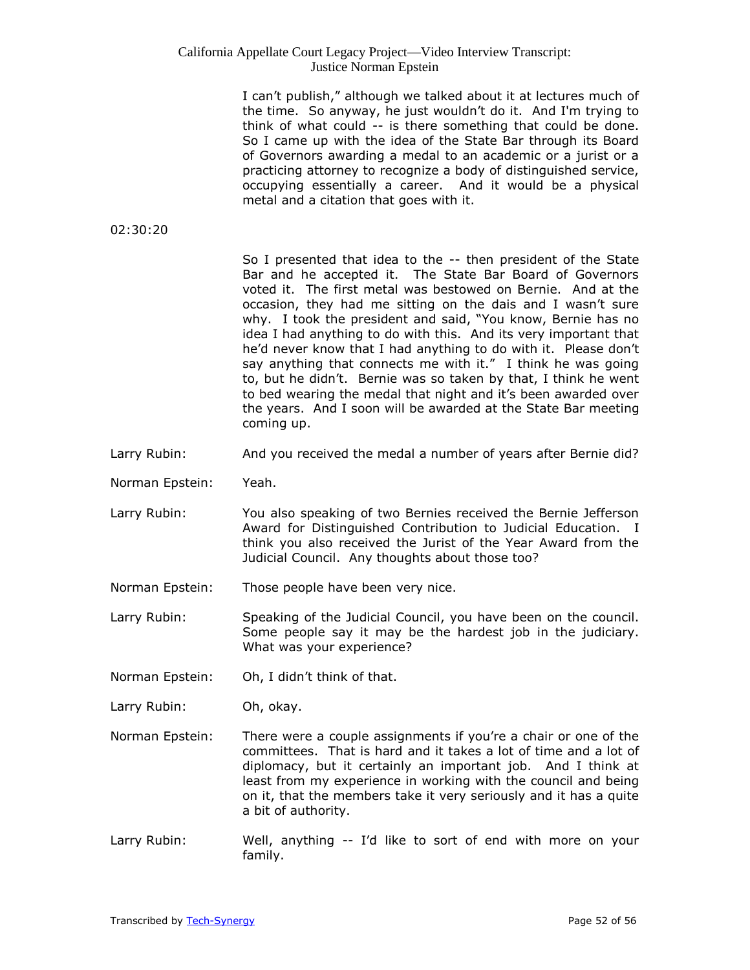I can't publish," although we talked about it at lectures much of the time. So anyway, he just wouldn't do it. And I'm trying to think of what could -- is there something that could be done. So I came up with the idea of the State Bar through its Board of Governors awarding a medal to an academic or a jurist or a practicing attorney to recognize a body of distinguished service, occupying essentially a career. And it would be a physical metal and a citation that goes with it.

02:30:20

So I presented that idea to the -- then president of the State Bar and he accepted it. The State Bar Board of Governors voted it. The first metal was bestowed on Bernie. And at the occasion, they had me sitting on the dais and I wasn't sure why. I took the president and said, "You know, Bernie has no idea I had anything to do with this. And its very important that he'd never know that I had anything to do with it. Please don't say anything that connects me with it." I think he was going to, but he didn't. Bernie was so taken by that, I think he went to bed wearing the medal that night and it's been awarded over the years. And I soon will be awarded at the State Bar meeting coming up.

- Larry Rubin: And you received the medal a number of years after Bernie did?
- Norman Epstein: Yeah.
- Larry Rubin: You also speaking of two Bernies received the Bernie Jefferson Award for Distinguished Contribution to Judicial Education. I think you also received the Jurist of the Year Award from the Judicial Council. Any thoughts about those too?

Norman Epstein: Those people have been very nice.

- Larry Rubin: Speaking of the Judicial Council, you have been on the council. Some people say it may be the hardest job in the judiciary. What was your experience?
- Norman Epstein: Oh, I didn't think of that.
- Larry Rubin: Oh, okay.
- Norman Epstein: There were a couple assignments if you're a chair or one of the committees. That is hard and it takes a lot of time and a lot of diplomacy, but it certainly an important job. And I think at least from my experience in working with the council and being on it, that the members take it very seriously and it has a quite a bit of authority.
- Larry Rubin: Well, anything -- I'd like to sort of end with more on your family.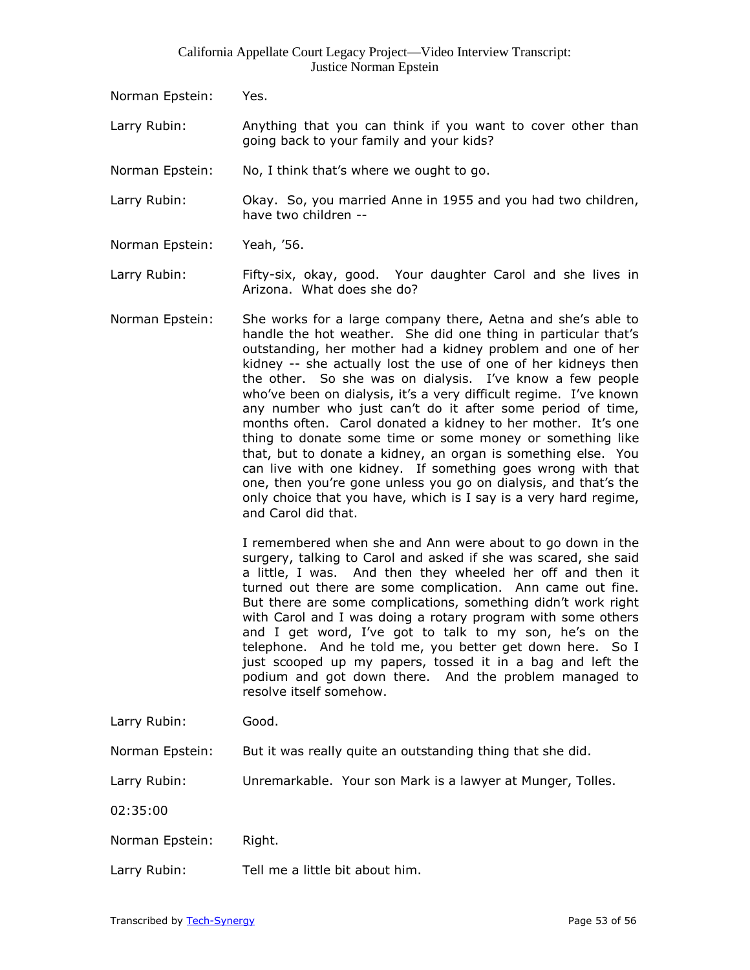- Norman Epstein: Yes.
- Larry Rubin: Anything that you can think if you want to cover other than going back to your family and your kids?
- Norman Epstein: No, I think that's where we ought to go.
- Larry Rubin: Okay. So, you married Anne in 1955 and you had two children, have two children --
- Norman Epstein: Yeah, '56.
- Larry Rubin: Fifty-six, okay, good. Your daughter Carol and she lives in Arizona. What does she do?
- Norman Epstein: She works for a large company there, Aetna and she's able to handle the hot weather. She did one thing in particular that's outstanding, her mother had a kidney problem and one of her kidney -- she actually lost the use of one of her kidneys then the other. So she was on dialysis. I've know a few people who've been on dialysis, it's a very difficult regime. I've known any number who just can't do it after some period of time, months often. Carol donated a kidney to her mother. It's one thing to donate some time or some money or something like that, but to donate a kidney, an organ is something else. You can live with one kidney. If something goes wrong with that one, then you're gone unless you go on dialysis, and that's the only choice that you have, which is I say is a very hard regime, and Carol did that.

I remembered when she and Ann were about to go down in the surgery, talking to Carol and asked if she was scared, she said a little, I was. And then they wheeled her off and then it turned out there are some complication. Ann came out fine. But there are some complications, something didn't work right with Carol and I was doing a rotary program with some others and I get word, I've got to talk to my son, he's on the telephone. And he told me, you better get down here. So I just scooped up my papers, tossed it in a bag and left the podium and got down there. And the problem managed to resolve itself somehow.

Larry Rubin: Good.

Norman Epstein: But it was really quite an outstanding thing that she did.

Larry Rubin: Unremarkable. Your son Mark is a lawyer at Munger, Tolles.

02:35:00

Norman Epstein: Right.

Larry Rubin: Tell me a little bit about him.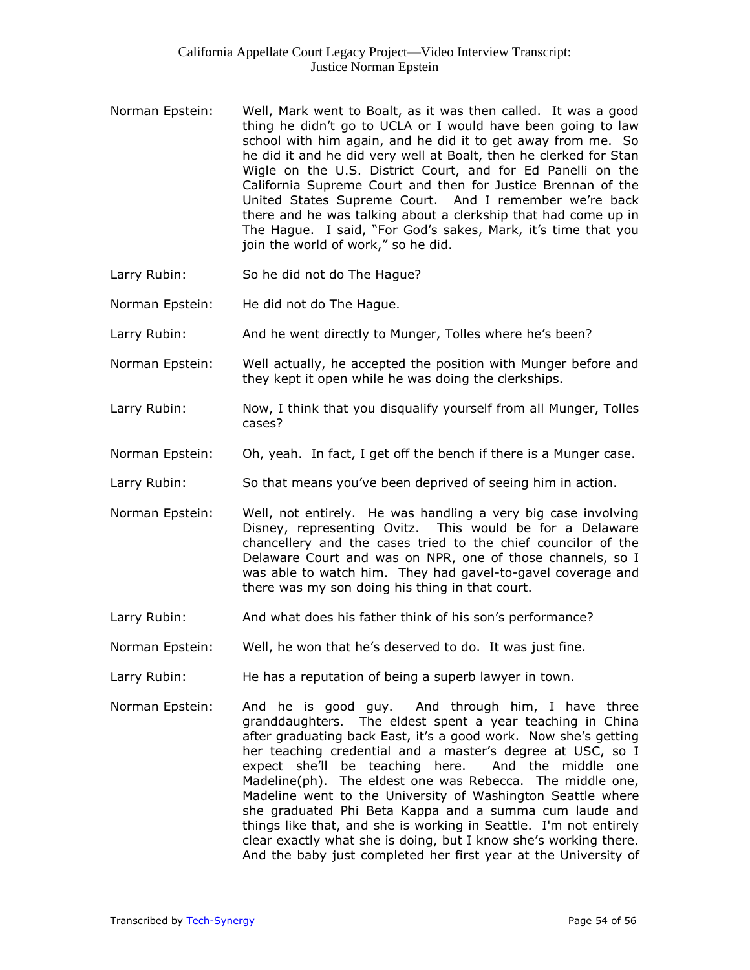- Norman Epstein: Well, Mark went to Boalt, as it was then called. It was a good thing he didn't go to UCLA or I would have been going to law school with him again, and he did it to get away from me. So he did it and he did very well at Boalt, then he clerked for Stan Wigle on the U.S. District Court, and for Ed Panelli on the California Supreme Court and then for Justice Brennan of the United States Supreme Court. And I remember we're back there and he was talking about a clerkship that had come up in The Hague. I said, "For God's sakes, Mark, it's time that you join the world of work," so he did.
- Larry Rubin: So he did not do The Hague?
- Norman Epstein: He did not do The Hague.
- Larry Rubin: And he went directly to Munger, Tolles where he's been?
- Norman Epstein: Well actually, he accepted the position with Munger before and they kept it open while he was doing the clerkships.
- Larry Rubin: Now, I think that you disqualify yourself from all Munger, Tolles cases?
- Norman Epstein: Oh, yeah. In fact, I get off the bench if there is a Munger case.
- Larry Rubin: So that means you've been deprived of seeing him in action.
- Norman Epstein: Well, not entirely. He was handling a very big case involving Disney, representing Ovitz. This would be for a Delaware chancellery and the cases tried to the chief councilor of the Delaware Court and was on NPR, one of those channels, so I was able to watch him. They had gavel-to-gavel coverage and there was my son doing his thing in that court.
- Larry Rubin: And what does his father think of his son's performance?
- Norman Epstein: Well, he won that he's deserved to do. It was just fine.
- Larry Rubin: He has a reputation of being a superb lawyer in town.
- Norman Epstein: And he is good guy. And through him, I have three granddaughters. The eldest spent a year teaching in China after graduating back East, it's a good work. Now she's getting her teaching credential and a master's degree at USC, so I expect she'll be teaching here. And the middle one Madeline(ph). The eldest one was Rebecca. The middle one, Madeline went to the University of Washington Seattle where she graduated Phi Beta Kappa and a summa cum laude and things like that, and she is working in Seattle. I'm not entirely clear exactly what she is doing, but I know she's working there. And the baby just completed her first year at the University of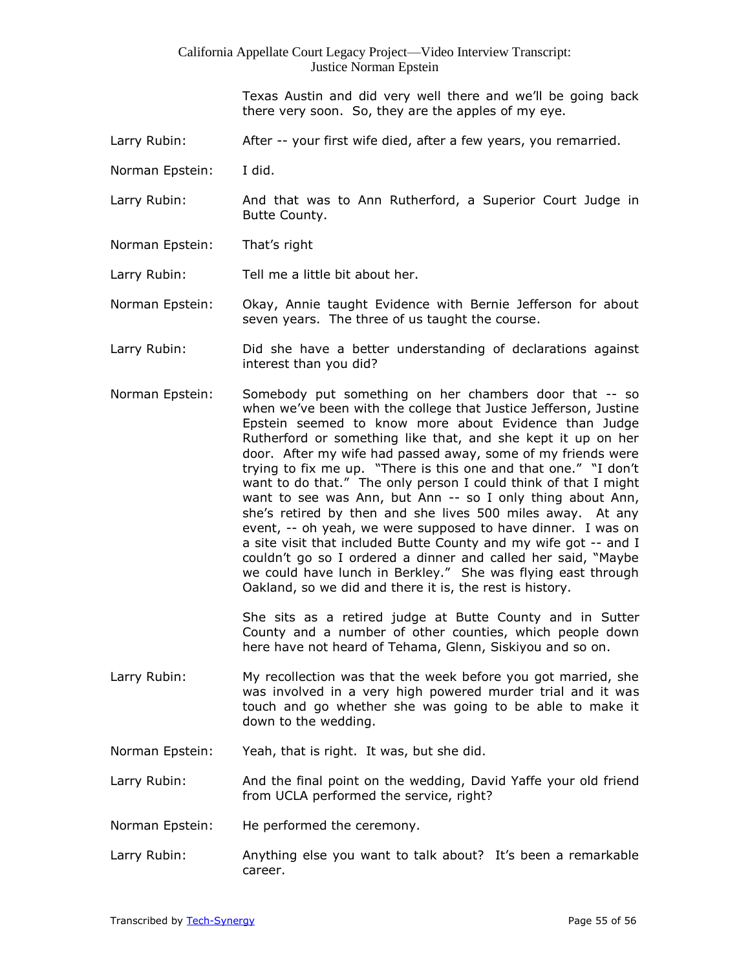Texas Austin and did very well there and we'll be going back there very soon. So, they are the apples of my eye.

- Larry Rubin: After -- your first wife died, after a few years, you remarried.
- Norman Epstein: I did.
- Larry Rubin: And that was to Ann Rutherford, a Superior Court Judge in Butte County.
- Norman Epstein: That's right

Larry Rubin: Tell me a little bit about her.

Norman Epstein: Okay, Annie taught Evidence with Bernie Jefferson for about seven years. The three of us taught the course.

- Larry Rubin: Did she have a better understanding of declarations against interest than you did?
- Norman Epstein: Somebody put something on her chambers door that -- so when we've been with the college that Justice Jefferson, Justine Epstein seemed to know more about Evidence than Judge Rutherford or something like that, and she kept it up on her door. After my wife had passed away, some of my friends were trying to fix me up. "There is this one and that one." "I don't want to do that." The only person I could think of that I might want to see was Ann, but Ann -- so I only thing about Ann, she's retired by then and she lives 500 miles away. At any event, -- oh yeah, we were supposed to have dinner. I was on a site visit that included Butte County and my wife got -- and I couldn't go so I ordered a dinner and called her said, "Maybe we could have lunch in Berkley." She was flying east through Oakland, so we did and there it is, the rest is history.

She sits as a retired judge at Butte County and in Sutter County and a number of other counties, which people down here have not heard of Tehama, Glenn, Siskiyou and so on.

- Larry Rubin: My recollection was that the week before you got married, she was involved in a very high powered murder trial and it was touch and go whether she was going to be able to make it down to the wedding.
- Norman Epstein: Yeah, that is right. It was, but she did.

Larry Rubin: And the final point on the wedding, David Yaffe your old friend from UCLA performed the service, right?

- Norman Epstein: He performed the ceremony.
- Larry Rubin: Anything else you want to talk about? It's been a remarkable career.